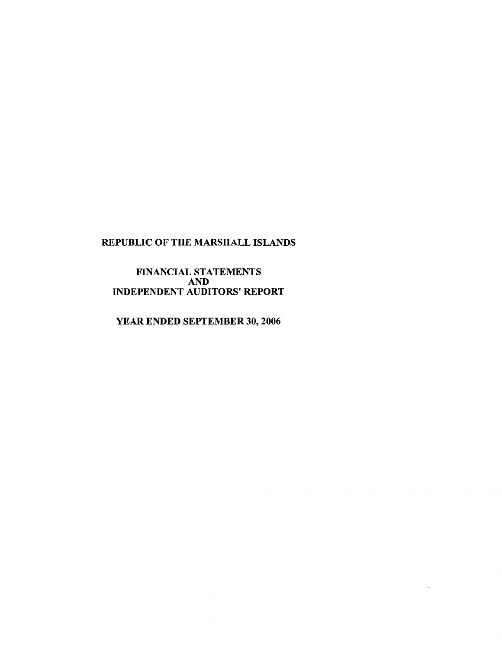# FINANCIAL STATEMENTS AND<br>
INDEPENDENT AUDITORS' REPORT

YEAR ENDED SEPTEMBER 30, 2006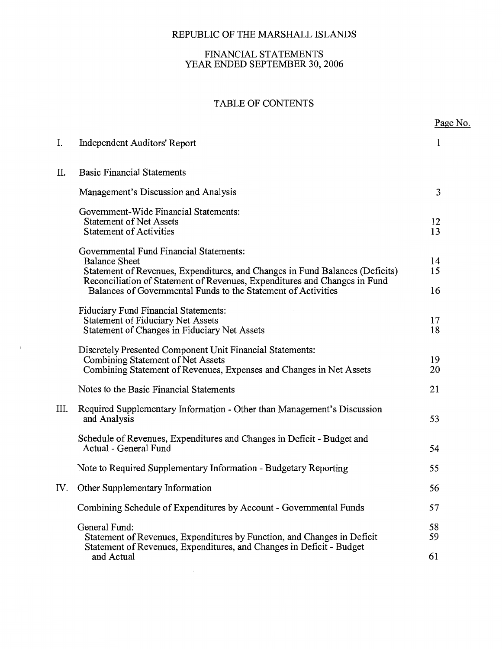$\bar{z}$ 

# FINANCIAL STATEMENTS YEAR ENDED SEPTEMBER 30, 2006

# TABLE OF CONTENTS

|     |                                                                                                                                                                                                                              | Page No. |
|-----|------------------------------------------------------------------------------------------------------------------------------------------------------------------------------------------------------------------------------|----------|
| I.  | <b>Independent Auditors' Report</b>                                                                                                                                                                                          | 1        |
| Π.  | <b>Basic Financial Statements</b>                                                                                                                                                                                            |          |
|     | Management's Discussion and Analysis                                                                                                                                                                                         | 3        |
|     | Government-Wide Financial Statements:<br><b>Statement of Net Assets</b><br><b>Statement of Activities</b>                                                                                                                    | 12<br>13 |
|     | Governmental Fund Financial Statements:<br><b>Balance Sheet</b><br>Statement of Revenues, Expenditures, and Changes in Fund Balances (Deficits)<br>Reconciliation of Statement of Revenues, Expenditures and Changes in Fund | 14<br>15 |
|     | Balances of Governmental Funds to the Statement of Activities                                                                                                                                                                | 16       |
|     | <b>Fiduciary Fund Financial Statements:</b><br><b>Statement of Fiduciary Net Assets</b><br>Statement of Changes in Fiduciary Net Assets                                                                                      | 17<br>18 |
|     | Discretely Presented Component Unit Financial Statements:<br>Combining Statement of Net Assets<br>Combining Statement of Revenues, Expenses and Changes in Net Assets                                                        | 19<br>20 |
|     | Notes to the Basic Financial Statements                                                                                                                                                                                      | 21       |
| Ш.  | Required Supplementary Information - Other than Management's Discussion<br>and Analysis                                                                                                                                      | 53       |
|     | Schedule of Revenues, Expenditures and Changes in Deficit - Budget and<br>Actual - General Fund                                                                                                                              | 54       |
|     | Note to Required Supplementary Information - Budgetary Reporting                                                                                                                                                             | 55       |
| IV. | Other Supplementary Information                                                                                                                                                                                              | 56       |
|     | Combining Schedule of Expenditures by Account - Governmental Funds                                                                                                                                                           | 57       |
|     | General Fund:<br>Statement of Revenues, Expenditures by Function, and Changes in Deficit<br>Statement of Revenues, Expenditures, and Changes in Deficit - Budget                                                             | 58<br>59 |
|     | and Actual                                                                                                                                                                                                                   | 61       |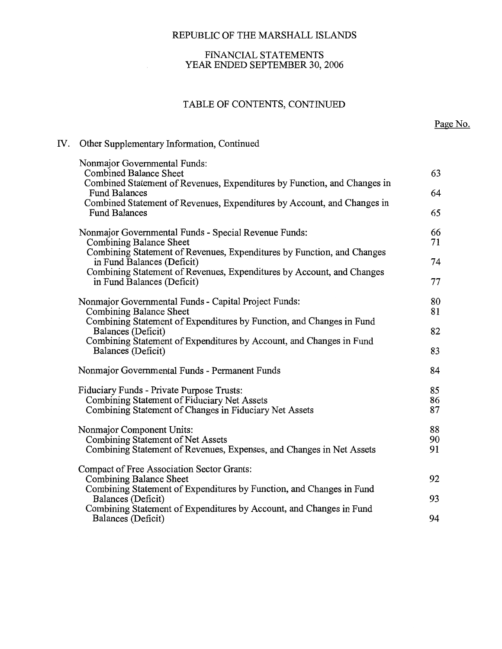# FINANCIAL STATEMENTS YEAR ENDED SEPTEMBER 30, 2006

# TABLE OF CONTENTS, CONTINUED

# IV. Other Supplementary Information, Continued

| Nonmajor Governmental Funds:                                                                                                                       |                |
|----------------------------------------------------------------------------------------------------------------------------------------------------|----------------|
| <b>Combined Balance Sheet</b>                                                                                                                      | 63             |
| Combined Statement of Revenues, Expenditures by Function, and Changes in<br><b>Fund Balances</b>                                                   | 64             |
| Combined Statement of Revenues, Expenditures by Account, and Changes in<br><b>Fund Balances</b>                                                    | 65             |
| Nonmajor Governmental Funds - Special Revenue Funds:<br>Combining Balance Sheet                                                                    | 66<br>71       |
| Combining Statement of Revenues, Expenditures by Function, and Changes<br>in Fund Balances (Deficit)                                               | 74             |
| Combining Statement of Revenues, Expenditures by Account, and Changes<br>in Fund Balances (Deficit)                                                | 77             |
| Nonmajor Governmental Funds - Capital Project Funds:<br>Combining Balance Sheet                                                                    | 80<br>81       |
| Combining Statement of Expenditures by Function, and Changes in Fund<br>Balances (Deficit)                                                         | 82             |
| Combining Statement of Expenditures by Account, and Changes in Fund<br>Balances (Deficit)                                                          | 83             |
| Nonmajor Governmental Funds - Permanent Funds                                                                                                      | 84             |
| Fiduciary Funds - Private Purpose Trusts:<br>Combining Statement of Fiduciary Net Assets<br>Combining Statement of Changes in Fiduciary Net Assets | 85<br>86<br>87 |
| Nonmajor Component Units:<br>Combining Statement of Net Assets<br>Combining Statement of Revenues, Expenses, and Changes in Net Assets             | 88<br>90<br>91 |
| Compact of Free Association Sector Grants:<br>Combining Balance Sheet                                                                              | 92             |
| Combining Statement of Expenditures by Function, and Changes in Fund<br>Balances (Deficit)                                                         | 93             |
| Combining Statement of Expenditures by Account, and Changes in Fund<br>Balances (Deficit)                                                          | 94             |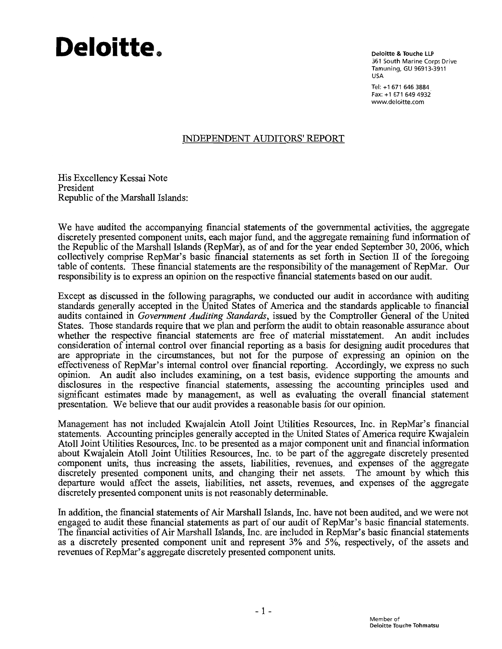# Deloitte.

**Deloitte & Touche LLP** 361 South Marine Corps Drive Tamuning, GU 96913-3911 USA

Tel: +1 671 646 3884 Fax: +1 671 649 4932 www.deloitte.com

# **INDEPENDENT AUDITORS' REPORT**

His Excellency Kessai Note President Republic of the Marshall Islands:

We have audited the accompanying financial statements of the governmental activities, the aggregate discretely presented component units, each major fund, and the aggregate remaining fund information of the Republic of the Marshall Islands (RepMar), as of and for the year ended September 30, 2006, which collectively comprise RepMar's basic financial statements as set forth in Section II of the foregoing table of contents. These financial statements are the responsibility of the management of RepMar. Our responsibility is to express an opinion on the respective financial statements based on our audit.

Except as discussed in the following paragraphs, we conducted our audit in accordance with auditing standards generally accepted in the United States of America and the standards applicable to financial audits contained in *Government Auditing Standards*, issued by the Comptroller General of the United States. Those standards require that we plan and perform the audit to obtain reasonable assurance about whether the respective financial statements are free of material misstatement. An audit includes consideration of internal control over financial reporting as a basis for designing audit procedures that are appropriate in the circumstances, but not for the purpose of expressing an opinion on the effectiveness of RepMar's internal control over financial reporting. Accordingly, we express no such opinion. An audit also includes examining, on a test basis, evidence supporting the amounts and disclosures in the respective financial statements, assessing the accounting principles used and significant estimates made by management, as well as evaluating the overall financial statement presentation. We believe that our audit provides a reasonable basis for our opinion.

Management has not included Kwajalein Atoll Joint Utilities Resources, Inc. in RepMar's financial statements. Accounting principles generally accepted in the United States of America require Kwajalein Atoll Joint Utilities Resources, Inc. to be presented as a major component unit and financial information about Kwajalein Atoll Joint Utilities Resources, Inc. to be part of the aggregate discretely presented component units, thus increasing the assets, liabilities, revenues, and expenses of the aggregate discretely presented component units, and changing their net assets. The amount by which this departure would affect the assets, liabilities, net assets, revenues, and expenses of the aggregate discretely presented component units is not reasonably determinable.

In addition, the financial statements of Air Marshall Islands, Inc. have not been audited, and we were not engaged to audit these financial statements as part of our audit of RepMar's basic financial statements. The financial activities of Air Marshall Islands, Inc. are included in RepMar's basic financial statements as a discretely presented component unit and represent 3% and 5%, respectively, of the assets and revenues of RepMar's aggregate discretely presented component units.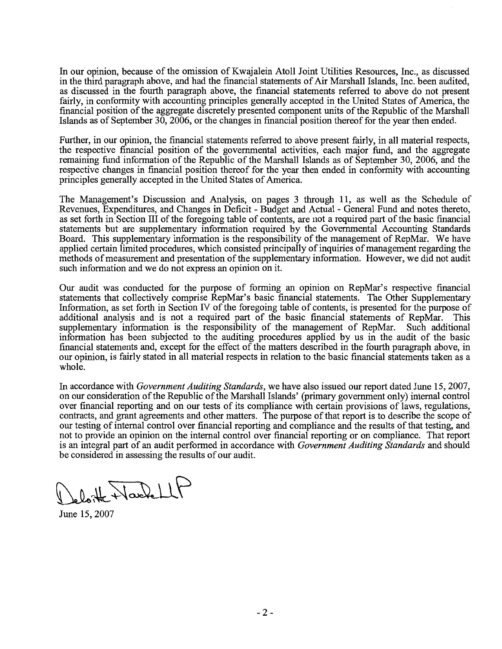In our opinion, because of the omission of Kwaialein Atoll Joint Utilities Resources, Inc., as discussed in the third paragraph above, and had the financial statements of Air Marshall Islands, Inc. been audited, as discussed in the fourth paragraph above, the financial statements referred to above do not present fairly, in conformity with accounting principles generally accepted in the United States of America, the financial position of the aggregate discretely presented component units of the Republic of the Marshall Islands as of September 30, 2006, or the changes in financial position thereof for the year then ended.

Further, in our opinion, the financial statements referred to above present fairly, in all material respects, the respective financial position of the governmental activities, each major fund, and the aggregate remaining fund information of the Republic of the Marshall Islands as of September 30, 2006, and the respective changes in financial position thereof for the year then ended in conformity with accounting principles generally accepted in the United States of America.

The Management's Discussion and Analysis, on pages 3 through 11, as well as the Schedule of Revenues, Expenditures, and Changes in Deficit - Budget and Actual - General Fund and notes thereto. as set forth in Section III of the foregoing table of contents, are not a required part of the basic financial statements but are supplementary information required by the Governmental Accounting Standards Board. This supplementary information is the responsibility of the management of RepMar. We have applied certain limited procedures, which consisted principally of inquiries of management regarding the methods of measurement and presentation of the supplementary information. However, we did not audit such information and we do not express an opinion on it.

Our audit was conducted for the purpose of forming an opinion on RepMar's respective financial statements that collectively comprise RepMar's basic financial statements. The Other Supplementary Information, as set forth in Section IV of the foregoing table of contents, is presented for the purpose of additional analysis and is not a required part of the basic financial statements of RepMar. **This** supplementary information is the responsibility of the management of RepMar. Such additional information has been subjected to the auditing procedures applied by us in the audit of the basic financial statements and, except for the effect of the matters described in the fourth paragraph above, in our opinion, is fairly stated in all material respects in relation to the basic financial statements taken as a whole.

In accordance with *Government Auditing Standards*, we have also issued our report dated June 15, 2007, on our consideration of the Republic of the Marshall Islands' (primary government only) internal control over financial reporting and on our tests of its compliance with certain provisions of laws, regulations, contracts, and grant agreements and other matters. The purpose of that report is to describe the scope of our testing of internal control over financial reporting and compliance and the results of that testing, and not to provide an opinion on the internal control over financial reporting or on compliance. That report is an integral part of an audit performed in accordance with *Government Auditing Standards* and should be considered in assessing the results of our audit.

Jeloitte Nache

June 15, 2007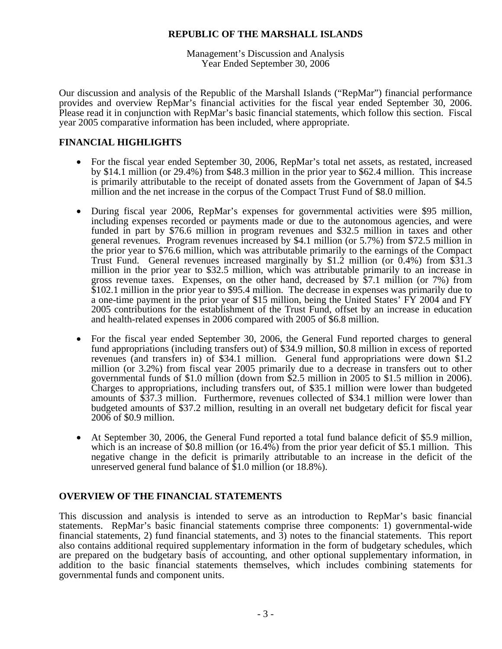Management's Discussion and Analysis Year Ended September 30, 2006

Our discussion and analysis of the Republic of the Marshall Islands ("RepMar") financial performance provides and overview RepMar's financial activities for the fiscal year ended September 30, 2006. Please read it in conjunction with RepMar's basic financial statements, which follow this section. Fiscal year 2005 comparative information has been included, where appropriate.

# **FINANCIAL HIGHLIGHTS**

- For the fiscal year ended September 30, 2006, RepMar's total net assets, as restated, increased by \$14.1 million (or 29.4%) from \$48.3 million in the prior year to \$62.4 million. This increase is primarily attributable to the receipt of donated assets from the Government of Japan of \$4.5 million and the net increase in the corpus of the Compact Trust Fund of \$8.0 million.
- During fiscal year 2006, RepMar's expenses for governmental activities were \$95 million, including expenses recorded or payments made or due to the autonomous agencies, and were funded in part by \$76.6 million in program revenues and \$32.5 million in taxes and other general revenues. Program revenues increased by \$4.1 million (or 5.7%) from \$72.5 million in the prior year to \$76.6 million, which was attributable primarily to the earnings of the Compact Trust Fund. General revenues increased marginally by \$1.2 million (or 0.4%) from \$31.3 million in the prior year to \$32.5 million, which was attributable primarily to an increase in gross revenue taxes. Expenses, on the other hand, decreased by \$7.1 million (or 7%) from \$102.1 million in the prior year to \$95.4 million. The decrease in expenses was primarily due to a one-time payment in the prior year of \$15 million, being the United States' FY 2004 and FY 2005 contributions for the establishment of the Trust Fund, offset by an increase in education and health-related expenses in 2006 compared with 2005 of \$6.8 million.
- For the fiscal year ended September 30, 2006, the General Fund reported charges to general fund appropriations (including transfers out) of \$34.9 million, \$0.8 million in excess of reported revenues (and transfers in) of \$34.1 million. General fund appropriations were down \$1.2 million (or 3.2%) from fiscal year 2005 primarily due to a decrease in transfers out to other governmental funds of \$1.0 million (down from \$2.5 million in 2005 to \$1.5 million in 2006). Charges to appropriations, including transfers out, of \$35.1 million were lower than budgeted amounts of \$37.3 million. Furthermore, revenues collected of \$34.1 million were lower than budgeted amounts of \$37.2 million, resulting in an overall net budgetary deficit for fiscal year 2006 of \$0.9 million.
- At September 30, 2006, the General Fund reported a total fund balance deficit of \$5.9 million, which is an increase of \$0.8 million (or 16.4%) from the prior year deficit of \$5.1 million. This negative change in the deficit is primarily attributable to an increase in the deficit of the unreserved general fund balance of \$1.0 million (or 18.8%).

# **OVERVIEW OF THE FINANCIAL STATEMENTS**

This discussion and analysis is intended to serve as an introduction to RepMar's basic financial statements. RepMar's basic financial statements comprise three components: 1) governmental-wide financial statements, 2) fund financial statements, and 3) notes to the financial statements. This report also contains additional required supplementary information in the form of budgetary schedules, which are prepared on the budgetary basis of accounting, and other optional supplementary information, in addition to the basic financial statements themselves, which includes combining statements for governmental funds and component units.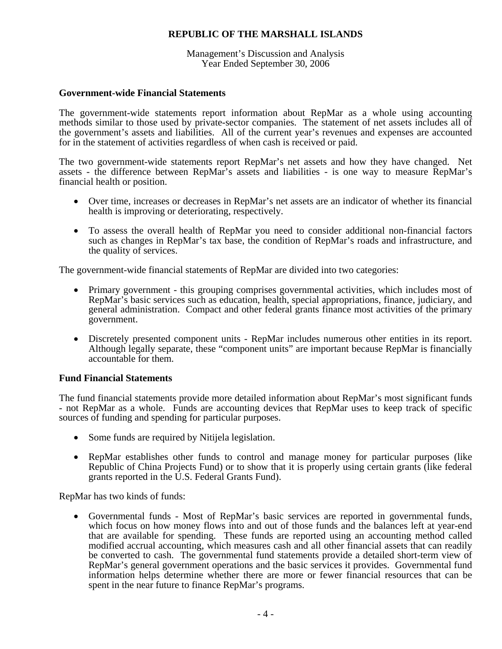Management's Discussion and Analysis Year Ended September 30, 2006

# **Government-wide Financial Statements**

The government-wide statements report information about RepMar as a whole using accounting methods similar to those used by private-sector companies. The statement of net assets includes all of the government's assets and liabilities. All of the current year's revenues and expenses are accounted for in the statement of activities regardless of when cash is received or paid.

The two government-wide statements report RepMar's net assets and how they have changed. Net assets - the difference between RepMar's assets and liabilities - is one way to measure RepMar's financial health or position.

- Over time, increases or decreases in RepMar's net assets are an indicator of whether its financial health is improving or deteriorating, respectively.
- To assess the overall health of RepMar you need to consider additional non-financial factors such as changes in RepMar's tax base, the condition of RepMar's roads and infrastructure, and the quality of services.

The government-wide financial statements of RepMar are divided into two categories:

- Primary government this grouping comprises governmental activities, which includes most of RepMar's basic services such as education, health, special appropriations, finance, judiciary, and general administration. Compact and other federal grants finance most activities of the primary government.
- Discretely presented component units RepMar includes numerous other entities in its report. Although legally separate, these "component units" are important because RepMar is financially accountable for them.

# **Fund Financial Statements**

The fund financial statements provide more detailed information about RepMar's most significant funds - not RepMar as a whole. Funds are accounting devices that RepMar uses to keep track of specific sources of funding and spending for particular purposes.

- Some funds are required by Nitijela legislation.
- RepMar establishes other funds to control and manage money for particular purposes (like Republic of China Projects Fund) or to show that it is properly using certain grants (like federal grants reported in the U.S. Federal Grants Fund).

RepMar has two kinds of funds:

• Governmental funds - Most of RepMar's basic services are reported in governmental funds, which focus on how money flows into and out of those funds and the balances left at year-end that are available for spending. These funds are reported using an accounting method called modified accrual accounting, which measures cash and all other financial assets that can readily be converted to cash. The governmental fund statements provide a detailed short-term view of RepMar's general government operations and the basic services it provides. Governmental fund information helps determine whether there are more or fewer financial resources that can be spent in the near future to finance RepMar's programs.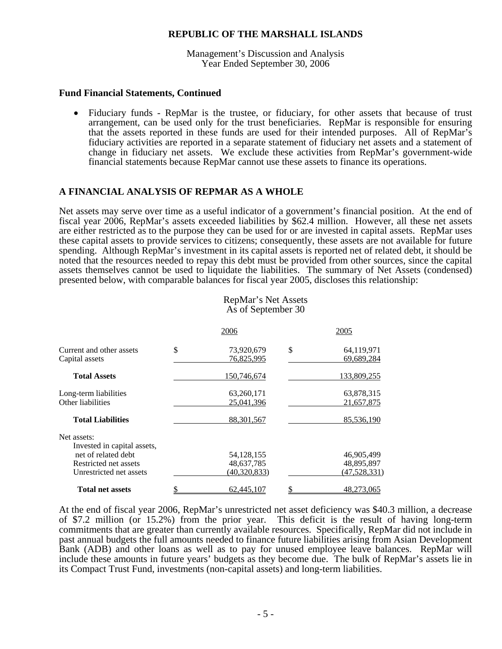Management's Discussion and Analysis Year Ended September 30, 2006

## **Fund Financial Statements, Continued**

• Fiduciary funds - RepMar is the trustee, or fiduciary, for other assets that because of trust arrangement, can be used only for the trust beneficiaries. RepMar is responsible for ensuring that the assets reported in these funds are used for their intended purposes. All of RepMar's fiduciary activities are reported in a separate statement of fiduciary net assets and a statement of change in fiduciary net assets. We exclude these activities from RepMar's government-wide financial statements because RepMar cannot use these assets to finance its operations.

# **A FINANCIAL ANALYSIS OF REPMAR AS A WHOLE**

Net assets may serve over time as a useful indicator of a government's financial position. At the end of fiscal year 2006, RepMar's assets exceeded liabilities by \$62.4 million. However, all these net assets are either restricted as to the purpose they can be used for or are invested in capital assets. RepMar uses these capital assets to provide services to citizens; consequently, these assets are not available for future spending. Although RepMar's investment in its capital assets is reported net of related debt, it should be noted that the resources needed to repay this debt must be provided from other sources, since the capital assets themselves cannot be used to liquidate the liabilities. The summary of Net Assets (condensed) presented below, with comparable balances for fiscal year 2005, discloses this relationship:

| RepMar's Net Assets |  |
|---------------------|--|
| As of September 30  |  |

|                                            | 2006                           | 2005                           |
|--------------------------------------------|--------------------------------|--------------------------------|
| Current and other assets<br>Capital assets | \$<br>73,920,679<br>76,825,995 | \$<br>64,119,971<br>69,689,284 |
| <b>Total Assets</b>                        | 150,746,674                    | 133,809,255                    |
| Long-term liabilities<br>Other liabilities | 63,260,171<br>25,041,396       | 63,878,315<br>21,657,875       |
| <b>Total Liabilities</b>                   | 88, 301, 567                   | 85,536,190                     |
| Net assets:<br>Invested in capital assets, |                                |                                |
| net of related debt                        | 54, 128, 155                   | 46,905,499                     |
| Restricted net assets                      | 48,637,785                     | 48,895,897                     |
| Unrestricted net assets                    | (40, 320, 833)                 | (47,528,331)                   |
| Total net assets                           | 62,445,107                     | 48.273.065                     |

At the end of fiscal year 2006, RepMar's unrestricted net asset deficiency was \$40.3 million, a decrease of \$7.2 million (or 15.2%) from the prior year. This deficit is the result of having long-term commitments that are greater than currently available resources. Specifically, RepMar did not include in past annual budgets the full amounts needed to finance future liabilities arising from Asian Development Bank (ADB) and other loans as well as to pay for unused employee leave balances. RepMar will include these amounts in future years' budgets as they become due. The bulk of RepMar's assets lie in its Compact Trust Fund, investments (non-capital assets) and long-term liabilities.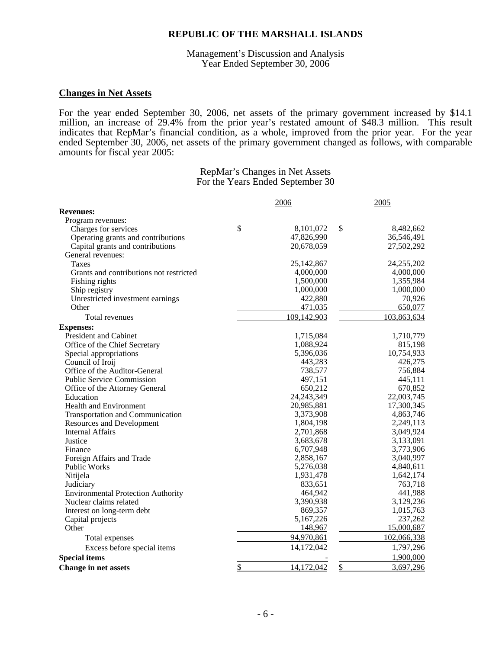Management's Discussion and Analysis Year Ended September 30, 2006

# **Changes in Net Assets**

For the year ended September 30, 2006, net assets of the primary government increased by \$14.1 million, an increase of 29.4% from the prior year's restated amount of \$48.3 million. This result indicates that RepMar's financial condition, as a whole, improved from the prior year. For the year ended September 30, 2006, net assets of the primary government changed as follows, with comparable amounts for fiscal year 2005:

> RepMar's Changes in Net Assets For the Years Ended September 30

|                                           | 2006             | 2005            |
|-------------------------------------------|------------------|-----------------|
| <b>Revenues:</b>                          |                  |                 |
| Program revenues:                         |                  |                 |
| Charges for services                      | \$<br>8,101,072  | \$<br>8,482,662 |
| Operating grants and contributions        | 47,826,990       | 36,546,491      |
| Capital grants and contributions          | 20,678,059       | 27,502,292      |
| General revenues:                         |                  |                 |
| Taxes                                     | 25, 142, 867     | 24,255,202      |
| Grants and contributions not restricted   | 4,000,000        | 4,000,000       |
| Fishing rights                            | 1,500,000        | 1,355,984       |
| Ship registry                             | 1,000,000        | 1,000,000       |
| Unrestricted investment earnings          | 422,880          | 70,926          |
| Other                                     | 471,035          | 650,077         |
| Total revenues                            | 109,142,903      | 103,863,634     |
| <b>Expenses:</b>                          |                  |                 |
| President and Cabinet                     | 1,715,084        | 1,710,779       |
| Office of the Chief Secretary             | 1,088,924        | 815,198         |
| Special appropriations                    | 5,396,036        | 10,754,933      |
| Council of Iroij                          | 443,283          | 426,275         |
| Office of the Auditor-General             | 738,577          | 756,884         |
| <b>Public Service Commission</b>          | 497,151          | 445,111         |
| Office of the Attorney General            | 650,212          | 670,852         |
| Education                                 | 24, 243, 349     | 22,003,745      |
| <b>Health and Environment</b>             | 20,985,881       | 17,300,345      |
| <b>Transportation and Communication</b>   | 3,373,908        | 4,863,746       |
| <b>Resources and Development</b>          | 1,804,198        | 2,249,113       |
| <b>Internal Affairs</b>                   | 2,701,868        | 3,049,924       |
| Justice                                   | 3,683,678        | 3,133,091       |
| Finance                                   | 6,707,948        | 3,773,906       |
| Foreign Affairs and Trade                 | 2,858,167        | 3,040,997       |
| <b>Public Works</b>                       | 5,276,038        | 4,840,611       |
| Nitijela                                  | 1,931,478        | 1,642,174       |
| Judiciary                                 | 833,651          | 763,718         |
| <b>Environmental Protection Authority</b> | 464,942          | 441,988         |
| Nuclear claims related                    | 3,390,938        | 3,129,236       |
| Interest on long-term debt                | 869,357          | 1,015,763       |
| Capital projects                          | 5,167,226        | 237,262         |
| Other                                     | 148,967          | 15,000,687      |
| Total expenses                            | 94,970,861       | 102,066,338     |
| Excess before special items               | 14,172,042       | 1,797,296       |
| <b>Special items</b>                      |                  | 1,900,000       |
| <b>Change in net assets</b>               | \$<br>14,172,042 | \$<br>3,697,296 |
|                                           |                  |                 |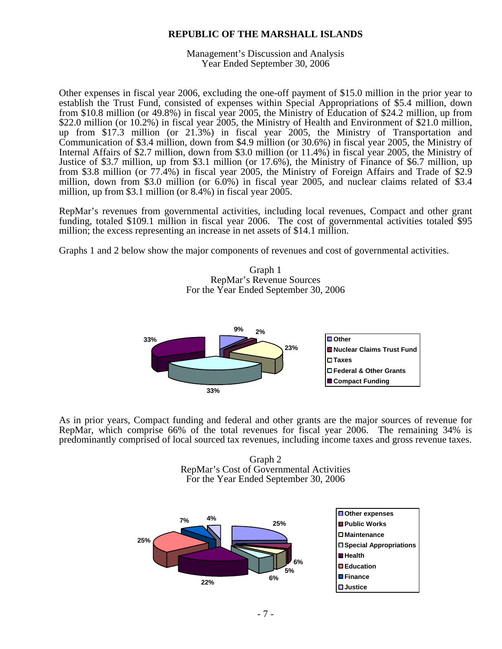Management's Discussion and Analysis Year Ended September 30, 2006

Other expenses in fiscal year 2006, excluding the one-off payment of \$15.0 million in the prior year to establish the Trust Fund, consisted of expenses within Special Appropriations of \$5.4 million, down from \$10.8 million (or 49.8%) in fiscal year 2005, the Ministry of Education of \$24.2 million, up from \$22.0 million (or 10.2%) in fiscal year 2005, the Ministry of Health and Environment of \$21.0 million, up from \$17.3 million (or 21.3%) in fiscal year 2005, the Ministry of Transportation and Communication of \$3.4 million, down from \$4.9 million (or 30.6%) in fiscal year 2005, the Ministry of Internal Affairs of \$2.7 million, down from \$3.0 million (or 11.4%) in fiscal year 2005, the Ministry of Justice of \$3.7 million, up from \$3.1 million (or 17.6%), the Ministry of Finance of \$6.7 million, up from \$3.8 million (or 77.4%) in fiscal year 2005, the Ministry of Foreign Affairs and Trade of \$2.9 million, down from \$3.0 million (or 6.0%) in fiscal year 2005, and nuclear claims related of \$3.4 million, up from \$3.1 million (or 8.4%) in fiscal year 2005.

RepMar's revenues from governmental activities, including local revenues, Compact and other grant funding, totaled \$109.1 million in fiscal year 2006. The cost of governmental activities totaled \$95 million; the excess representing an increase in net assets of \$14.1 million.

Graphs 1 and 2 below show the major components of revenues and cost of governmental activities.

Graph 1 RepMar's Revenue Sources For the Year Ended September 30, 2006



As in prior years, Compact funding and federal and other grants are the major sources of revenue for RepMar, which comprise 66% of the total revenues for fiscal year 2006. The remaining 34% is predominantly comprised of local sourced tax revenues, including income taxes and gross revenue taxes.

Graph 2 RepMar's Cost of Governmental Activities For the Year Ended September 30, 2006

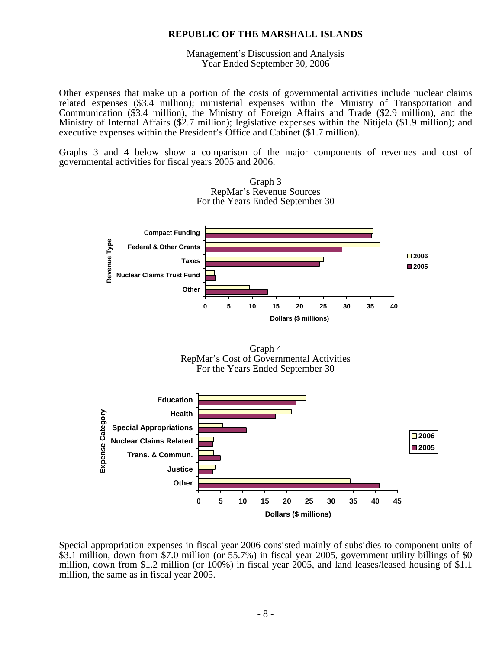Management's Discussion and Analysis Year Ended September 30, 2006

Other expenses that make up a portion of the costs of governmental activities include nuclear claims related expenses (\$3.4 million); ministerial expenses within the Ministry of Transportation and Communication (\$3.4 million), the Ministry of Foreign Affairs and Trade (\$2.9 million), and the Ministry of Internal Affairs (\$2.7 million); legislative expenses within the Nitijela (\$1.9 million); and executive expenses within the President's Office and Cabinet (\$1.7 million).

Graphs 3 and 4 below show a comparison of the major components of revenues and cost of governmental activities for fiscal years 2005 and 2006.



Special appropriation expenses in fiscal year 2006 consisted mainly of subsidies to component units of \$3.1 million, down from \$7.0 million (or 55.7%) in fiscal year 2005, government utility billings of \$0 million, down from \$1.2 million (or 100%) in fiscal year 2005, and land leases/leased housing of \$1.1 million, the same as in fiscal year 2005.

Graph 3 RepMar's Revenue Sources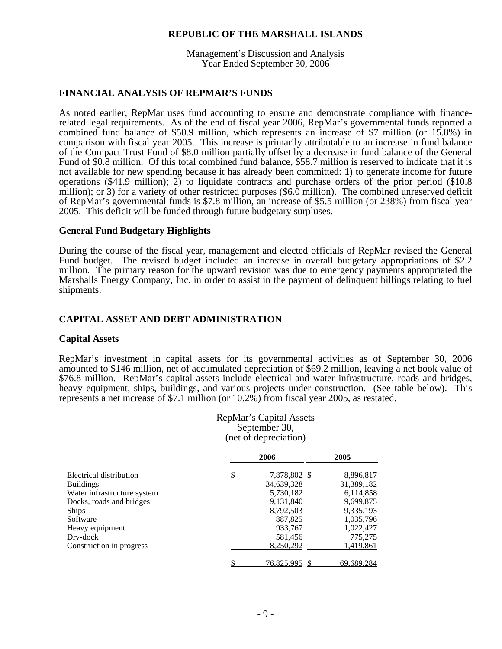Management's Discussion and Analysis Year Ended September 30, 2006

# **FINANCIAL ANALYSIS OF REPMAR'S FUNDS**

As noted earlier, RepMar uses fund accounting to ensure and demonstrate compliance with financerelated legal requirements. As of the end of fiscal year 2006, RepMar's governmental funds reported a combined fund balance of \$50.9 million, which represents an increase of \$7 million (or 15.8%) in comparison with fiscal year 2005. This increase is primarily attributable to an increase in fund balance of the Compact Trust Fund of \$8.0 million partially offset by a decrease in fund balance of the General Fund of \$0.8 million. Of this total combined fund balance, \$58.7 million is reserved to indicate that it is not available for new spending because it has already been committed: 1) to generate income for future operations (\$41.9 million); 2) to liquidate contracts and purchase orders of the prior period (\$10.8 million); or 3) for a variety of other restricted purposes  $(\$6.0 \text{ million})$ . The combined unreserved deficit of RepMar's governmental funds is \$7.8 million, an increase of \$5.5 million (or 238%) from fiscal year 2005. This deficit will be funded through future budgetary surpluses.

## **General Fund Budgetary Highlights**

During the course of the fiscal year, management and elected officials of RepMar revised the General Fund budget. The revised budget included an increase in overall budgetary appropriations of \$2.2 million. The primary reason for the upward revision was due to emergency payments appropriated the Marshalls Energy Company, Inc. in order to assist in the payment of delinquent billings relating to fuel shipments.

# **CAPITAL ASSET AND DEBT ADMINISTRATION**

# **Capital Assets**

RepMar's investment in capital assets for its governmental activities as of September 30, 2006 amounted to \$146 million, net of accumulated depreciation of \$69.2 million, leaving a net book value of \$76.8 million. RepMar's capital assets include electrical and water infrastructure, roads and bridges, heavy equipment, ships, buildings, and various projects under construction. (See table below). This represents a net increase of \$7.1 million (or 10.2%) from fiscal year 2005, as restated.

> RepMar's Capital Assets September 30, (net of depreciation)

|                             | 2006               | 2005       |  |  |
|-----------------------------|--------------------|------------|--|--|
| Electrical distribution     | \$<br>7,878,802 \$ | 8,896,817  |  |  |
| <b>Buildings</b>            | 34,639,328         | 31,389,182 |  |  |
| Water infrastructure system | 5,730,182          | 6,114,858  |  |  |
| Docks, roads and bridges    | 9,131,840          | 9,699,875  |  |  |
| <b>Ships</b>                | 8,792,503          | 9,335,193  |  |  |
| Software                    | 887,825            | 1,035,796  |  |  |
| Heavy equipment             | 933,767            | 1,022,427  |  |  |
| Dry-dock                    | 581,456            | 775,275    |  |  |
| Construction in progress    | 8,250,292          | 1,419,861  |  |  |
|                             | <u>76,825,995</u>  | 69,689,284 |  |  |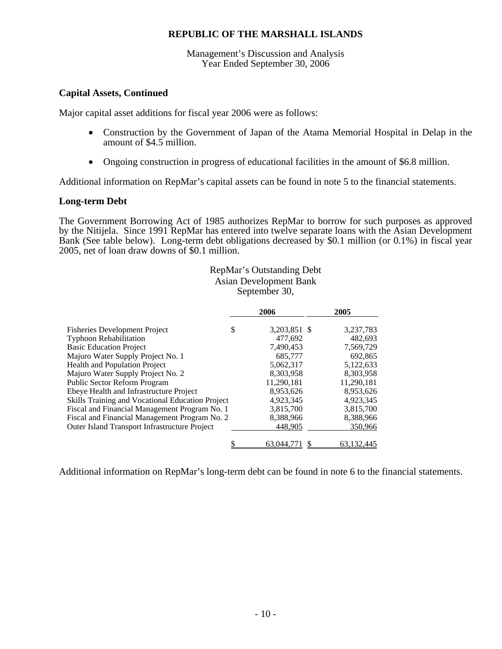Management's Discussion and Analysis Year Ended September 30, 2006

# **Capital Assets, Continued**

Major capital asset additions for fiscal year 2006 were as follows:

- Construction by the Government of Japan of the Atama Memorial Hospital in Delap in the amount of \$4.5 million.
- Ongoing construction in progress of educational facilities in the amount of \$6.8 million.

Additional information on RepMar's capital assets can be found in note 5 to the financial statements.

# **Long-term Debt**

The Government Borrowing Act of 1985 authorizes RepMar to borrow for such purposes as approved by the Nitijela. Since 1991 RepMar has entered into twelve separate loans with the Asian Development Bank (See table below). Long-term debt obligations decreased by \$0.1 million (or 0.1%) in fiscal year 2005, net of loan draw downs of \$0.1 million.

# RepMar's Outstanding Debt Asian Development Bank September 30,

|                                                  |   | 2006         | 2005       |
|--------------------------------------------------|---|--------------|------------|
| <b>Fisheries Development Project</b>             | S | 3,203,851 \$ | 3,237,783  |
| <b>Typhoon Rehabilitation</b>                    |   | 477.692      | 482.693    |
| <b>Basic Education Project</b>                   |   | 7,490,453    | 7,569,729  |
| Majuro Water Supply Project No. 1                |   | 685,777      | 692.865    |
| <b>Health and Population Project</b>             |   | 5,062,317    | 5,122,633  |
| Majuro Water Supply Project No. 2                |   | 8.303.958    | 8.303.958  |
| Public Sector Reform Program                     |   | 11,290,181   | 11,290,181 |
| Ebeye Health and Infrastructure Project          |   | 8.953.626    | 8.953.626  |
| Skills Training and Vocational Education Project |   | 4.923.345    | 4.923.345  |
| Fiscal and Financial Management Program No. 1    |   | 3,815,700    | 3,815,700  |
| Fiscal and Financial Management Program No. 2    |   | 8,388,966    | 8,388,966  |
| Outer Island Transport Infrastructure Project    |   | 448.905      | 350.966    |
|                                                  |   | 63,044,771   | 63.132.44  |

Additional information on RepMar's long-term debt can be found in note 6 to the financial statements.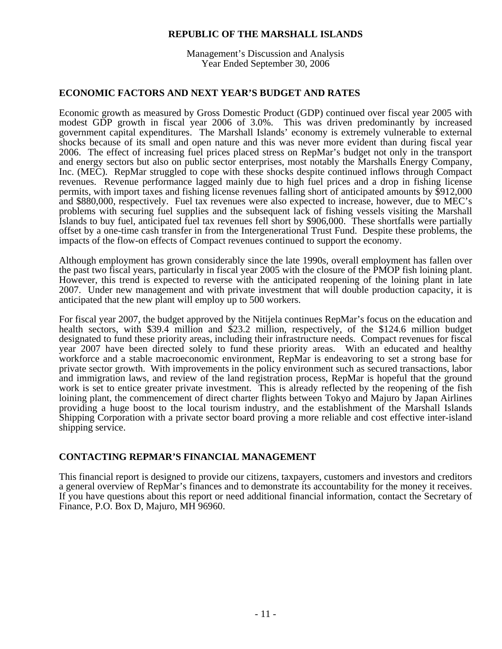Management's Discussion and Analysis Year Ended September 30, 2006

# **ECONOMIC FACTORS AND NEXT YEAR'S BUDGET AND RATES**

Economic growth as measured by Gross Domestic Product (GDP) continued over fiscal year 2005 with modest GDP growth in fiscal year 2006 of 3.0%. This was driven predominantly by increased government capital expenditures. The Marshall Islands' economy is extremely vulnerable to external shocks because of its small and open nature and this was never more evident than during fiscal year 2006. The effect of increasing fuel prices placed stress on RepMar's budget not only in the transport and energy sectors but also on public sector enterprises, most notably the Marshalls Energy Company, Inc. (MEC). RepMar struggled to cope with these shocks despite continued inflows through Compact revenues. Revenue performance lagged mainly due to high fuel prices and a drop in fishing license permits, with import taxes and fishing license revenues falling short of anticipated amounts by \$912,000 and \$880,000, respectively. Fuel tax revenues were also expected to increase, however, due to MEC's problems with securing fuel supplies and the subsequent lack of fishing vessels visiting the Marshall Islands to buy fuel, anticipated fuel tax revenues fell short by \$906,000. These shortfalls were partially offset by a one-time cash transfer in from the Intergenerational Trust Fund. Despite these problems, the impacts of the flow-on effects of Compact revenues continued to support the economy.

Although employment has grown considerably since the late 1990s, overall employment has fallen over the past two fiscal years, particularly in fiscal year 2005 with the closure of the PMOP fish loining plant. However, this trend is expected to reverse with the anticipated reopening of the loining plant in late 2007. Under new management and with private investment that will double production capacity, it is anticipated that the new plant will employ up to 500 workers.

For fiscal year 2007, the budget approved by the Nitijela continues RepMar's focus on the education and health sectors, with \$39.4 million and \$23.2 million, respectively, of the \$124.6 million budget designated to fund these priority areas, including their infrastructure needs. Compact revenues for fiscal year 2007 have been directed solely to fund these priority areas. With an educated and healthy workforce and a stable macroeconomic environment, RepMar is endeavoring to set a strong base for private sector growth. With improvements in the policy environment such as secured transactions, labor and immigration laws, and review of the land registration process, RepMar is hopeful that the ground work is set to entice greater private investment. This is already reflected by the reopening of the fish loining plant, the commencement of direct charter flights between Tokyo and Majuro by Japan Airlines providing a huge boost to the local tourism industry, and the establishment of the Marshall Islands Shipping Corporation with a private sector board proving a more reliable and cost effective inter-island shipping service.

# **CONTACTING REPMAR'S FINANCIAL MANAGEMENT**

This financial report is designed to provide our citizens, taxpayers, customers and investors and creditors a general overview of RepMar's finances and to demonstrate its accountability for the money it receives. If you have questions about this report or need additional financial information, contact the Secretary of Finance, P.O. Box D, Majuro, MH 96960.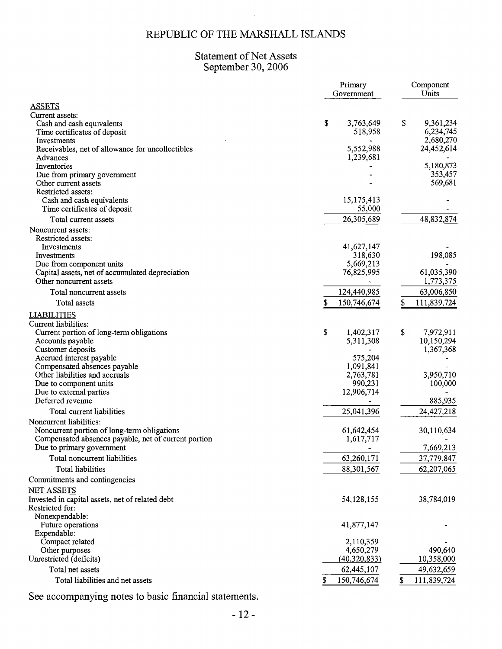# Statement of Net Assets<br>September 30, 2006

|                                                                    | Primary<br>Government | Component<br>Units       |
|--------------------------------------------------------------------|-----------------------|--------------------------|
| <b>ASSETS</b>                                                      |                       |                          |
| Current assets:                                                    |                       |                          |
| Cash and cash equivalents                                          | \$<br>3,763,649       | \$<br>9,361,234          |
| Time certificates of deposit                                       | 518,958               | 6,234,745                |
| Investments                                                        |                       | 2,680,270                |
| Receivables, net of allowance for uncollectibles                   | 5,552,988             | 24,452,614               |
| Advances                                                           | 1,239,681             |                          |
| Inventories                                                        |                       | 5,180,873                |
| Due from primary government                                        |                       | 353,457                  |
| Other current assets                                               |                       | 569,681                  |
| Restricted assets:                                                 |                       |                          |
| Cash and cash equivalents                                          | 15, 175, 413          |                          |
| Time certificates of deposit                                       | 55,000                |                          |
| Total current assets                                               | 26,305,689            | 48,832,874               |
| Noncurrent assets:                                                 |                       |                          |
| Restricted assets:                                                 |                       |                          |
| Investments                                                        | 41,627,147            |                          |
| Investments                                                        | 318,630               | 198,085                  |
| Due from component units                                           | 5,669,213             |                          |
| Capital assets, net of accumulated depreciation                    | 76,825,995            | 61,035,390               |
| Other noncurrent assets                                            |                       | 1,773,375                |
| Total noncurrent assets                                            | 124,440,985           | 63,006,850               |
| Total assets                                                       | 150,746,674<br>\$     | \$<br>111,839,724        |
| <b>LIABILITIES</b>                                                 |                       |                          |
| Current liabilities:                                               |                       |                          |
| Current portion of long-term obligations                           | \$<br>1,402,317       | \$<br>7,972,911          |
| Accounts payable                                                   | 5,311,308             | 10,150,294               |
| Customer deposits                                                  |                       | 1,367,368                |
| Accrued interest payable                                           | 575,204               |                          |
| Compensated absences payable                                       | 1,091,841             |                          |
| Other liabilities and accruals                                     | 2,763,781             | 3,950,710                |
| Due to component units                                             | 990,231               | 100,000                  |
| Due to external parties<br>Deferred revenue                        | 12,906,714            | 885,935                  |
| Total current liabilities                                          | 25,041,396            | 24,427,218               |
| Noncurrent liabilities:                                            |                       |                          |
| Noncurrent portion of long-term obligations                        | 61,642,454            | 30,110,634               |
| Compensated absences payable, net of current portion               | 1,617,717             |                          |
| Due to primary government                                          |                       | 7,669,213                |
|                                                                    |                       |                          |
| Total noncurrent liabilities<br>Total liabilities                  | 63,260,171            | 37,779,847<br>62,207,065 |
| Commitments and contingencies                                      | 88,301,567            |                          |
| <b>NET ASSETS</b>                                                  |                       |                          |
|                                                                    |                       |                          |
| Invested in capital assets, net of related debt<br>Restricted for: | 54,128,155            | 38,784,019               |
| Nonexpendable:                                                     |                       |                          |
| Future operations                                                  | 41,877,147            |                          |
| Expendable:                                                        |                       |                          |
| Compact related                                                    | 2,110,359             |                          |
| Other purposes                                                     | 4,650,279             | 490,640                  |
| Unrestricted (deficits)                                            | (40,320,833)          | 10,358,000               |
| Total net assets                                                   | 62,445,107            | 49,632,659               |
| Total liabilities and net assets                                   | 150,746,674           | \$<br>111,839,724        |
|                                                                    |                       |                          |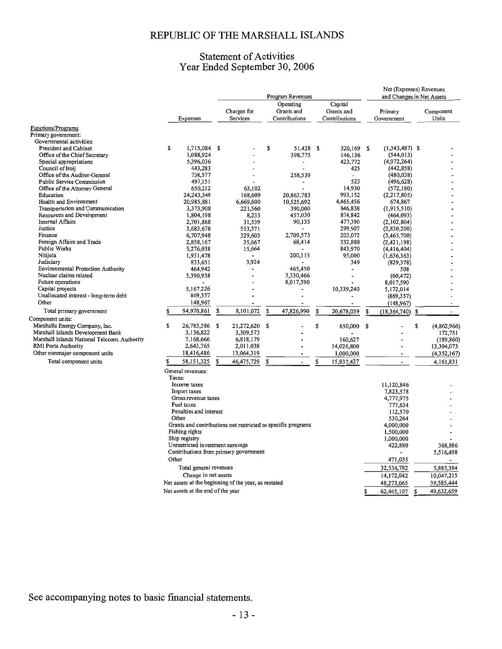# **Statement of Activities** Year Ended September 30, 2006

|                                                                                   |        |                                     |    |                                                              | Program Revenues                         |    |                                        |      | Net (Expenses) Revenues<br>and Changes in Net Assets |    |                    |
|-----------------------------------------------------------------------------------|--------|-------------------------------------|----|--------------------------------------------------------------|------------------------------------------|----|----------------------------------------|------|------------------------------------------------------|----|--------------------|
|                                                                                   |        | Expenses                            |    | Charges for<br>Services                                      | Operating<br>Grants and<br>Contributions |    | Capital<br>Grants and<br>Contributions |      | Primary<br>Government                                |    | Component<br>Units |
| Functions/Programs                                                                |        |                                     |    |                                                              |                                          |    |                                        |      |                                                      |    |                    |
| Primary government:                                                               |        |                                     |    |                                                              |                                          |    |                                        |      |                                                      |    |                    |
| Governmental activities:                                                          |        |                                     |    |                                                              |                                          |    |                                        |      |                                                      |    |                    |
| President and Cabinet<br>Office of the Chief Secretary                            | \$     | 1,715,084                           | -S |                                                              | \$<br>51,428                             | s  | 320,169 \$                             |      | $(1,343,487)$ \$                                     |    |                    |
| Special appropriations                                                            |        | 1,088,924<br>5,396,036              |    |                                                              | 398,775                                  |    | 146,136<br>423,772                     |      | (544, 013)                                           |    |                    |
| Council of Iroij                                                                  |        | 443,283                             |    |                                                              |                                          |    | 425                                    |      | (4,972,264)                                          |    |                    |
| Office of the Auditor-General                                                     |        | 738,577                             |    |                                                              | 258,539                                  |    |                                        |      | (442, 858)<br>(480, 038)                             |    |                    |
| Public Service Commission                                                         |        | 497,151                             |    |                                                              |                                          |    | 523                                    |      | (496, 628)                                           |    |                    |
| Office of the Attorney General                                                    |        | 650,212                             |    | 63,102                                                       |                                          |    | 14,930                                 |      | (572, 180)                                           |    |                    |
| Education                                                                         |        | 24,243,349                          |    | 168,609                                                      | 20,863,783                               |    | 993,152                                |      | (2,217,805)                                          |    |                    |
| Health and Environment                                                            |        | 20,985,881                          |    | 6,669,600                                                    | 10,525,692                               |    | 4,465,456                              |      | 674,867                                              |    |                    |
| Transportation and Communication                                                  |        | 3,373,908                           |    | 221,560                                                      | 390,000                                  |    | 846,838                                |      | (1,915,510)                                          |    |                    |
| Resources and Development                                                         |        | 1,804,198                           |    | 8,233                                                        | 457,030                                  |    | 874,842                                |      | (464, 093)                                           |    |                    |
| Internal Affairs                                                                  |        | 2,701,868                           |    | 31,539                                                       | 90,135                                   |    | 477,390                                |      | (2,102,804)                                          |    |                    |
| Justice                                                                           |        | 3,683,678                           |    | 553,571                                                      |                                          |    | 299,907                                |      | (2,830,200)                                          |    |                    |
| Finance                                                                           |        | 6,707,948                           |    | 329,603                                                      | 2,709,573                                |    | 203,072                                |      | (3,465,700)                                          |    |                    |
| Foreign Affairs and Trade                                                         |        | 2,858,167                           |    | 35,667                                                       | 68,414                                   |    | 332,888                                |      | (2,421,198)                                          |    |                    |
| Public Works                                                                      |        | 5,276,038                           |    | 15,664                                                       |                                          |    | 843,970                                |      | (4,416,404)                                          |    |                    |
| Nitijela                                                                          |        | 1,931,478                           |    |                                                              | 200,115                                  |    | 95,000                                 |      | (1,636,363)                                          |    |                    |
| Judiciary                                                                         |        | 833,651                             |    | 3,924                                                        |                                          |    | 349                                    |      | (829, 378)                                           |    |                    |
| <b>Environmental Protection Authority</b>                                         |        | 464,942                             |    |                                                              | 465,450                                  |    |                                        |      | 508                                                  |    |                    |
| Nuclear claims related                                                            |        | 3,390,938                           |    |                                                              | 3,330,466                                |    |                                        |      | (60, 472)                                            |    |                    |
| Future operations<br>Capital projects                                             |        |                                     |    |                                                              | 8,017,590                                |    |                                        |      | 8,017,590                                            |    |                    |
| Unallocated interest - long-term debt                                             |        | 5,167,226                           |    |                                                              |                                          |    | 10,339,240                             |      | 5,172,014                                            |    |                    |
| Other                                                                             |        | 869,357                             |    |                                                              |                                          |    |                                        |      | (869, 357)                                           |    |                    |
|                                                                                   |        | 148,967                             |    |                                                              |                                          |    |                                        |      | (148, 967)                                           |    |                    |
| Total primary government                                                          | s      | 94,970,861                          | \$ | 8,101,072                                                    | \$<br>47,826,990                         | \$ | 20,678,059                             | \$   | (18, 364, 740)                                       | S  | $\overline{a}$     |
| Component units:                                                                  |        |                                     |    |                                                              |                                          |    |                                        |      |                                                      |    |                    |
| Marshalls Energy Company, Inc.                                                    | S      | 26,785,586 \$                       |    | 21,272,620 \$                                                |                                          | \$ | 650,000                                | - \$ |                                                      | \$ | (4,862,966)        |
| Marshall Islands Development Bank<br>Marshall Islands National Telccom. Authority |        | 3,136,822                           |    | 3,309,573                                                    |                                          |    |                                        |      |                                                      |    | 172,751            |
| <b>RMI Ports Authority</b>                                                        |        | 7,168,666<br>2,643,765              |    | 6,818,179<br>2,011,038                                       |                                          |    | 160,627<br>14,026,800                  |      |                                                      |    | (189, 860)         |
| Other nonmajor component units                                                    |        | 18,416,486                          |    |                                                              |                                          |    |                                        |      |                                                      |    | 13,394,073         |
| Total component units                                                             |        |                                     |    | 13,064,319                                                   |                                          |    | 1,000,000                              |      |                                                      |    | (4,352,167)        |
|                                                                                   | \$     | 58,151,325                          | \$ | 46,475,729                                                   | \$<br>$\blacksquare$                     | \$ | 15,837,427                             |      | $\overline{a}$                                       |    | 4,161,831          |
|                                                                                   | Taxes: | General revenues:                   |    |                                                              |                                          |    |                                        |      |                                                      |    |                    |
|                                                                                   |        | Income taxes                        |    |                                                              |                                          |    |                                        |      | 11,120,846                                           |    |                    |
|                                                                                   |        | Import taxes<br>Gross revenue taxes |    |                                                              |                                          |    |                                        |      | 7,823,578                                            |    |                    |
|                                                                                   |        | Fuel taxes                          |    |                                                              |                                          |    |                                        |      | 4,777,975                                            |    |                    |
|                                                                                   |        | Penalties and interest              |    |                                                              |                                          |    |                                        |      | 777,634<br>112,570                                   |    |                    |
|                                                                                   |        | Other                               |    |                                                              |                                          |    |                                        |      | 530,264                                              |    |                    |
|                                                                                   |        |                                     |    | Grants and contributions not restricted to specific programs |                                          |    |                                        |      | 4,000,000                                            |    |                    |
|                                                                                   |        | Fishing rights                      |    |                                                              |                                          |    |                                        |      | 1,500,000                                            |    |                    |
|                                                                                   |        | Ship registry                       |    |                                                              |                                          |    |                                        |      | 1,000,000                                            |    |                    |
|                                                                                   |        | Unrestricted investment earnings    |    |                                                              |                                          |    |                                        |      | 422,880                                              |    | 368,886            |
|                                                                                   |        |                                     |    | Contributions from primary government                        |                                          |    |                                        |      |                                                      |    | 5,516,498          |
|                                                                                   | Other  |                                     |    |                                                              |                                          |    |                                        |      | 471,035                                              |    |                    |
|                                                                                   |        | Total general revenues              |    |                                                              |                                          |    |                                        |      | 32,536,782                                           |    | 5,885,384          |
|                                                                                   |        | Change in net assets                |    |                                                              |                                          |    |                                        |      | 14,172,042                                           |    | 10,047,215         |
|                                                                                   |        |                                     |    | Net assets at the beginning of the year, as restated         |                                          |    |                                        |      | 48,273,065                                           |    | 39,585,444         |
|                                                                                   |        | Net assets at the end of the year   |    |                                                              |                                          |    |                                        | S    |                                                      |    | 49.632.659         |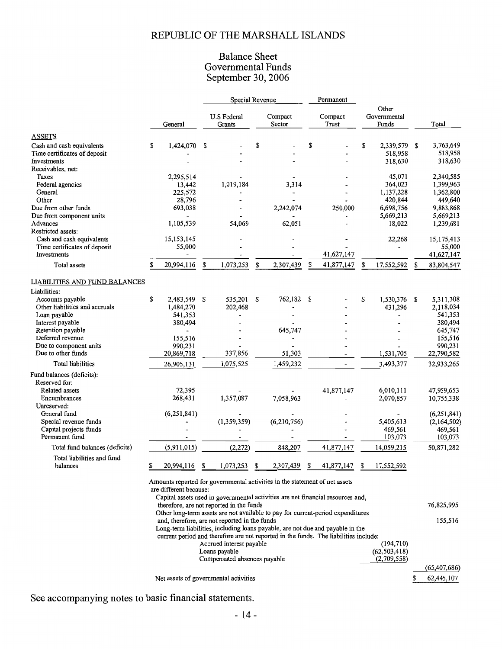# **Balance Sheet** Governmental Funds<br>September 30, 2006

|                                        |                                               |                              | Special Revenue              |                   |                                                                                      |    |                  |                       |                    |    |                    |
|----------------------------------------|-----------------------------------------------|------------------------------|------------------------------|-------------------|--------------------------------------------------------------------------------------|----|------------------|-----------------------|--------------------|----|--------------------|
|                                        |                                               | <b>U.S Federal</b><br>Grants |                              | Compact<br>Sector |                                                                                      |    |                  |                       | Other              |    |                    |
|                                        | General                                       |                              |                              |                   |                                                                                      |    | Compact<br>Trust | Governmental<br>Funds |                    |    | Total              |
|                                        |                                               |                              |                              |                   |                                                                                      |    |                  |                       |                    |    |                    |
| <b>ASSETS</b>                          |                                               |                              |                              |                   |                                                                                      |    |                  |                       |                    |    |                    |
| Cash and cash equivalents              | \$<br>1,424,070                               | \$                           |                              | \$                |                                                                                      | \$ |                  | \$                    | 2,339,579 \$       |    | 3,763,649          |
| Time certificates of deposit           |                                               |                              |                              |                   |                                                                                      |    |                  |                       | 518,958<br>318,630 |    | 518,958<br>318,630 |
| Investments                            |                                               |                              |                              |                   |                                                                                      |    |                  |                       |                    |    |                    |
| Receivables, net:<br>Taxes             | 2,295,514                                     |                              |                              |                   |                                                                                      |    |                  |                       | 45,071             |    | 2,340,585          |
| Federal agencies                       | 13,442                                        |                              | 1,019,184                    |                   | 3,314                                                                                |    |                  |                       | 364,023            |    | 1,399,963          |
| General                                | 225,572                                       |                              |                              |                   |                                                                                      |    |                  |                       | 1,137,228          |    | 1,362,800          |
| Other                                  | 28,796                                        |                              |                              |                   |                                                                                      |    |                  |                       | 420,844            |    | 449,640            |
| Due from other funds                   | 693,038                                       |                              |                              |                   | 2,242,074                                                                            |    | 250,000          |                       | 6,698,756          |    | 9,883,868          |
| Due from component units               |                                               |                              |                              |                   |                                                                                      |    |                  |                       | 5,669,213          |    | 5,669,213          |
| Advances                               | 1,105,539                                     |                              | 54,069                       |                   | 62,051                                                                               |    |                  |                       | 18,022             |    | 1,239,681          |
| Restricted assets:                     |                                               |                              |                              |                   |                                                                                      |    |                  |                       |                    |    |                    |
| Cash and cash equivalents              | 15, 153, 145                                  |                              |                              |                   |                                                                                      |    |                  |                       | 22,268             |    | 15,175,413         |
| Time certificates of deposit           | 55,000                                        |                              |                              |                   |                                                                                      |    |                  |                       |                    |    | 55,000             |
| Investments                            |                                               |                              |                              |                   |                                                                                      |    | 41,627,147       |                       |                    |    | 41,627,147         |
| Total assets                           | \$<br>20,994,116                              | \$                           | 1,073,253                    | S                 | 2,307,439                                                                            | \$ | 41,877,147       | \$                    | 17,552,592         | S  | 83,804,547         |
| LIABILITIES AND FUND BALANCES          |                                               |                              |                              |                   |                                                                                      |    |                  |                       |                    |    |                    |
| Liabilities:                           |                                               |                              |                              |                   |                                                                                      |    |                  |                       |                    |    |                    |
| Accounts payable                       | \$<br>2,483,549                               | \$                           | 535,201                      | \$                | 762,182 \$                                                                           |    |                  | \$                    | 1,530,376 \$       |    | 5,311,308          |
| Other liabilities and accruals         | 1,484,270                                     |                              | 202,468                      |                   |                                                                                      |    |                  |                       | 431,296            |    | 2,118,034          |
| Loan payable                           | 541,353                                       |                              |                              |                   |                                                                                      |    |                  |                       |                    |    | 541,353            |
| Interest payable                       | 380,494                                       |                              |                              |                   |                                                                                      |    |                  |                       |                    |    | 380,494            |
| Retention payable                      |                                               |                              |                              |                   | 645,747                                                                              |    |                  |                       |                    |    | 645,747            |
| Deferred revenue                       | 155,516                                       |                              |                              |                   |                                                                                      |    |                  |                       |                    |    | 155,516            |
| Due to component units                 | 990,231                                       |                              |                              |                   |                                                                                      |    |                  |                       |                    |    | 990,231            |
| Due to other funds                     | 20,869,718                                    |                              | 337,856                      |                   | 51,303                                                                               |    |                  |                       | 1,531,705          |    | 22,790,582         |
| Total liabilities                      | 26,905,131                                    |                              | 1,075,525                    |                   | 1,459,232                                                                            |    |                  |                       | 3,493,377          |    | 32,933,265         |
| Fund balances (deficits):              |                                               |                              |                              |                   |                                                                                      |    |                  |                       |                    |    |                    |
| Reserved for:                          |                                               |                              |                              |                   |                                                                                      |    |                  |                       |                    |    |                    |
| Related assets                         | 72,395                                        |                              |                              |                   |                                                                                      |    | 41,877,147       |                       | 6,010,111          |    | 47,959,653         |
| Encumbrances                           | 268,431                                       |                              | 1,357,087                    |                   | 7,058,963                                                                            |    |                  |                       | 2,070,857          |    | 10,755,338         |
| Unreserved:                            |                                               |                              |                              |                   |                                                                                      |    |                  |                       |                    |    |                    |
| General fund                           | (6,251,841)                                   |                              |                              |                   |                                                                                      |    |                  |                       |                    |    | (6,251,841)        |
| Special revenue funds                  |                                               |                              | (1,359,359)                  |                   | (6,210,756)                                                                          |    |                  |                       | 5,405,613          |    | (2,164,502)        |
| Capital projects funds                 |                                               |                              |                              |                   |                                                                                      |    |                  |                       | 469,561            |    | 469,561            |
| Permanent fund                         |                                               |                              |                              |                   |                                                                                      |    |                  |                       | 103,073            |    | 103,073            |
| Total fund balances (deficits)         | (5,911,015)                                   |                              | (2,272)                      |                   | 848,207                                                                              |    | 41,877,147       |                       | 14,059,215         |    | 50,871,282         |
| Total liabilities and fund<br>balances | 20,994,116                                    |                              | 1,073,253                    |                   | 2,307,439                                                                            |    | 41,877,147       | ¢                     | 17,552,592         |    |                    |
|                                        |                                               |                              |                              |                   |                                                                                      |    |                  |                       |                    |    |                    |
|                                        |                                               |                              |                              |                   | Amounts reported for governmental activities in the statement of net assets          |    |                  |                       |                    |    |                    |
|                                        | are different because:                        |                              |                              |                   |                                                                                      |    |                  |                       |                    |    |                    |
|                                        |                                               |                              |                              |                   | Capital assets used in governmental activities are not financial resources and,      |    |                  |                       |                    |    | 76,825,995         |
|                                        | therefore, are not reported in the funds      |                              |                              |                   | Other long-term assets are not available to pay for current-period expenditures      |    |                  |                       |                    |    |                    |
|                                        | and, therefore, are not reported in the funds |                              |                              |                   |                                                                                      |    |                  |                       |                    |    | 155,516            |
|                                        |                                               |                              |                              |                   | Long-term liabilities, including loans payable, are not due and payable in the       |    |                  |                       |                    |    |                    |
|                                        |                                               |                              |                              |                   | current period and therefore are not reported in the funds. The liabilities include: |    |                  |                       |                    |    |                    |
|                                        |                                               |                              | Accrued interest payable     |                   |                                                                                      |    |                  |                       | (194, 710)         |    |                    |
|                                        |                                               |                              | Loans payable                |                   |                                                                                      |    |                  |                       | (62, 503, 418)     |    |                    |
|                                        |                                               |                              | Compensated absences payable |                   |                                                                                      |    |                  |                       | (2,709,558)        |    |                    |
|                                        |                                               |                              |                              |                   |                                                                                      |    |                  |                       |                    |    | (65, 407, 686)     |
|                                        | Net assets of governmental activities         |                              |                              |                   |                                                                                      |    |                  |                       |                    | \$ | 62,445,107         |
|                                        |                                               |                              |                              |                   |                                                                                      |    |                  |                       |                    |    |                    |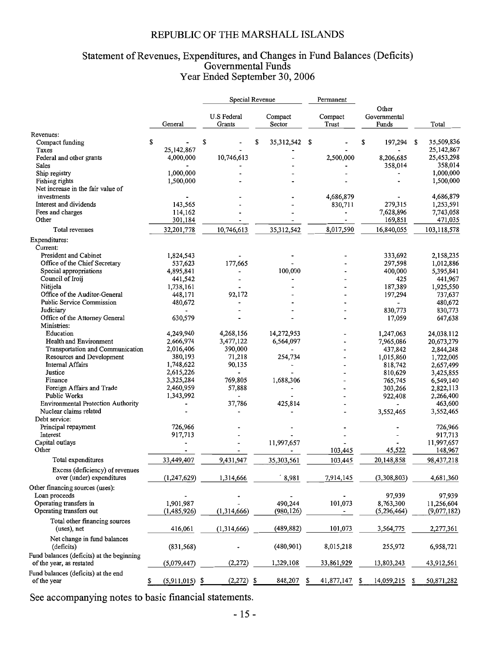# Statement of Revenues, Expenditures, and Changes in Fund Balances (Deficits)<br>Governmental Funds<br>Year Ended September 30, 2006

|                                                    |               | Special Revenue                     |    |                   | Permanent        |            |                                |    |             |
|----------------------------------------------------|---------------|-------------------------------------|----|-------------------|------------------|------------|--------------------------------|----|-------------|
|                                                    | General       | <b>U.S Federal</b><br>Grants        |    | Compact<br>Sector | Compact<br>Trust |            | Other<br>Governmental<br>Funds |    | Total       |
| Revenues:                                          |               |                                     |    |                   |                  |            |                                |    |             |
| Compact funding                                    | \$            | \$                                  | S  | 35, 312, 542      | \$               |            | \$<br>197,294                  | \$ | 35,509,836  |
| Taxes                                              | 25,142,867    |                                     |    |                   |                  |            |                                |    | 25,142,867  |
| Federal and other grants                           | 4,000,000     | 10,746,613                          |    |                   |                  | 2,500,000  | 8,206,685                      |    | 25,453,298  |
| Sales                                              |               |                                     |    |                   |                  |            | 358,014                        |    | 358,014     |
| Ship registry                                      | 1,000,000     |                                     |    |                   |                  |            |                                |    | 1,000,000   |
| Fishing rights                                     | 1,500,000     |                                     |    |                   |                  |            |                                |    | 1,500,000   |
| Net increase in the fair value of                  |               |                                     |    |                   |                  |            |                                |    |             |
| investments                                        |               |                                     |    |                   |                  | 4,686,879  |                                |    | 4,686,879   |
| Interest and dividends                             | 143,565       |                                     |    |                   |                  | 830,711    | 279,315                        |    | 1,253,591   |
| Fees and charges                                   | 114,162       |                                     |    |                   |                  |            | 7,628,896                      |    | 7,743,058   |
| Other                                              | 301,184       |                                     |    |                   |                  |            | 169,851                        |    | 471,035     |
| Total revenues                                     | 32,201,778    | 10,746,613                          |    | 35,312,542        |                  | 8,017,590  | 16,840,055                     |    | 103,118,578 |
| Expenditures:                                      |               |                                     |    |                   |                  |            |                                |    |             |
| Current:                                           |               |                                     |    |                   |                  |            |                                |    |             |
| President and Cabinet                              | 1,824,543     |                                     |    |                   |                  |            | 333,692                        |    | 2,158,235   |
| Office of the Chief Secretary                      | 537,623       | 177,665                             |    |                   |                  |            | 297,598                        |    | 1,012,886   |
| Special appropriations                             | 4,895,841     |                                     |    | 100,000           |                  |            | 400,000                        |    | 5,395,841   |
| Council of Iroij                                   | 441,542       |                                     |    |                   |                  |            | 425                            |    | 441,967     |
| Nitijela                                           | 1,738,161     |                                     |    |                   |                  |            | 187,389                        |    | 1,925,550   |
| Office of the Auditor-General                      | 448,171       | 92,172                              |    |                   |                  |            | 197,294                        |    | 737,637     |
| Public Service Commission                          | 480,672       |                                     |    |                   |                  |            |                                |    | 480,672     |
| Judiciary                                          |               |                                     |    |                   |                  |            | 830,773                        |    | 830,773     |
| Office of the Attorney General                     | 630,579       |                                     |    |                   |                  |            | 17,059                         |    | 647,638     |
| Ministries:                                        |               |                                     |    |                   |                  |            |                                |    |             |
| Education                                          | 4,249,940     | 4,268,156                           |    | 14,272,953        |                  |            | 1,247,063                      |    | 24,038,112  |
| Health and Environment                             | 2,666,974     | 3,477,122                           |    | 6,564,097         |                  |            | 7,965,086                      |    | 20,673,279  |
| Transportation and Communication                   | 2,016,406     | 390,000                             |    |                   |                  |            | 437,842                        |    | 2,844,248   |
| Resources and Development                          | 380,193       | 71,218                              |    | 254,734           |                  |            | 1,015,860                      |    | 1,722,005   |
| <b>Internal Affairs</b>                            | 1,748,622     | 90,135                              |    |                   |                  |            | 818,742                        |    | 2,657,499   |
| Justice                                            | 2,615,226     |                                     |    |                   |                  |            | 810,629                        |    | 3,425,855   |
| Finance                                            | 3,325,284     | 769,805                             |    | 1,688,306         |                  |            | 765,745                        |    | 6,549,140   |
| Foreign Affairs and Trade                          | 2,460,959     | 57,888                              |    |                   |                  |            | 303,266                        |    | 2,822,113   |
| Public Works                                       | 1,343,992     |                                     |    |                   |                  |            | 922,408                        |    | 2,266,400   |
| <b>Environmental Protection Authority</b>          |               | 37,786                              |    | 425,814           |                  |            |                                |    | 463,600     |
| Nuclear claims related                             |               |                                     |    |                   |                  |            | 3,552,465                      |    | 3,552,465   |
| Debt service:                                      |               |                                     |    |                   |                  |            |                                |    |             |
| Principal repayment                                | 726,966       |                                     |    |                   |                  |            |                                |    | 726,966     |
| Interest                                           | 917,713       |                                     |    |                   |                  |            |                                |    | 917,713     |
| Capital outlays                                    |               |                                     |    | 11,997,657        |                  |            |                                |    | 11,997,657  |
| Other                                              |               |                                     |    |                   |                  | 103,445    | 45,522                         |    | 148,967     |
| Total expenditures                                 | 33,449,407    | 9,431,947                           |    | 35,303,561        |                  | 103,445    | 20,148,858                     |    | 98,437,218  |
| Excess (deficiency) of revenues                    |               |                                     |    |                   |                  |            |                                |    |             |
| over (under) expenditures                          | (1, 247, 629) | 1,314,666                           |    | 8,981             |                  | 7,914,145  | (3,308,803)                    |    | 4,681,360   |
| Other financing sources (uses):                    |               |                                     |    |                   |                  |            |                                |    |             |
| Loan proceeds                                      |               |                                     |    |                   |                  |            |                                |    |             |
| Operating transfers in                             | 1,901,987     |                                     |    | 490,244           |                  |            | 97,939                         |    | 97,939      |
| Operating transfers out                            | (1,485,926)   |                                     |    |                   |                  | 101,073    | 8,763,300                      |    | 11,256,604  |
|                                                    |               | (1,314,666)                         |    | (980, 126)        |                  |            | (5, 296, 464)                  |    | (9,077,182) |
| Total other financing sources<br>(uses), net       | 416,061       | (1,314,666)                         |    | (489, 882)        |                  | 101,073    | 3,564,775                      |    | 2,277,361   |
| Net change in fund balances<br>(deficits)          | (831, 568)    |                                     |    | (480, 901)        |                  | 8,015,218  | 255,972                        |    | 6,958,721   |
| Fund balances (deficits) at the beginning          |               |                                     |    |                   |                  |            |                                |    |             |
| of the year, as restated                           | (5,079,447)   | (2, 272)                            |    | 1,329,108         |                  | 33,861,929 | 13,803,243                     |    | 43,912,561  |
| Fund balances (deficits) at the end<br>of the year | (5,911,015)   | (2, 272)<br>$\overline{\mathbf{z}}$ | \$ | 848,207           | S                | 41,877,147 | \$<br>14,059,215               | \$ | 50,871,282  |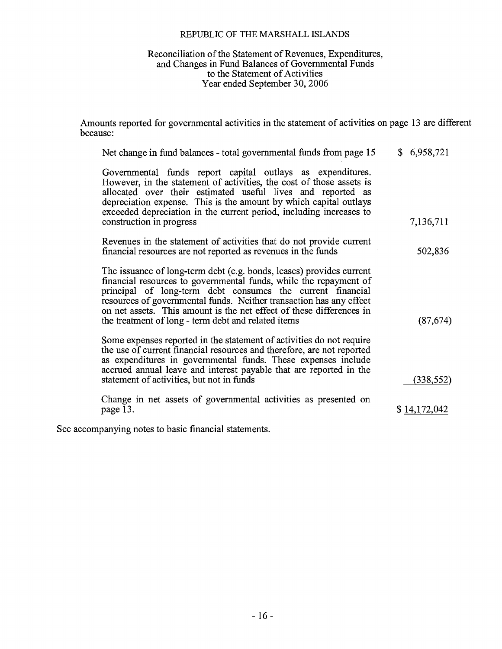# Reconciliation of the Statement of Revenues, Expenditures,<br>and Changes in Fund Balances of Governmental Funds to the Statement of Activities Year ended September 30, 2006

Amounts reported for governmental activities in the statement of activities on page 13 are different because:

| Net change in fund balances - total governmental funds from page 15                                                                                                                                                                                                                                                                                                                                           | \$6,958,721  |
|---------------------------------------------------------------------------------------------------------------------------------------------------------------------------------------------------------------------------------------------------------------------------------------------------------------------------------------------------------------------------------------------------------------|--------------|
| Governmental funds report capital outlays as expenditures.<br>However, in the statement of activities, the cost of those assets is<br>allocated over their estimated useful lives and reported as<br>depreciation expense. This is the amount by which capital outlays<br>exceeded depreciation in the current period, including increases to<br>construction in progress                                     | 7,136,711    |
| Revenues in the statement of activities that do not provide current<br>financial resources are not reported as revenues in the funds                                                                                                                                                                                                                                                                          | 502,836      |
| The issuance of long-term debt (e.g. bonds, leases) provides current<br>financial resources to governmental funds, while the repayment of<br>principal of long-term debt consumes the current financial<br>resources of governmental funds. Neither transaction has any effect<br>on net assets. This amount is the net effect of these differences in<br>the treatment of long - term debt and related items | (87, 674)    |
| Some expenses reported in the statement of activities do not require<br>the use of current financial resources and therefore, are not reported<br>as expenditures in governmental funds. These expenses include<br>accrued annual leave and interest payable that are reported in the<br>statement of activities, but not in funds                                                                            | (338, 552)   |
| Change in net assets of governmental activities as presented on<br>page 13.                                                                                                                                                                                                                                                                                                                                   | \$14,172,042 |
|                                                                                                                                                                                                                                                                                                                                                                                                               |              |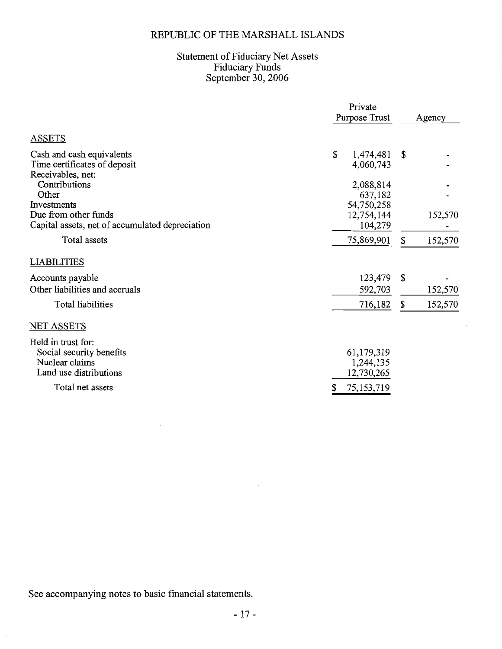# Statement of Fiduciary Net Assets<br>Fiduciary Funds<br>September 30, 2006

|                                                                                            | Private<br>Purpose Trust              |    | Agency  |  |
|--------------------------------------------------------------------------------------------|---------------------------------------|----|---------|--|
| <b>ASSETS</b>                                                                              |                                       |    |         |  |
| Cash and cash equivalents<br>Time certificates of deposit<br>Receivables, net:             | \$<br>1,474,481<br>4,060,743          | \$ |         |  |
| Contributions<br>Other<br>Investments                                                      | 2,088,814<br>637,182<br>54,750,258    |    |         |  |
| Due from other funds<br>Capital assets, net of accumulated depreciation                    | 12,754,144<br>104,279                 |    | 152,570 |  |
| Total assets                                                                               | 75,869,901                            | \$ | 152,570 |  |
| <b>LIABILITIES</b>                                                                         |                                       |    |         |  |
| Accounts payable<br>Other liabilities and accruals                                         | 123,479<br>592,703                    | S. | 152,570 |  |
| Total liabilities                                                                          | 716,182                               | \$ | 152,570 |  |
| NET ASSETS                                                                                 |                                       |    |         |  |
| Held in trust for:<br>Social security benefits<br>Nuclear claims<br>Land use distributions | 61,179,319<br>1,244,135<br>12,730,265 |    |         |  |
| Total net assets                                                                           | 75, 153, 719<br>S                     |    |         |  |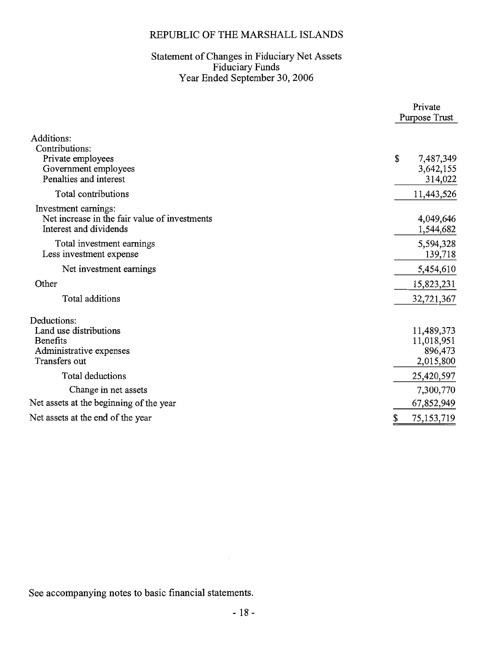# Statement of Changes in Fiduciary Net Assets<br>Fiduciary Funds<br>Year Ended September 30, 2006

|                                                                                                      | Private<br>Purpose Trust                         |
|------------------------------------------------------------------------------------------------------|--------------------------------------------------|
| Additions:<br>Contributions:<br>Private employees<br>Government employees<br>Penalties and interest  | \$<br>7,487,349<br>3,642,155<br>314,022          |
| Total contributions                                                                                  | 11,443,526                                       |
| Investment earnings:<br>Net increase in the fair value of investments<br>Interest and dividends      | 4,049,646<br>1,544,682                           |
| Total investment earnings<br>Less investment expense                                                 | 5,594,328<br>139,718                             |
| Net investment earnings                                                                              | 5,454,610                                        |
| Other                                                                                                | 15,823,231                                       |
| Total additions                                                                                      | 32,721,367                                       |
| Deductions:<br>Land use distributions<br><b>Benefits</b><br>Administrative expenses<br>Transfers out | 11,489,373<br>11,018,951<br>896,473<br>2,015,800 |
| Total deductions                                                                                     | 25,420,597                                       |
| Change in net assets                                                                                 | 7,300,770                                        |
| Net assets at the beginning of the year                                                              | 67,852,949                                       |
| Net assets at the end of the year                                                                    | 75,153,719<br>S                                  |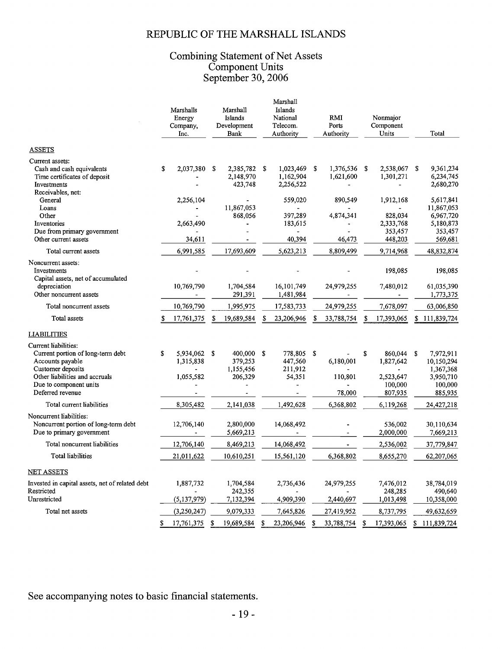# Combining Statement of Net Assets<br>Component Units<br>September 30, 2006

|                                                                                                                                                                                    | Marshalls<br>Energy<br>Company,<br>Inc.     | Marshall<br>Islands<br>Development<br>Bank            | Marshall<br>Islands<br>National<br>Telecom.<br>Authority | RMI<br>Ports<br>Authority              | Nonmajor<br>Component<br>Units                                | Total                                                                         |
|------------------------------------------------------------------------------------------------------------------------------------------------------------------------------------|---------------------------------------------|-------------------------------------------------------|----------------------------------------------------------|----------------------------------------|---------------------------------------------------------------|-------------------------------------------------------------------------------|
| <b>ASSETS</b>                                                                                                                                                                      |                                             |                                                       |                                                          |                                        |                                                               |                                                                               |
| Current assets:<br>Cash and cash equivalents<br>Time certificates of deposit<br>Investments<br>Receivables, net:                                                                   | 2,037,380<br>\$                             | \$<br>2,385,782 \$<br>2,148,970<br>423,748            | 1,023,469 \$<br>1,162,904<br>2,256,522                   | 1,376,536 \$<br>1,621,600              | 2,538,067<br>1,301,271<br>$\frac{1}{2}$                       | 9,361,234<br>-S<br>6,234,745<br>2,680,270                                     |
| General<br>Loans<br>Other<br>Inventories<br>Due from primary government<br>Other current assets                                                                                    | 2,256,104<br>2,663,490<br>34,611            | 11,867,053<br>868,056<br>$\qquad \qquad \blacksquare$ | 559,020<br>397,289<br>183,615<br>40,394                  | 890,549<br>4,874,341<br>46,473         | 1,912,168<br>828,034<br>2,333,768<br>353,457<br>448,203       | 5,617,841<br>11,867,053<br>6,967,720<br>5,180,873<br>353,457<br>569,681       |
| Total current assets                                                                                                                                                               | 6,991,585                                   | 17,693,609                                            | 5,623,213                                                | 8,809,499                              | 9,714,968                                                     | 48,832,874                                                                    |
| Noncurrent assets:<br>Investments<br>Capital assets, net of accumulated                                                                                                            |                                             |                                                       |                                                          |                                        | 198,085                                                       | 198,085                                                                       |
| depreciation<br>Other noncurrent assets                                                                                                                                            | 10,769,790                                  | 1,704,584<br>291,391                                  | 16,101,749<br>1,481,984                                  | 24,979,255                             | 7,480,012                                                     | 61,035,390<br>1,773,375                                                       |
| Total noncurrent assets                                                                                                                                                            | 10,769,790                                  | 1,995,975                                             | 17,583,733                                               | 24,979,255                             | 7,678,097                                                     | 63,006,850                                                                    |
| Total assets                                                                                                                                                                       | \$<br>17,761,375                            | \$<br>19,689,584                                      | \$<br>23,206,946                                         | S<br>33,788,754                        | \$<br>17,393,065                                              | \$111,839,724                                                                 |
| <b>LIABILITIES</b>                                                                                                                                                                 |                                             |                                                       |                                                          |                                        |                                                               |                                                                               |
| Current liabilities:<br>Current portion of long-term debt<br>Accounts payable<br>Customer deposits<br>Other liabilities and accruals<br>Due to component units<br>Deferred revenue | S<br>5,934,062 \$<br>1,315,838<br>1,055,582 | 400,000 \$<br>379,253<br>1,155,456<br>206,329         | 778,805<br>447,560<br>211,912<br>54,351                  | - \$<br>6,180,001<br>110,801<br>78,000 | \$<br>860,044<br>1,827,642<br>2,523,647<br>100,000<br>807,935 | 7,972,911<br>-S<br>10,150,294<br>1,367,368<br>3,950,710<br>100,000<br>885,935 |
| Total current liabilities                                                                                                                                                          | 8,305,482                                   | 2,141,038                                             | 1,492,628                                                | 6,368,802                              | 6,119,268                                                     | 24,427,218                                                                    |
| Noncurrent liabilities:<br>Noncurrent portion of long-term debt<br>Due to primary government                                                                                       | 12,706,140                                  | 2,800,000<br>5,669,213                                | 14,068,492                                               |                                        | 536,002<br>2,000,000                                          | 30,110,634<br>7,669,213                                                       |
| Total noncurrent liabilities                                                                                                                                                       | 12,706,140                                  | 8,469,213                                             | 14,068,492                                               |                                        | 2,536,002                                                     | 37,779,847                                                                    |
| Total liabilities                                                                                                                                                                  | 21,011,622                                  | 10,610,251                                            | 15,561,120                                               | 6,368,802                              | 8,655,270                                                     | 62,207,065                                                                    |
| <b>NET ASSETS</b>                                                                                                                                                                  |                                             |                                                       |                                                          |                                        |                                                               |                                                                               |
| Invested in capital assets, net of related debt<br>Restricted                                                                                                                      | 1,887,732                                   | 1,704,584<br>242,355                                  | 2,736,436                                                | 24,979,255                             | 7,476,012<br>248,285                                          | 38,784,019<br>490,640                                                         |
| Unrestricted                                                                                                                                                                       | (5, 137, 979)                               | 7,132,394                                             | 4,909,390                                                | 2,440,697                              | 1,013,498                                                     | 10,358,000                                                                    |
| Total net assets                                                                                                                                                                   | (3,250,247)<br>\$<br>17,761,375             | 9,079,333<br>19,689,584<br>\$                         | 7,645,826<br>23,206,946<br>S                             | 27,419,952<br>S<br>33,788,754          | 8,737,795<br>17,393,065<br>S                                  | 49,632,659<br>\$111,839,724                                                   |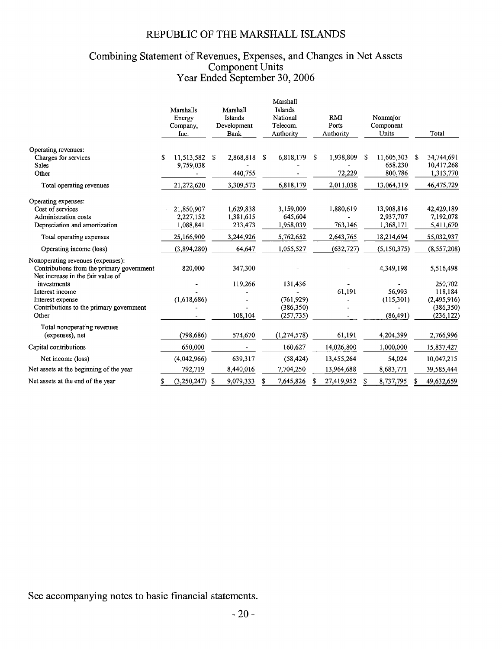# Combining Statement of Revenues, Expenses, and Changes in Net Assets<br>Component Units<br>Year Ended September 30, 2006

|                                                                                                                     | Marshalls<br>Energy<br>Company.<br>Inc. |    | Marshall<br>Islands<br>Development<br>Bank | Marshall<br>Islands<br>National<br>Telecom.<br>Authority |                                                   |   | <b>RMI</b><br>Ports<br>Authority |    | Nonmajor<br>Component<br>Units       |    | Total                                                         |
|---------------------------------------------------------------------------------------------------------------------|-----------------------------------------|----|--------------------------------------------|----------------------------------------------------------|---------------------------------------------------|---|----------------------------------|----|--------------------------------------|----|---------------------------------------------------------------|
| Operating revenues:<br>Charges for services<br><b>Sales</b><br>Other                                                | \$<br>11,513,582<br>9,759,038           | S. | 2,868,818<br>440,755                       | S                                                        | 6,818,179                                         | S | 1,938,809<br>72,229              | S  | 11,605,303<br>658,230<br>800,786     | S. | 34,744,691<br>10,417,268<br>1,313,770                         |
| Total operating revenues                                                                                            | 21,272,620                              |    | 3,309,573                                  |                                                          | 6,818,179                                         |   | 2,011,038                        |    | 13,064,319                           |    | 46,475,729                                                    |
| Operating expenses:<br>Cost of services<br>Administration costs<br>Depreciation and amortization                    | 21,850,907<br>2,227,152<br>1,088,841    |    | 1,629,838<br>1,381,615<br>233,473          |                                                          | 3,159,009<br>645,604<br>1,958,039                 |   | 1,880,619<br>763,146             |    | 13,908,816<br>2,937,707<br>1,368,171 |    | 42,429,189<br>7,192,078<br>5,411,670                          |
| Total operating expenses                                                                                            | 25,166,900                              |    | 3,244,926                                  |                                                          | 5,762,652                                         |   | 2,643,765                        |    | 18,214,694                           |    | 55,032,937                                                    |
| Operating income (loss)                                                                                             | (3,894,280)                             |    | 64,647                                     |                                                          | 1,055,527                                         |   | (632, 727)                       |    | (5,150,375)                          |    | (8, 557, 208)                                                 |
| Nonoperating revenues (expenses):<br>Contributions from the primary government<br>Net increase in the fair value of | 820,000                                 |    | 347,300                                    |                                                          |                                                   |   |                                  |    | 4,349,198                            |    | 5,516,498                                                     |
| investments<br>Interest income<br>Interest expense<br>Contributions to the primary government<br>Other              | (1,618,686)                             |    | 119,266<br>108,104                         |                                                          | 131,436<br>(761, 929)<br>(386, 350)<br>(257, 735) |   | 61,191                           |    | 56,993<br>(115,301)<br>(86, 491)     |    | 250,702<br>118,184<br>(2,495,916)<br>(386, 350)<br>(236, 122) |
| Total nonoperating revenues<br>(expenses), net                                                                      | (798, 686)                              |    | 574,670                                    |                                                          | (1,274,578)                                       |   | 61,191                           |    | 4,204,399                            |    | 2,766,996                                                     |
| Capital contributions                                                                                               | 650,000                                 |    |                                            |                                                          | 160,627                                           |   | 14,026,800                       |    | 1,000,000                            |    | 15,837,427                                                    |
| Net income (loss)                                                                                                   | (4,042,966)                             |    | 639,317                                    |                                                          | (58, 424)                                         |   | 13,455,264                       |    | 54,024                               |    | 10,047,215                                                    |
| Net assets at the beginning of the year                                                                             | 792,719                                 |    | 8,440,016                                  |                                                          | 7,704,250                                         |   | 13,964,688                       |    | 8,683,771                            |    | 39,585,444                                                    |
| Net assets at the end of the year                                                                                   | (3,250,247)<br>\$                       | \$ | 9,079,333                                  |                                                          | 7,645,826                                         | S | 27,419,952                       | \$ | 8,737,795                            | \$ | 49,632,659                                                    |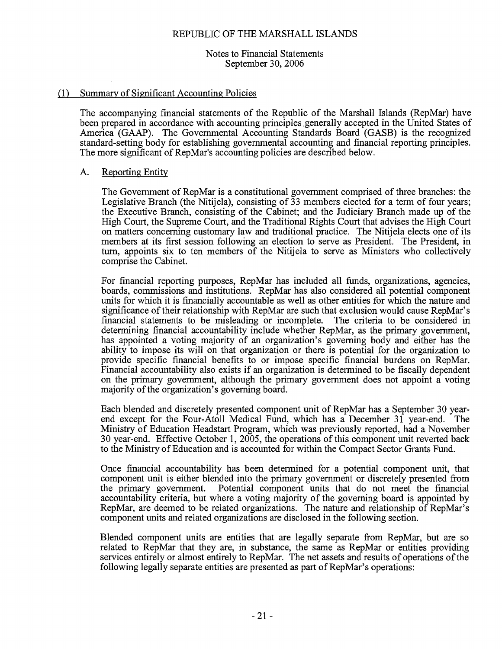## Notes to Financial Statements September 30, 2006

# (1) Summary of Significant Accounting Policies

The accompanying financial statements of the Republic of the Marshall Islands (RepMar) have been prepared in accordance with accounting principles generally accepted in the United States of America (GAAP). The Governmental Accounting Standards Board (GASB) is the recognized standard-setting body for establishing governmental accounting and financial reporting principles. The more significant of RepMar's accounting policies are described below.

#### A. Reporting Entity

The Government of RepMar is a constitutional government comprised of three branches: the Legislative Branch (the Nitijela), consisting of 33 members elected for a term of four years; the Executive Branch, consisting of the Cabinet; and the Judiciary Branch made up of the High Court, the Supreme Court, and the Traditional Rights Court that advises the High Court on matters concerning customary law and traditional practice. The Nitijela elects one of its members at its first session following an election to serve as President. The President, in turn, appoints six to ten members of the Nitijela to serve as Ministers who collectively comprise the Cabinet.

For financial reporting purposes, RepMar has included all funds, organizations, agencies, boards, commissions and institutions. RepMar has also considered all potential component units for which it is financially accountable as well as other entities for which the nature and significance of their relationship with RepMar are such that exclusion would cause RepMar's financial statements to be misleading or incomplete. The criteria to be considered in determining financial accountability include whether RepMar, as the primary government, has appointed a voting majority of an organization's governing body and either has the ability to impose its will on that organization or there is potential for the organization to provide specific financial benefits to or impose specific financial burdens on RepMar. Financial accountability also exists if an organization is determined to be fiscally dependent on the primary government, although the primary government does not appoint a voting majority of the organization's governing board.

Each blended and discretely presented component unit of RepMar has a September 30 yearend except for the Four-Atoll Medical Fund, which has a December 31 year-end. The Ministry of Education Headstart Program, which was previously reported, had a November 30 year-end. Effective October 1, 2005, the operations of this component unit reverted back to the Ministry of Education and is accounted for within the Compact Sector Grants Fund.

Once financial accountability has been determined for a potential component unit, that component unit is either blended into the primary government or discretely presented from Potential component units that do not meet the financial the primary government. accountability criteria, but where a voting majority of the governing board is appointed by RepMar, are deemed to be related organizations. The nature and relationship of RepMar's component units and related organizations are disclosed in the following section.

Blended component units are entities that are legally separate from RepMar, but are so related to RepMar that they are, in substance, the same as RepMar or entities providing services entirely or almost entirely to RepMar. The net assets and results of operations of the following legally separate entities are presented as part of RepMar's operations: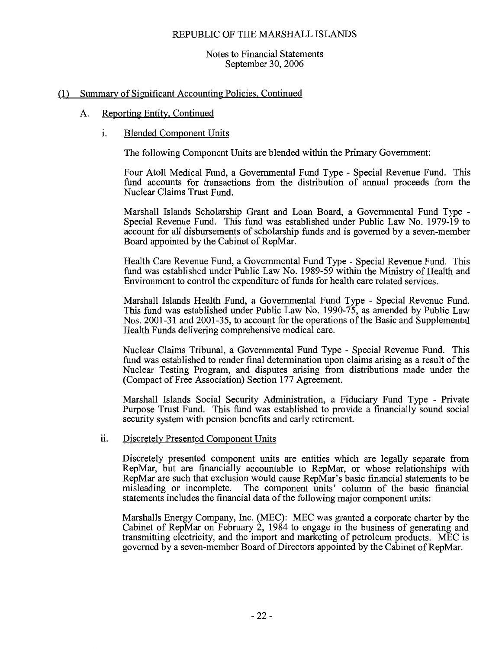## Notes to Financial Statements September 30, 2006

# (1) Summary of Significant Accounting Policies, Continued

#### A. Reporting Entity, Continued

#### i. **Blended Component Units**

The following Component Units are blended within the Primary Government:

Four Atoll Medical Fund, a Governmental Fund Type - Special Revenue Fund. This fund accounts for transactions from the distribution of annual proceeds from the Nuclear Claims Trust Fund.

Marshall Islands Scholarship Grant and Loan Board, a Governmental Fund Type -Special Revenue Fund. This fund was established under Public Law No. 1979-19 to account for all disbursements of scholarship funds and is governed by a seven-member Board appointed by the Cabinet of RepMar.

Health Care Revenue Fund, a Governmental Fund Type - Special Revenue Fund. This fund was established under Public Law No. 1989-59 within the Ministry of Health and Environment to control the expenditure of funds for health care related services.

Marshall Islands Health Fund, a Governmental Fund Type - Special Revenue Fund. This fund was established under Public Law No. 1990-75, as amended by Public Law Nos. 2001-31 and 2001-35, to account for the operations of the Basic and Supplemental Health Funds delivering comprehensive medical care.

Nuclear Claims Tribunal, a Governmental Fund Type - Special Revenue Fund. This fund was established to render final determination upon claims arising as a result of the Nuclear Testing Program, and disputes arising from distributions made under the (Compact of Free Association) Section 177 Agreement.

Marshall Islands Social Security Administration, a Fiduciary Fund Type - Private Purpose Trust Fund. This fund was established to provide a financially sound social security system with pension benefits and early retirement.

#### Discretely Presented Component Units ii.

Discretely presented component units are entities which are legally separate from RepMar, but are financially accountable to RepMar, or whose relationships with RepMar are such that exclusion would cause RepMar's basic financial statements to be The component units' column of the basic financial misleading or incomplete. statements includes the financial data of the following major component units:

Marshalls Energy Company, Inc. (MEC): MEC was granted a corporate charter by the Cabinet of RepMar on February 2, 1984 to engage in the business of generating and transmitting electricity, and the import and marketing of petroleum products. MEC is governed by a seven-member Board of Directors appointed by the Cabinet of RepMar.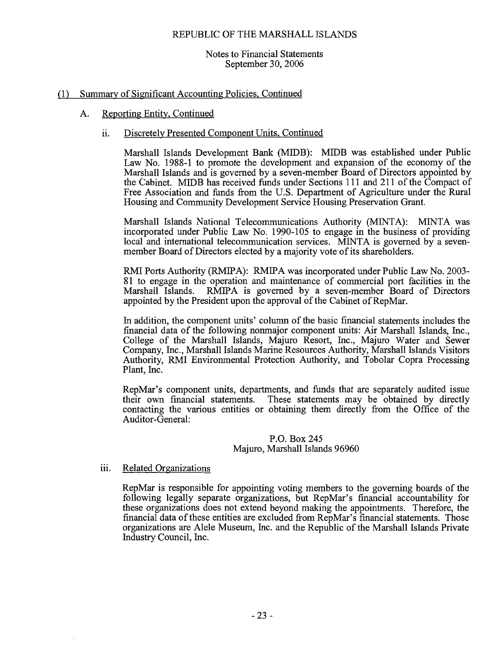## Notes to Financial Statements September 30, 2006

#### Summary of Significant Accounting Policies, Continued  $(1)$

#### A. Reporting Entity, Continued

#### ii. Discretely Presented Component Units, Continued

Marshall Islands Development Bank (MIDB): MIDB was established under Public Law No. 1988-1 to promote the development and expansion of the economy of the Marshall Islands and is governed by a seven-member Board of Directors appointed by the Cabinet. MIDB has received funds under Sections 111 and 211 of the Compact of Free Association and funds from the U.S. Department of Agriculture under the Rural Housing and Community Development Service Housing Preservation Grant.

Marshall Islands National Telecommunications Authority (MINTA): MINTA was incorporated under Public Law No. 1990-105 to engage in the business of providing local and international telecommunication services. MINTA is governed by a sevenmember Board of Directors elected by a majority vote of its shareholders.

RMI Ports Authority (RMIPA): RMIPA was incorporated under Public Law No. 2003-81 to engage in the operation and maintenance of commercial port facilities in the RMIPA is governed by a seven-member Board of Directors Marshall Islands. appointed by the President upon the approval of the Cabinet of RepMar.

In addition, the component units' column of the basic financial statements includes the financial data of the following nonmajor component units: Air Marshall Islands, Inc., College of the Marshall Islands, Majuro Resort, Inc., Majuro Water and Sewer Company, Inc., Marshall Islands Marine Resources Authority, Marshall Islands Visitors Authority, RMI Environmental Protection Authority, and Tobolar Copra Processing Plant, Inc.

RepMar's component units, departments, and funds that are separately audited issue their own financial statements. These statements may be obtained by directly contacting the various entities or obtaining them directly from the Office of the Auditor-General:

## P.O. Box 245 Majuro, Marshall Islands 96960

#### **Related Organizations** iii.

RepMar is responsible for appointing voting members to the governing boards of the following legally separate organizations, but RepMar's financial accountability for these organizations does not extend beyond making the appointments. Therefore, the financial data of these entities are excluded from RepMar's financial statements. Those organizations are Alele Museum, Inc. and the Republic of the Marshall Islands Private Industry Council, Inc.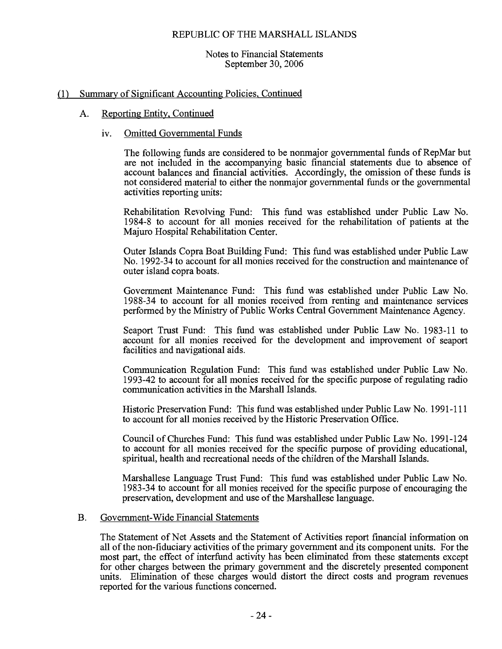## Notes to Financial Statements September 30, 2006

#### Summary of Significant Accounting Policies, Continued  $(1)$

#### Reporting Entity, Continued A.

#### **Omitted Governmental Funds**  $iv_{i}$

The following funds are considered to be nonmajor governmental funds of RepMar but are not included in the accompanying basic financial statements due to absence of account balances and financial activities. Accordingly, the omission of these funds is not considered material to either the nonmajor governmental funds or the governmental activities reporting units:

Rehabilitation Revolving Fund: This fund was established under Public Law No. 1984-8 to account for all monies received for the rehabilitation of patients at the Majuro Hospital Rehabilitation Center.

Outer Islands Copra Boat Building Fund: This fund was established under Public Law No. 1992-34 to account for all monies received for the construction and maintenance of outer island copra boats.

Government Maintenance Fund: This fund was established under Public Law No. 1988-34 to account for all monies received from renting and maintenance services performed by the Ministry of Public Works Central Government Maintenance Agency.

Seaport Trust Fund: This fund was established under Public Law No. 1983-11 to account for all monies received for the development and improvement of seaport facilities and navigational aids.

Communication Regulation Fund: This fund was established under Public Law No. 1993-42 to account for all monies received for the specific purpose of regulating radio communication activities in the Marshall Islands.

Historic Preservation Fund: This fund was established under Public Law No. 1991-111 to account for all monies received by the Historic Preservation Office.

Council of Churches Fund: This fund was established under Public Law No. 1991-124 to account for all monies received for the specific purpose of providing educational. spiritual, health and recreational needs of the children of the Marshall Islands.

Marshallese Language Trust Fund: This fund was established under Public Law No. 1983-34 to account for all monies received for the specific purpose of encouraging the preservation, development and use of the Marshallese language.

#### Government-Wide Financial Statements  $\mathbf{B}$ .

The Statement of Net Assets and the Statement of Activities report financial information on all of the non-fiduciary activities of the primary government and its component units. For the most part, the effect of interfund activity has been eliminated from these statements except for other charges between the primary government and the discretely presented component units. Elimination of these charges would distort the direct costs and program revenues reported for the various functions concerned.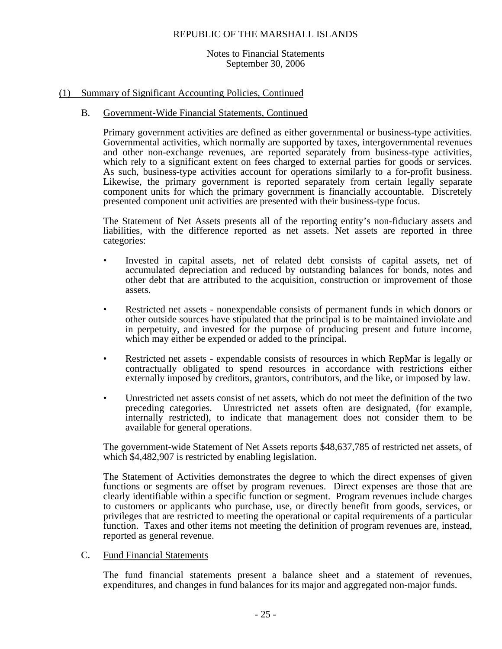## Notes to Financial Statements September 30, 2006

# (1) Summary of Significant Accounting Policies, Continued

# B. Government-Wide Financial Statements, Continued

Primary government activities are defined as either governmental or business-type activities. Governmental activities, which normally are supported by taxes, intergovernmental revenues and other non-exchange revenues, are reported separately from business-type activities, which rely to a significant extent on fees charged to external parties for goods or services. As such, business-type activities account for operations similarly to a for-profit business. Likewise, the primary government is reported separately from certain legally separate component units for which the primary government is financially accountable. Discretely presented component unit activities are presented with their business-type focus.

The Statement of Net Assets presents all of the reporting entity's non-fiduciary assets and liabilities, with the difference reported as net assets. Net assets are reported in three categories:

- Invested in capital assets, net of related debt consists of capital assets, net of accumulated depreciation and reduced by outstanding balances for bonds, notes and other debt that are attributed to the acquisition, construction or improvement of those assets.
- Restricted net assets nonexpendable consists of permanent funds in which donors or other outside sources have stipulated that the principal is to be maintained inviolate and in perpetuity, and invested for the purpose of producing present and future income, which may either be expended or added to the principal.
- Restricted net assets expendable consists of resources in which RepMar is legally or contractually obligated to spend resources in accordance with restrictions either externally imposed by creditors, grantors, contributors, and the like, or imposed by law.
- Unrestricted net assets consist of net assets, which do not meet the definition of the two preceding categories. Unrestricted net assets often are designated, (for example, internally restricted), to indicate that management does not consider them to be available for general operations.

The government-wide Statement of Net Assets reports \$48,637,785 of restricted net assets, of which  $$4,482,907$  is restricted by enabling legislation.

The Statement of Activities demonstrates the degree to which the direct expenses of given functions or segments are offset by program revenues. Direct expenses are those that are clearly identifiable within a specific function or segment. Program revenues include charges to customers or applicants who purchase, use, or directly benefit from goods, services, or privileges that are restricted to meeting the operational or capital requirements of a particular function. Taxes and other items not meeting the definition of program revenues are, instead, reported as general revenue.

# C. Fund Financial Statements

The fund financial statements present a balance sheet and a statement of revenues, expenditures, and changes in fund balances for its major and aggregated non-major funds.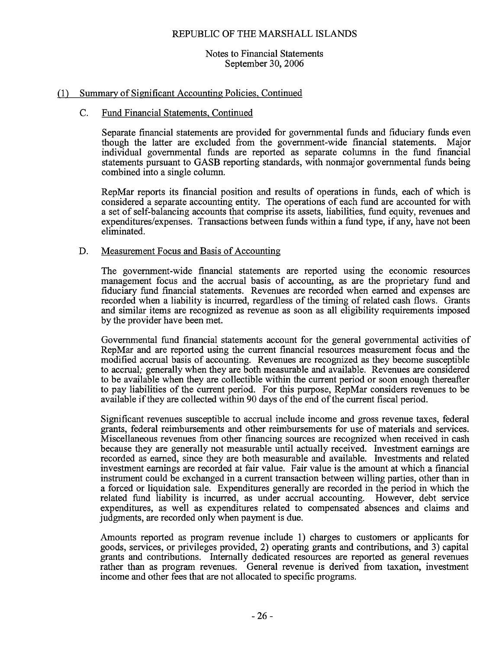## Notes to Financial Statements September 30, 2006

# (1) Summary of Significant Accounting Policies, Continued

#### $C_{\cdot}$ Fund Financial Statements, Continued

Separate financial statements are provided for governmental funds and fiduciary funds even though the latter are excluded from the government-wide financial statements. Major individual governmental funds are reported as separate columns in the fund financial statements pursuant to GASB reporting standards, with nonmajor governmental funds being combined into a single column.

RepMar reports its financial position and results of operations in funds, each of which is considered a separate accounting entity. The operations of each fund are accounted for with a set of self-balancing accounts that comprise its assets, liabilities, fund equity, revenues and expenditures/expenses. Transactions between funds within a fund type, if any, have not been eliminated.

#### D. Measurement Focus and Basis of Accounting

The government-wide financial statements are reported using the economic resources management focus and the accrual basis of accounting, as are the proprietary fund and fiduciary fund financial statements. Revenues are recorded when earned and expenses are recorded when a liability is incurred, regardless of the timing of related cash flows. Grants and similar items are recognized as revenue as soon as all eligibility requirements imposed by the provider have been met.

Governmental fund financial statements account for the general governmental activities of RepMar and are reported using the current financial resources measurement focus and the modified accrual basis of accounting. Revenues are recognized as they become susceptible to accrual, generally when they are both measurable and available. Revenues are considered to be available when they are collectible within the current period or soon enough thereafter to pay liabilities of the current period. For this purpose, RepMar considers revenues to be available if they are collected within 90 days of the end of the current fiscal period.

Significant revenues susceptible to accrual include income and gross revenue taxes, federal grants, federal reimbursements and other reimbursements for use of materials and services. Miscellaneous revenues from other financing sources are recognized when received in cash because they are generally not measurable until actually received. Investment earnings are recorded as earned, since they are both measurable and available. Investments and related investment earnings are recorded at fair value. Fair value is the amount at which a financial instrument could be exchanged in a current transaction between willing parties, other than in a forced or liquidation sale. Expenditures generally are recorded in the period in which the related fund liability is incurred, as under accrual accounting. However, debt service expenditures, as well as expenditures related to compensated absences and claims and judgments, are recorded only when payment is due.

Amounts reported as program revenue include 1) charges to customers or applicants for goods, services, or privileges provided, 2) operating grants and contributions, and 3) capital grants and contributions. Internally dedicated resources are reported as general revenues rather than as program revenues. General revenue is derived from taxation, investment income and other fees that are not allocated to specific programs.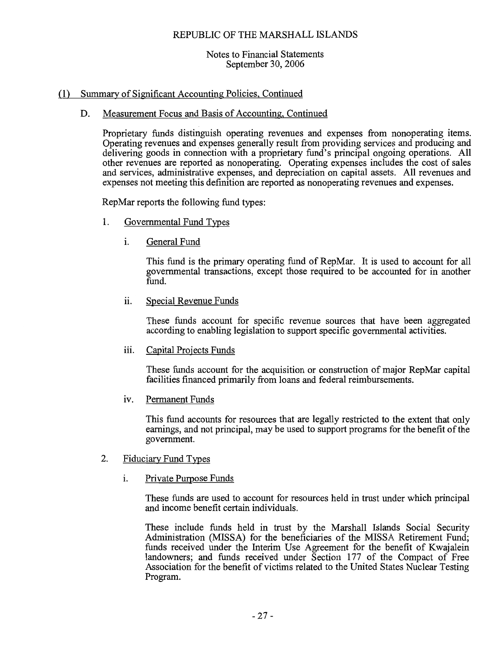## Notes to Financial Statements September 30, 2006

# (1) Summary of Significant Accounting Policies, Continued

#### Measurement Focus and Basis of Accounting, Continued D.

Proprietary funds distinguish operating revenues and expenses from nonoperating items. Operating revenues and expenses generally result from providing services and producing and delivering goods in connection with a proprietary fund's principal ongoing operations. All other revenues are reported as nonoperating. Operating expenses includes the cost of sales and services, administrative expenses, and depreciation on capital assets. All revenues and expenses not meeting this definition are reported as nonoperating revenues and expenses.

RepMar reports the following fund types:

- 1. Governmental Fund Types
	- i. General Fund

This fund is the primary operating fund of RepMar. It is used to account for all governmental transactions, except those required to be accounted for in another fund.

ii. Special Revenue Funds

> These funds account for specific revenue sources that have been aggregated according to enabling legislation to support specific governmental activities.

iii. Capital Projects Funds

> These funds account for the acquisition or construction of major RepMar capital facilities financed primarily from loans and federal reimbursements.

iv. Permanent Funds

This fund accounts for resources that are legally restricted to the extent that only earnings, and not principal, may be used to support programs for the benefit of the government.

- $\overline{2}$ . Fiduciary Fund Types
	- Private Purpose Funds i.

These funds are used to account for resources held in trust under which principal and income benefit certain individuals.

These include funds held in trust by the Marshall Islands Social Security Administration (MISSA) for the beneficiaries of the MISSA Retirement Fund: funds received under the Interim Use Agreement for the benefit of Kwajalein landowners; and funds received under Section 177 of the Compact of Free Association for the benefit of victims related to the United States Nuclear Testing Program.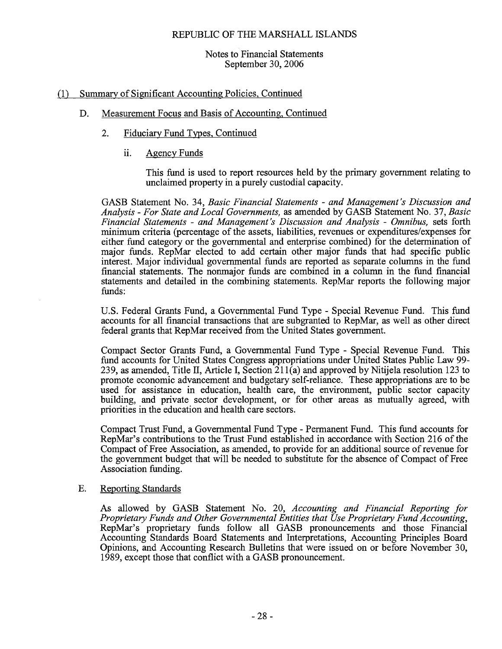## Notes to Financial Statements September 30, 2006

# (1) Summary of Significant Accounting Policies, Continued

#### Measurement Focus and Basis of Accounting, Continued D.

- $2.$ **Fiduciary Fund Types, Continued** 
	- ii. **Agency Funds**

This fund is used to report resources held by the primary government relating to unclaimed property in a purely custodial capacity.

GASB Statement No. 34, Basic Financial Statements - and Management's Discussion and Analysis - For State and Local Governments, as amended by GASB Statement No. 37, Basic Financial Statements - and Management's Discussion and Analysis - Omnibus, sets forth minimum criteria (percentage of the assets, liabilities, revenues or expenditures/expenses for either fund category or the governmental and enterprise combined) for the determination of major funds. RepMar elected to add certain other major funds that had specific public interest. Major individual governmental funds are reported as separate columns in the fund financial statements. The nonmajor funds are combined in a column in the fund financial statements and detailed in the combining statements. RepMar reports the following major funds:

U.S. Federal Grants Fund, a Governmental Fund Type - Special Revenue Fund. This fund accounts for all financial transactions that are subgranted to RepMar, as well as other direct federal grants that RepMar received from the United States government.

Compact Sector Grants Fund, a Governmental Fund Type - Special Revenue Fund. This fund accounts for United States Congress appropriations under United States Public Law 99-239, as amended, Title II, Article I, Section  $211(a)$  and approved by Nitijela resolution 123 to promote economic advancement and budgetary self-reliance. These appropriations are to be used for assistance in education, health care, the environment, public sector capacity building, and private sector development, or for other areas as mutually agreed, with priorities in the education and health care sectors.

Compact Trust Fund, a Governmental Fund Type - Permanent Fund. This fund accounts for RepMar's contributions to the Trust Fund established in accordance with Section 216 of the Compact of Free Association, as amended, to provide for an additional source of revenue for the government budget that will be needed to substitute for the absence of Compact of Free Association funding.

#### **Reporting Standards**  $E.$

As allowed by GASB Statement No. 20, Accounting and Financial Reporting for Proprietary Funds and Other Governmental Entities that Use Proprietary Fund Accounting, RepMar's proprietary funds follow all GASB pronouncements and those Financial Accounting Standards Board Statements and Interpretations, Accounting Principles Board Opinions, and Accounting Research Bulletins that were issued on or before November 30, 1989, except those that conflict with a GASB pronouncement.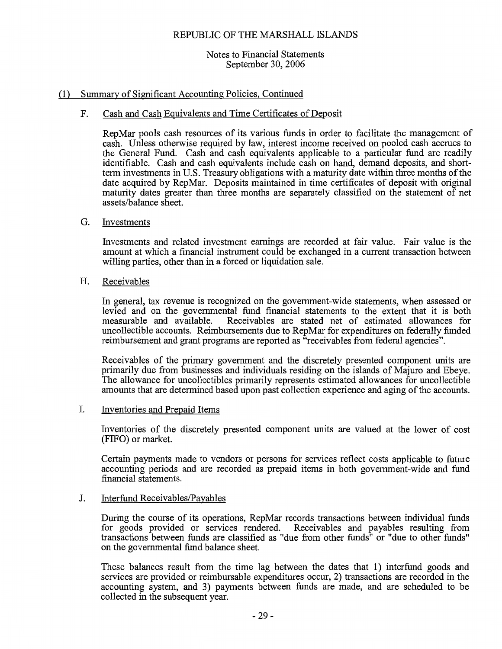## Notes to Financial Statements September 30, 2006

# (1) Summary of Significant Accounting Policies, Continued

#### Cash and Cash Equivalents and Time Certificates of Deposit  $F<sub>1</sub>$

RepMar pools cash resources of its various funds in order to facilitate the management of cash. Unless otherwise required by law, interest income received on pooled cash accrues to the General Fund. Cash and cash equivalents applicable to a particular fund are readily identifiable. Cash and cash equivalents include cash on hand, demand deposits, and shortterm investments in U.S. Treasury obligations with a maturity date within three months of the date acquired by RepMar. Deposits maintained in time certificates of deposit with original maturity dates greater than three months are separately classified on the statement of net assets/balance sheet.

#### G. Investments

Investments and related investment earnings are recorded at fair value. Fair value is the amount at which a financial instrument could be exchanged in a current transaction between willing parties, other than in a forced or liquidation sale.

#### H. Receivables

In general, tax revenue is recognized on the government-wide statements, when assessed or levied and on the governmental fund financial statements to the extent that it is both measurable and available. Receivables are stated net of estimated allowances for uncollectible accounts. Reimbursements due to RepMar for expenditures on federally funded reimbursement and grant programs are reported as "receivables from federal agencies".

Receivables of the primary government and the discretely presented component units are primarily due from businesses and individuals residing on the islands of Majuro and Ebeye. The allowance for uncollectibles primarily represents estimated allowances for uncollectible amounts that are determined based upon past collection experience and aging of the accounts.

#### L. **Inventories and Prepaid Items**

Inventories of the discretely presented component units are valued at the lower of cost (FIFO) or market.

Certain payments made to vendors or persons for services reflect costs applicable to future accounting periods and are recorded as prepaid items in both government-wide and fund financial statements.

#### $\Gamma$ Interfund Receivables/Payables

During the course of its operations, RepMar records transactions between individual funds for goods provided or services rendered. Receivables and payables resulting from transactions between funds are classified as "due from other funds" or "due to other funds" on the governmental fund balance sheet.

These balances result from the time lag between the dates that 1) interfund goods and services are provided or reimbursable expenditures occur, 2) transactions are recorded in the accounting system, and 3) payments between funds are made, and are scheduled to be collected in the subsequent year.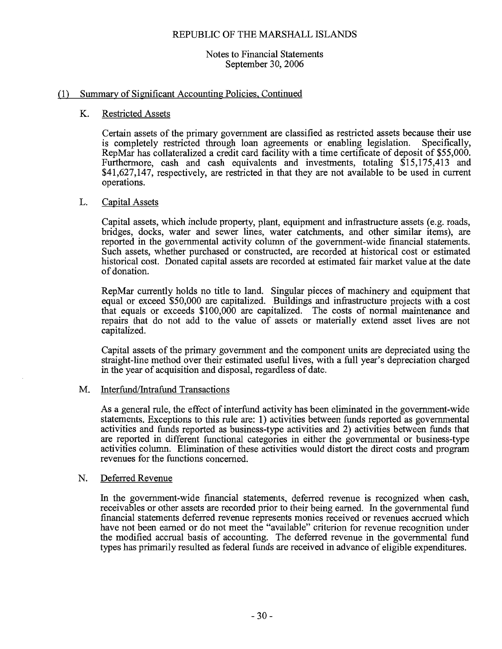## Notes to Financial Statements September 30, 2006

#### Summary of Significant Accounting Policies, Continued  $(1)$

#### K. **Restricted Assets**

Certain assets of the primary government are classified as restricted assets because their use is completely restricted through loan agreements or enabling legislation. Specifically. RepMar has collateralized a credit card facility with a time certificate of deposit of \$55,000. Furthermore, cash and cash equivalents and investments, totaling \$15,175,413 and \$41,627,147, respectively, are restricted in that they are not available to be used in current operations.

#### L. Capital Assets

Capital assets, which include property, plant, equipment and infrastructure assets (e.g. roads, bridges, docks, water and sewer lines, water catchments, and other similar items), are reported in the governmental activity column of the government-wide financial statements. Such assets, whether purchased or constructed, are recorded at historical cost or estimated historical cost. Donated capital assets are recorded at estimated fair market value at the date of donation.

RepMar currently holds no title to land. Singular pieces of machinery and equipment that equal or exceed \$50,000 are capitalized. Buildings and infrastructure projects with a cost that equals or exceeds \$100,000 are capitalized. The costs of normal maintenance and repairs that do not add to the value of assets or materially extend asset lives are not capitalized.

Capital assets of the primary government and the component units are depreciated using the straight-line method over their estimated useful lives, with a full year's depreciation charged in the year of acquisition and disposal, regardless of date.

#### Interfund/Intrafund Transactions M.

As a general rule, the effect of interfund activity has been eliminated in the government-wide statements. Exceptions to this rule are: 1) activities between funds reported as governmental activities and funds reported as business-type activities and 2) activities between funds that are reported in different functional categories in either the governmental or business-type activities column. Elimination of these activities would distort the direct costs and program revenues for the functions concerned.

#### Deferred Revenue N.

In the government-wide financial statements, deferred revenue is recognized when cash, receivables or other assets are recorded prior to their being earned. In the governmental fund financial statements deferred revenue represents monies received or revenues accrued which have not been earned or do not meet the "available" criterion for revenue recognition under the modified accrual basis of accounting. The deferred revenue in the governmental fund types has primarily resulted as federal funds are received in advance of eligible expenditures.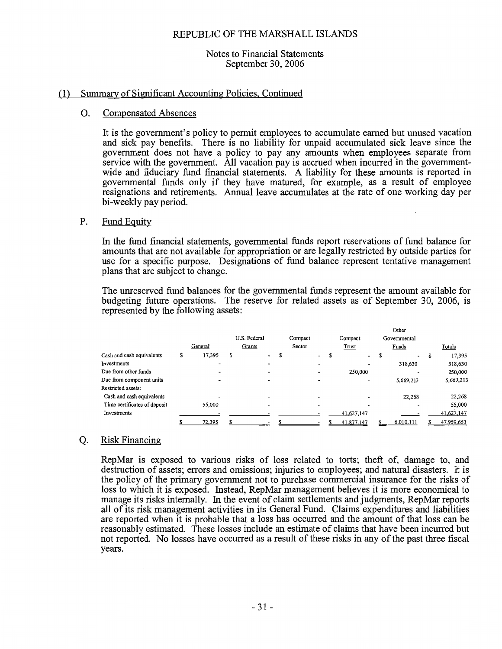### Notes to Financial Statements September 30, 2006

#### Summary of Significant Accounting Policies, Continued  $(1)$

#### Ο. **Compensated Absences**

It is the government's policy to permit employees to accumulate earned but unused vacation and sick pay benefits. There is no liability for unpaid accumulated sick leave since the government does not have a policy to pay any amounts when employees separate from service with the government. All vacation pay is accrued when incurred in the governmentwide and fiduciary fund financial statements. A liability for these amounts is reported in governmental funds only if they have matured, for example, as a result of employee resignations and retirements. Annual leave accumulates at the rate of one working day per bi-weekly pay period.

#### Ρ. Fund Equity

In the fund financial statements, governmental funds report reservations of fund balance for amounts that are not available for appropriation or are legally restricted by outside parties for use for a specific purpose. Designations of fund balance represent tentative management plans that are subject to change.

The unreserved fund balances for the governmental funds represent the amount available for budgeting future operations. The reserve for related assets as of September 30, 2006, is represented by the following assets:

|                              |   |         |              |         |                          | Other |                          |   |              |   |            |
|------------------------------|---|---------|--------------|---------|--------------------------|-------|--------------------------|---|--------------|---|------------|
|                              |   |         | U.S. Federal | Compact |                          |       | Compact                  |   | Governmental |   |            |
|                              |   | General | Grants       | Sector  |                          |       | Trust                    |   | Funds        |   | Totals     |
| Cash and cash equivalents    | S | 17,395  | \$           |         | $\overline{\phantom{a}}$ | S     | $\overline{\phantom{a}}$ | ъ | $\cdot$      | S | 17,395     |
| Investments                  |   |         |              |         |                          |       | $\blacksquare$           |   | 318,630      |   | 318,630    |
| Due from other funds         |   |         |              |         | $\overline{\phantom{a}}$ |       | 250,000                  |   |              |   | 250,000    |
| Due from component units     |   |         |              |         |                          |       | $\overline{\phantom{a}}$ |   | 5,669,213    |   | 5,669,213  |
| Restricted assets:           |   |         |              |         |                          |       |                          |   |              |   |            |
| Cash and cash equivalents    |   |         |              |         | -                        |       |                          |   | 22,268       |   | 22,268     |
| Time certificates of deposit |   | 55,000  |              |         |                          |       |                          |   |              |   | 55,000     |
| Investments                  |   |         |              |         |                          |       | 41,627,147               |   |              |   | 41,627,147 |
|                              |   | 72.395  |              |         |                          |       | 41.877.147               |   | 6.010.111    |   | 47.959.653 |

#### Q. **Risk Financing**

 $\mathcal{L}_{\mathcal{A}}$ 

RepMar is exposed to various risks of loss related to torts; theft of, damage to, and destruction of assets; errors and omissions; injuries to employees; and natural disasters. It is the policy of the primary government not to purchase commercial insurance for the risks of loss to which it is exposed. Instead, RepMar management believes it is more economical to manage its risks internally. In the event of claim settlements and judgments, RepMar reports all of its risk management activities in its General Fund. Claims expenditures and liabilities are reported when it is probable that a loss has occurred and the amount of that loss can be reasonably estimated. These losses include an estimate of claims that have been incurred but not reported. No losses have occurred as a result of these risks in any of the past three fiscal years.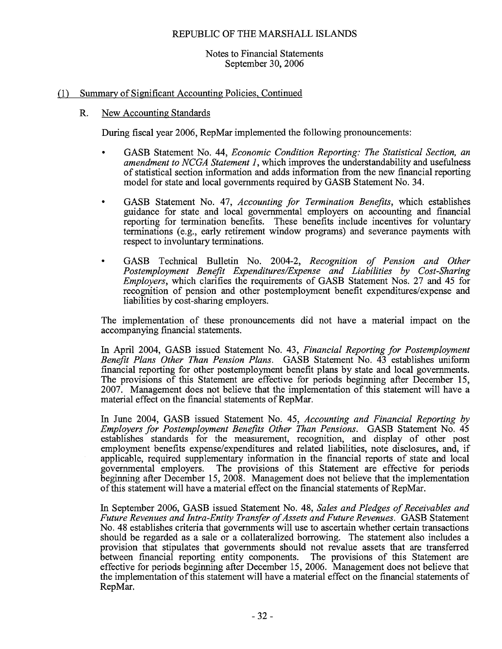## Notes to Financial Statements September 30, 2006

# (1) Summary of Significant Accounting Policies, Continued

#### $\mathbf{R}$ . New Accounting Standards

During fiscal year 2006, RepMar implemented the following pronouncements:

- GASB Statement No. 44, *Economic Condition Reporting: The Statistical Section, an*  $\bullet$ amendment to NCGA Statement 1, which improves the understandability and usefulness of statistical section information and adds information from the new financial reporting model for state and local governments required by GASB Statement No. 34.
- GASB Statement No. 47, Accounting for Termination Benefits, which establishes guidance for state and local governmental employers on accounting and financial reporting for termination benefits. These benefits include incentives for voluntary terminations (e.g., early retirement window programs) and severance payments with respect to involuntary terminations.
- GASB Technical Bulletin No. 2004-2, Recognition of Pension and Other Postemployment Benefit Expenditures/Expense and Liabilities by Cost-Sharing *Emplovers*, which clarifies the requirements of GASB Statement Nos. 27 and 45 for recognition of pension and other postemployment benefit expenditures/expense and liabilities by cost-sharing employers.

The implementation of these pronouncements did not have a material impact on the accompanying financial statements.

In April 2004, GASB issued Statement No. 43, Financial Reporting for Postemployment Benefit Plans Other Than Pension Plans. GASB Statement No. 43 establishes uniform financial reporting for other postemployment benefit plans by state and local governments. The provisions of this Statement are effective for periods beginning after December 15, 2007. Management does not believe that the implementation of this statement will have a material effect on the financial statements of RepMar.

In June 2004, GASB issued Statement No. 45, Accounting and Financial Reporting by Employers for Postemployment Benefits Other Than Pensions. GASB Statement No. 45 establishes standards for the measurement, recognition, and display of other post employment benefits expense/expenditures and related liabilities, note disclosures, and, if applicable, required supplementary information in the financial reports of state and local governmental employers. The provisions of this Statement are effective for periods beginning after December 15, 2008. Management does not believe that the implementation of this statement will have a material effect on the financial statements of RepMar.

In September 2006, GASB issued Statement No. 48, Sales and Pledges of Receivables and Future Revenues and Intra-Entity Transfer of Assets and Future Revenues. GASB Statement No. 48 establishes criteria that governments will use to ascertain whether certain transactions should be regarded as a sale or a collateralized borrowing. The statement also includes a provision that stipulates that governments should not revalue assets that are transferred between financial reporting entity components. The provisions of this Statement are effective for periods beginning after December 15, 2006. Management does not believe that the implementation of this statement will have a material effect on the financial statements of RepMar.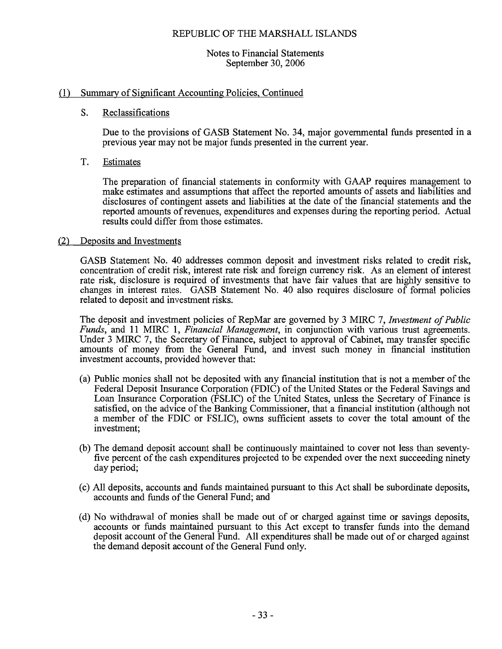## Notes to Financial Statements September 30, 2006

# (1) Summary of Significant Accounting Policies, Continued

#### S. Reclassifications

Due to the provisions of GASB Statement No. 34, major governmental funds presented in a previous year may not be major funds presented in the current year.

#### T. Estimates

The preparation of financial statements in conformity with GAAP requires management to make estimates and assumptions that affect the reported amounts of assets and liabilities and disclosures of contingent assets and liabilities at the date of the financial statements and the reported amounts of revenues, expenditures and expenses during the reporting period. Actual results could differ from those estimates.

# (2) Deposits and Investments

GASB Statement No. 40 addresses common deposit and investment risks related to credit risk, concentration of credit risk, interest rate risk and foreign currency risk. As an element of interest rate risk, disclosure is required of investments that have fair values that are highly sensitive to changes in interest rates. GASB Statement No. 40 also requires disclosure of formal policies related to deposit and investment risks.

The deposit and investment policies of RepMar are governed by 3 MIRC 7, Investment of Public Funds, and 11 MIRC 1, Financial Management, in conjunction with various trust agreements. Under 3 MIRC 7, the Secretary of Finance, subject to approval of Cabinet, may transfer specific amounts of money from the General Fund, and invest such money in financial institution investment accounts, provided however that:

- (a) Public monies shall not be deposited with any financial institution that is not a member of the Federal Deposit Insurance Corporation (FDIC) of the United States or the Federal Savings and Loan Insurance Corporation (FSLIC) of the United States, unless the Secretary of Finance is satisfied, on the advice of the Banking Commissioner, that a financial institution (although not a member of the FDIC or FSLIC), owns sufficient assets to cover the total amount of the investment;
- (b) The demand deposit account shall be continuously maintained to cover not less than seventyfive percent of the cash expenditures projected to be expended over the next succeeding ninety day period;
- (c) All deposits, accounts and funds maintained pursuant to this Act shall be subordinate deposits, accounts and funds of the General Fund: and
- (d) No withdrawal of monies shall be made out of or charged against time or savings deposits, accounts or funds maintained pursuant to this Act except to transfer funds into the demand deposit account of the General Fund. All expenditures shall be made out of or charged against the demand deposit account of the General Fund only.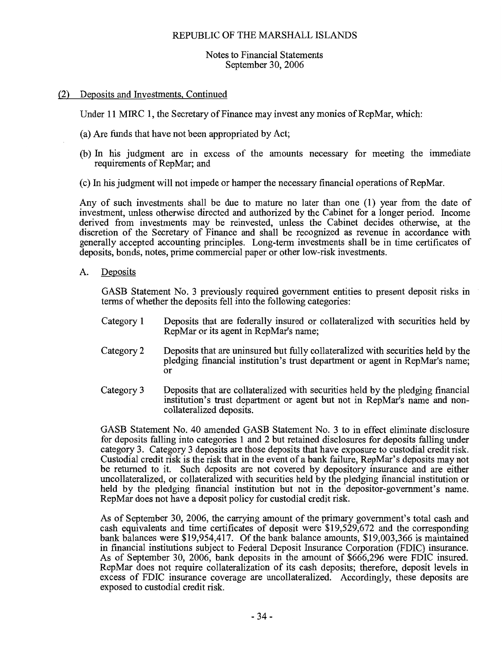#### Notes to Financial Statements September 30, 2006

#### (2) Deposits and Investments, Continued

Under 11 MIRC 1, the Secretary of Finance may invest any monies of RepMar, which:

- (a) Are funds that have not been appropriated by Act;
- (b) In his judgment are in excess of the amounts necessary for meeting the immediate requirements of RepMar; and
- (c) In his judgment will not impede or hamper the necessary financial operations of RepMar.

Any of such investments shall be due to mature no later than one (1) year from the date of investment, unless otherwise directed and authorized by the Cabinet for a longer period. Income derived from investments may be reinvested, unless the Cabinet decides otherwise, at the discretion of the Secretary of Finance and shall be recognized as revenue in accordance with generally accepted accounting principles. Long-term investments shall be in time certificates of deposits, bonds, notes, prime commercial paper or other low-risk investments.

A. Deposits

> GASB Statement No. 3 previously required government entities to present deposit risks in terms of whether the deposits fell into the following categories:

- Deposits that are federally insured or collateralized with securities held by Category 1 RepMar or its agent in RepMar's name;
- Category 2 Deposits that are uninsured but fully collateralized with securities held by the pledging financial institution's trust department or agent in RepMar's name;  $\alpha$ r
- Category 3 Deposits that are collateralized with securities held by the pledging financial institution's trust department or agent but not in RepMar's name and noncollateralized deposits.

GASB Statement No. 40 amended GASB Statement No. 3 to in effect eliminate disclosure for deposits falling into categories 1 and 2 but retained disclosures for deposits falling under category 3. Category 3 deposits are those deposits that have exposure to custodial credit risk. Custodial credit risk is the risk that in the event of a bank failure, RepMar's deposits may not be returned to it. Such deposits are not covered by depository insurance and are either uncollateralized, or collateralized with securities held by the pledging financial institution or held by the pledging financial institution but not in the depositor-government's name. RepMar does not have a deposit policy for custodial credit risk.

As of September 30, 2006, the carrying amount of the primary government's total cash and cash equivalents and time certificates of deposit were \$19,529,672 and the corresponding bank balances were \$19,954,417. Of the bank balance amounts, \$19,003,366 is maintained in financial institutions subject to Federal Deposit Insurance Corporation (FDIC) insurance. As of September 30, 2006, bank deposits in the amount of \$666,296 were FDIC insured. RepMar does not require collateralization of its cash deposits; therefore, deposit levels in excess of FDIC insurance coverage are uncollateralized. Accordingly, these deposits are exposed to custodial credit risk.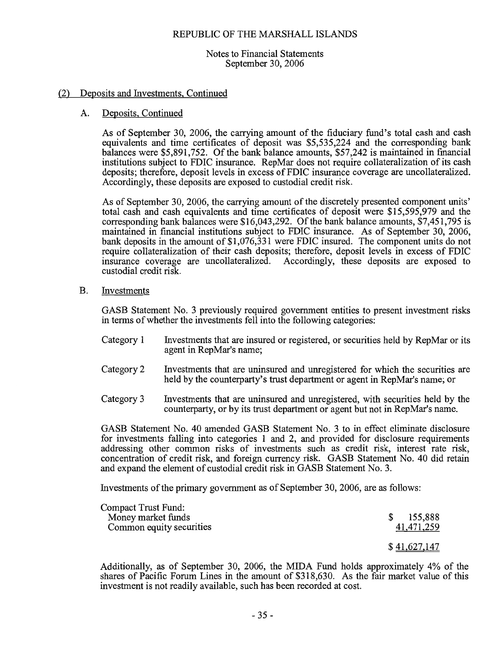Notes to Financial Statements September 30, 2006

#### Deposits and Investments, Continued  $(2)$

#### Deposits, Continued  $A.$

As of September 30, 2006, the carrying amount of the fiduciary fund's total cash and cash equivalents and time certificates of deposit was \$5,535,224 and the corresponding bank balances were \$5,891,752. Of the bank balance amounts, \$57,242 is maintained in financial institutions subject to FDIC insurance. RepMar does not require collateralization of its cash deposits; therefore, deposit levels in excess of FDIC insurance coverage are uncollateralized. Accordingly, these deposits are exposed to custodial credit risk.

As of September 30, 2006, the carrying amount of the discretely presented component units' total cash and cash equivalents and time certificates of deposit were \$15,595,979 and the corresponding bank balances were \$16,043,292. Of the bank balance amounts, \$7,451,795 is maintained in financial institutions subject to FDIC insurance. As of September 30, 2006. bank deposits in the amount of \$1,076,331 were FDIC insured. The component units do not require collateralization of their cash deposits; therefore, deposit levels in excess of FDIC insurance coverage are uncollateralized. Accordingly, these deposits are exposed to custodial credit risk.

 $\mathbf{B}$ . Investments

> GASB Statement No. 3 previously required government entities to present investment risks in terms of whether the investments fell into the following categories.

- Category 1 Investments that are insured or registered, or securities held by RepMar or its agent in RepMar's name;
- Category 2 Investments that are uninsured and unregistered for which the securities are held by the counterparty's trust department or agent in RepMar's name; or
- Investments that are uninsured and unregistered, with securities held by the Category 3 counterparty, or by its trust department or agent but not in RepMar's name.

GASB Statement No. 40 amended GASB Statement No. 3 to in effect eliminate disclosure for investments falling into categories 1 and 2, and provided for disclosure requirements addressing other common risks of investments such as credit risk, interest rate risk, concentration of credit risk, and foreign currency risk. GASB Statement No. 40 did retain and expand the element of custodial credit risk in GASB Statement No. 3.

Investments of the primary government as of September 30, 2006, are as follows:

| Compact Trust Fund:<br>Money market funds | 155,888      |
|-------------------------------------------|--------------|
| Common equity securities                  | 41,471,259   |
|                                           | \$41,627,147 |

Additionally, as of September 30, 2006, the MIDA Fund holds approximately 4% of the shares of Pacific Forum Lines in the amount of \$318,630. As the fair market value of this investment is not readily available, such has been recorded at cost.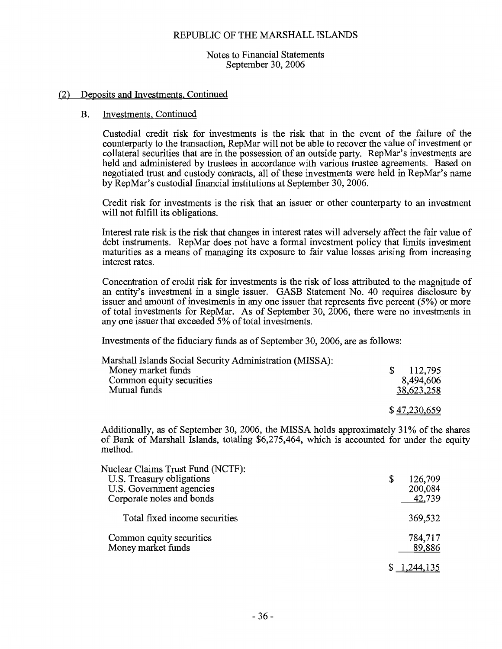Notes to Financial Statements September 30, 2006

#### (2) Deposits and Investments, Continued

#### **B.** Investments, Continued

Custodial credit risk for investments is the risk that in the event of the failure of the counterparty to the transaction, RepMar will not be able to recover the value of investment or collateral securities that are in the possession of an outside party. RepMar's investments are held and administered by trustees in accordance with various trustee agreements. Based on negotiated trust and custody contracts, all of these investments were held in RepMar's name by RepMar's custodial financial institutions at September 30, 2006.

Credit risk for investments is the risk that an issuer or other counterparty to an investment will not fulfill its obligations.

Interest rate risk is the risk that changes in interest rates will adversely affect the fair value of debt instruments. RepMar does not have a formal investment policy that limits investment maturities as a means of managing its exposure to fair value losses arising from increasing interest rates.

Concentration of credit risk for investments is the risk of loss attributed to the magnitude of an entity's investment in a single issuer. GASB Statement No. 40 requires disclosure by issuer and amount of investments in any one issuer that represents five percent (5%) or more of total investments for RepMar. As of September 30, 2006, there were no investments in any one issuer that exceeded 5% of total investments.

Investments of the fiduciary funds as of September 30, 2006, are as follows:

| Marshall Islands Social Security Administration (MISSA): |              |
|----------------------------------------------------------|--------------|
| Money market funds                                       | 112,795      |
| Common equity securities                                 | 8,494,606    |
| Mutual funds                                             | 38,623,258   |
|                                                          | \$47,230,659 |
|                                                          |              |

Additionally, as of September 30, 2006, the MISSA holds approximately 31% of the shares of Bank of Marshall Islands, totaling \$6,275,464, which is accounted for under the equity method.

| Nuclear Claims Trust Fund (NCTF): | 126,709 |
|-----------------------------------|---------|
| U.S. Treasury obligations         | \$      |
| U.S. Government agencies          | 200,084 |
| Corporate notes and bonds         | 42,739  |
| Total fixed income securities     | 369,532 |
| Common equity securities          | 784,717 |
| Money market funds                | 89,886  |
|                                   |         |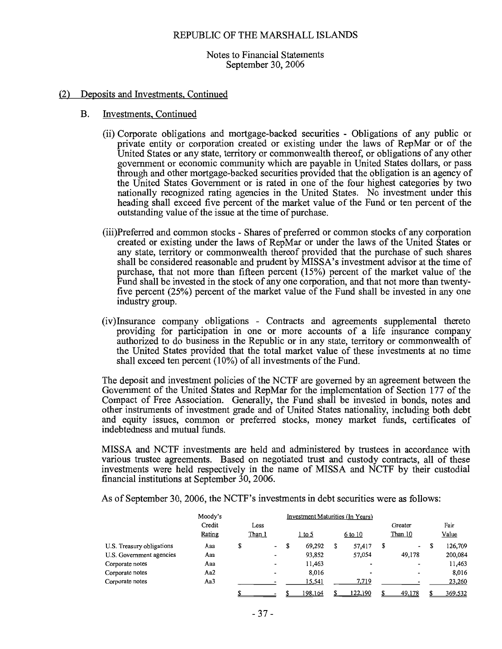Notes to Financial Statements September 30, 2006

#### (2) Deposits and Investments, Continued

- Investments, Continued **B.** 
	- (ii) Corporate obligations and mortgage-backed securities Obligations of any public or private entity or corporation created or existing under the laws of RepMar or of the United States or any state, territory or commonwealth thereof, or obligations of any other government or economic community which are payable in United States dollars, or pass through and other mortgage-backed securities provided that the obligation is an agency of the United States Government or is rated in one of the four highest categories by two nationally recognized rating agencies in the United States. No investment under this heading shall exceed five percent of the market value of the Fund or ten percent of the outstanding value of the issue at the time of purchase.
	- (iii)Preferred and common stocks Shares of preferred or common stocks of any corporation created or existing under the laws of RepMar or under the laws of the United States or any state, territory or commonwealth thereof provided that the purchase of such shares shall be considered reasonable and prudent by MISSA's investment advisor at the time of purchase, that not more than fifteen percent  $(15%)$  percent of the market value of the Fund shall be invested in the stock of any one corporation, and that not more than twentyfive percent (25%) percent of the market value of the Fund shall be invested in any one industry group.
	- (iv)Insurance company obligations Contracts and agreements supplemental thereto providing for participation in one or more accounts of a life insurance company authorized to do business in the Republic or in any state, territory or commonwealth of the United States provided that the total market value of these investments at no time shall exceed ten percent (10%) of all investments of the Fund.

The deposit and investment policies of the NCTF are governed by an agreement between the Government of the United States and RepMar for the implementation of Section 177 of the Compact of Free Association. Generally, the Fund shall be invested in bonds, notes and other instruments of investment grade and of United States nationality, including both debt and equity issues, common or preferred stocks, money market funds, certificates of indebtedness and mutual funds.

MISSA and NCTF investments are held and administered by trustees in accordance with various trustee agreements. Based on negotiated trust and custody contracts, all of these investments were held respectively in the name of MISSA and NCTF by their custodial financial institutions at September 30, 2006.

As of September 30, 2006, the NCTF's investments in debt securities were as follows:

|                           | Moody's |    |               |                          | Investment Maturities (In Years) |               |  |                          |  |                          |         |
|---------------------------|---------|----|---------------|--------------------------|----------------------------------|---------------|--|--------------------------|--|--------------------------|---------|
|                           | Credit  |    | Less          |                          |                                  |               |  |                          |  | Greater                  | Fair    |
|                           | Rating  |    | <u>Than 1</u> |                          |                                  | <u>1 to 5</u> |  | $6$ to 10                |  | Than 10                  | Value   |
| U.S. Treasury obligations | Aaa     | \$ |               | -                        | S                                | 69,292        |  | 57,417                   |  | $\overline{\phantom{a}}$ | 126,709 |
| U.S. Government agencies  | Aaa     |    |               | -                        |                                  | 93,852        |  | 57,054                   |  | 49,178                   | 200,084 |
| Corporate notes           | Aaa     |    |               | -                        |                                  | 11,463        |  | $\overline{\phantom{0}}$ |  |                          | 11,463  |
| Corporate notes           | Aa2     |    |               | $\overline{\phantom{0}}$ |                                  | 8,016         |  |                          |  |                          | 8,016   |
| Corporate notes           | Aa3     |    |               |                          |                                  | 15,541        |  | 7.719                    |  |                          | 23,260  |
|                           |         |    |               |                          |                                  | 198,164       |  | 122,190                  |  | 49,178                   | 369,532 |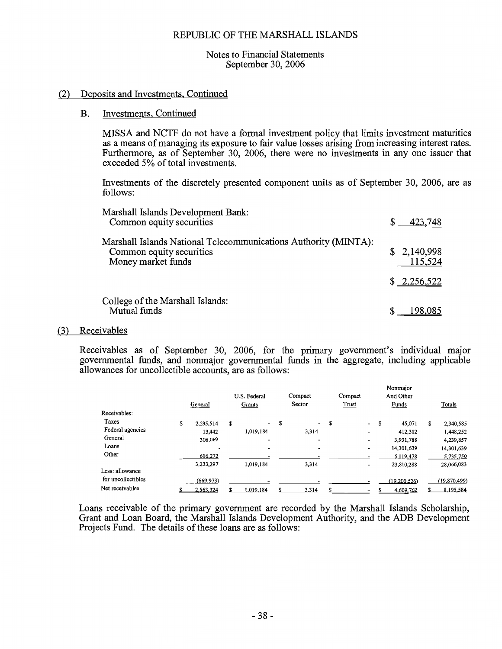#### Notes to Financial Statements September 30, 2006

#### (2) Deposits and Investments, Continued

#### **B. Investments**, Continued

MISSA and NCTF do not have a formal investment policy that limits investment maturities as a means of managing its exposure to fair value losses arising from increasing interest rates. Furthermore, as of September 30, 2006, there were no investments in any one issuer that exceeded 5% of total investments.

Investments of the discretely presented component units as of September 30, 2006, are as follows:

| Marshall Islands Development Bank:<br>Common equity securities                                                    | $$ -423,748$           |
|-------------------------------------------------------------------------------------------------------------------|------------------------|
| Marshall Islands National Telecommunications Authority (MINTA):<br>Common equity securities<br>Money market funds | \$2,140,998<br>115,524 |
|                                                                                                                   | \$ 2,256,522           |
| College of the Marshall Islands:<br>Mutual funds                                                                  | 198.085                |

#### (3) Receivables

Receivables as of September 30, 2006, for the primary government's individual major governmental funds, and nonmajor governmental funds in the aggregate, including applicable allowances for uncollectible accounts, are as follows:

|                    | General         | U.S. Federal<br>Grants         | Compact<br>Sector              |   | Compact<br><b>Trust</b>  | Nonmajor<br>And Other<br>Funds | Totals          |
|--------------------|-----------------|--------------------------------|--------------------------------|---|--------------------------|--------------------------------|-----------------|
| Receivables:       |                 |                                |                                |   |                          |                                |                 |
| Taxes              | \$<br>2,295,514 | \$<br>$\overline{\phantom{a}}$ | \$<br>$\overline{\phantom{a}}$ | S | $\overline{\phantom{a}}$ | \$<br>45,071                   | \$<br>2,340,585 |
| Federal agencies   | 13,442          | 1,019,184                      | 3,314                          |   | $\overline{\phantom{0}}$ | 412,312                        | 1,448,252       |
| General            | 308,069         | $\overline{\phantom{0}}$       | $\overline{\phantom{a}}$       |   | -                        | 3,931,788                      | 4,239,857       |
| Loans              |                 |                                | $\tilde{\phantom{a}}$          |   | -                        | 14,301,639                     | 14,301,639      |
| Other              | 616,272         |                                |                                |   |                          | 5,119,478                      | 5,735,750       |
|                    | 3,233,297       | 1,019,184                      | 3,314                          |   | ٠                        | 23,810,288                     | 28,066,083      |
| Less: allowance    |                 |                                |                                |   |                          |                                |                 |
| for uncollectibles | (669, 973)      |                                |                                |   |                          | (19,200,526)                   | (19,870,499)    |
| Net receivables    | 2,563,324       | 1.019.184                      | 3,314                          |   |                          | 4,609,762                      | 8,195,584       |

Loans receivable of the primary government are recorded by the Marshall Islands Scholarship. Grant and Loan Board, the Marshall Islands Development Authority, and the ADB Development Projects Fund. The details of these loans are as follows: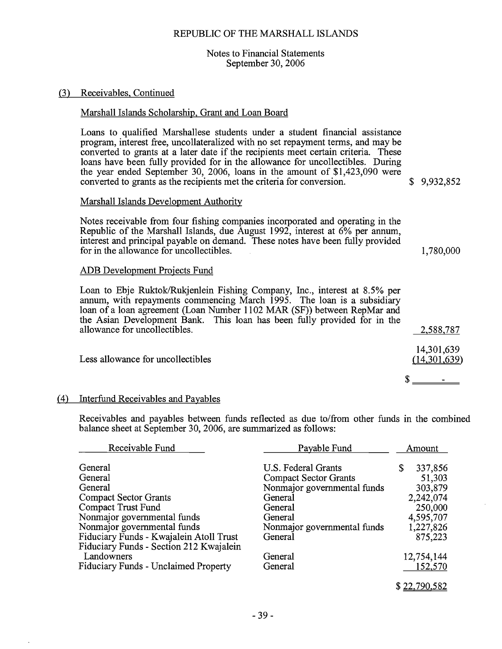#### Notes to Financial Statements September 30, 2006

#### (3) Receivables, Continued

#### Marshall Islands Scholarship, Grant and Loan Board

Loans to qualified Marshallese students under a student financial assistance program, interest free, uncollateralized with no set repayment terms, and may be converted to grants at a later date if the recipients meet certain criteria. These loans have been fully provided for in the allowance for uncollectibles. During the year ended September 30, 2006, loans in the amount of \$1,423,090 were converted to grants as the recipients met the criteria for conversion.

#### Marshall Islands Development Authority

Notes receivable from four fishing companies incorporated and operating in the Republic of the Marshall Islands, due August 1992, interest at  $6\%$  per annum. interest and principal payable on demand. These notes have been fully provided for in the allowance for uncollectibles.

#### ADB Development Projects Fund

Loan to Ebje Ruktok/Rukjenlein Fishing Company, Inc., interest at 8.5% per annum, with repayments commencing March 1995. The loan is a subsidiary loan of a loan agreement (Loan Number 1102 MAR (SF)) between RepMar and the Asian Development Bank. This loan has been fully provided for in the allowance for uncollectibles.

Less allowance for uncollectibles

#### (4) Interfund Receivables and Payables

Receivables and payables between funds reflected as due to/from other funds in the combined balance sheet at September 30, 2006, are summarized as follows:

| Receivable Fund                                                                    | Payable Fund                 | Amount        |
|------------------------------------------------------------------------------------|------------------------------|---------------|
| General                                                                            | U.S. Federal Grants          | 337,856<br>\$ |
| General                                                                            | <b>Compact Sector Grants</b> | 51,303        |
| General                                                                            | Nonmajor governmental funds  | 303,879       |
| <b>Compact Sector Grants</b>                                                       | General                      | 2,242,074     |
| Compact Trust Fund                                                                 | General                      | 250,000       |
| Nonmajor governmental funds                                                        | General                      | 4,595,707     |
| Nonmajor governmental funds                                                        | Nonmajor governmental funds  | 1,227,826     |
| Fiduciary Funds - Kwajalein Atoll Trust<br>Fiduciary Funds - Section 212 Kwajalein | General                      | 875,223       |
| Landowners                                                                         | General                      | 12,754,144    |
| <b>Fiduciary Funds - Unclaimed Property</b>                                        | General                      | 152,570       |

\$9.932.852

1.780.000

2,588,787

14,301,639

 $(14, 301, 639)$ 

**Service Contract Contract Contract** 

S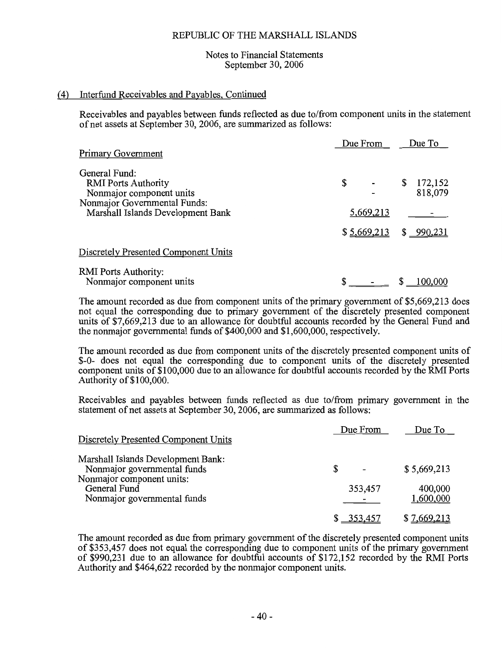#### Notes to Financial Statements September 30, 2006

#### (4) Interfund Receivables and Payables, Continued

Receivables and payables between funds reflected as due to/from component units in the statement of net assets at September 30, 2006, are summarized as follows:

| <b>Primary Government</b>                                                                                                                    | Due From        | Due To                   |
|----------------------------------------------------------------------------------------------------------------------------------------------|-----------------|--------------------------|
| General Fund:<br><b>RMI</b> Ports Authority<br>Nonmajor component units<br>Nonmajor Governmental Funds:<br>Marshall Islands Development Bank | \$<br>5,669,213 | 172,152<br>\$<br>818,079 |
|                                                                                                                                              | \$5,669,213     | \$990,231                |
| Discretely Presented Component Units<br><b>RMI</b> Ports Authority:<br>Nonmajor component units                                              |                 | 100.000                  |

The amount recorded as due from component units of the primary government of \$5,669,213 does not equal the corresponding due to primary government of the discretely presented component units of \$7,669,213 due to an allowance for doubtful accounts recorded by the General Fund and the nonmajor governmental funds of \$400,000 and \$1,600,000, respectively.

The amount recorded as due from component units of the discretely presented component units of \$-0- does not equal the corresponding due to component units of the discretely presented component units of \$100,000 due to an allowance for doubtful accounts recorded by the RMI Ports Authority of \$100,000.

Receivables and payables between funds reflected as due to from primary government in the statement of net assets at September 30, 2006, are summarized as follows:

| Discretely Presented Component Units                                     | Due From     | Due To               |
|--------------------------------------------------------------------------|--------------|----------------------|
| Marshall Islands Development Bank:<br>Nonmajor governmental funds        | S            | \$5,669,213          |
| Nonmajor component units:<br>General Fund<br>Nonmajor governmental funds | 353,457      | 400,000<br>1,600,000 |
|                                                                          | $$ -353,457$ | \$7,669,213          |

The amount recorded as due from primary government of the discretely presented component units of \$353,457 does not equal the corresponding due to component units of the primary government of \$990,231 due to an allowance for doubtful accounts of \$172,152 recorded by the RMI Ports Authority and \$464,622 recorded by the nonmajor component units.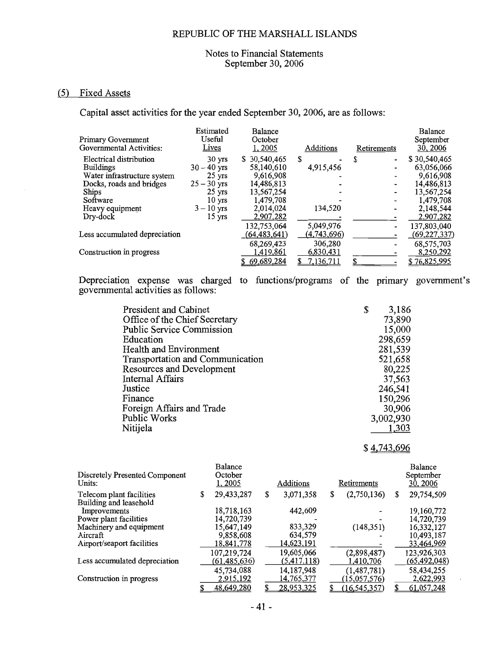#### Notes to Financial Statements September 30, 2006

#### (5) Fixed Assets

Capital asset activities for the year ended September 30, 2006, are as follows:

| <b>Primary Government</b><br>Governmental Activities: | Estimated<br>Useful<br>Lives | Balance<br>October<br>1, 2005 | Additions   | Retirements                   | Balance<br>September<br>30, 2006 |
|-------------------------------------------------------|------------------------------|-------------------------------|-------------|-------------------------------|----------------------------------|
| Electrical distribution                               | $30 \text{ yrs}$             | \$30,540,465                  | \$.         | S<br>$\overline{\phantom{0}}$ | \$30,540,465                     |
| <b>Buildings</b>                                      | $30 - 40$ yrs                | 58,140,610                    | 4,915,456   |                               | 63,056,066                       |
| Water infrastructure system                           | $25 \text{ yrs}$             | 9.616,908                     |             |                               | 9,616,908                        |
| Docks, roads and bridges                              | $25 - 30$ yrs                | 14,486,813                    |             |                               | 14,486,813                       |
| Ships                                                 | $25 \text{ yrs}$             | 13,567,254                    |             |                               | 13,567,254                       |
| Software                                              | $10 \text{ yrs}$             | 1,479,708                     |             |                               | 1,479,708                        |
| Heavy equipment                                       | $3 - 10$ yrs                 | 2,014,024                     | 134,520     |                               | 2,148,544                        |
| Dry-dock                                              | $15 \text{ yrs}$             | 2,907,282                     |             |                               | 2,907,282                        |
|                                                       |                              | 132,753,064                   | 5,049,976   |                               | 137,803,040                      |
| Less accumulated depreciation                         |                              | (64, 483, 641)                | (4,743,696) |                               | (69, 227, 337)                   |
|                                                       |                              | 68,269,423                    | 306,280     |                               | 68,575,703                       |
| Construction in progress                              |                              | 1,419,861                     | 6,830,431   |                               | 8,250,292                        |
|                                                       |                              | \$69,689,284                  | 7,136,711   |                               | \$76,825,995                     |
|                                                       |                              |                               |             |                               |                                  |

Depreciation expense was charged to functions/programs of the primary government's governmental activities as follows:

| <b>President and Cabinet</b>     | \$<br>3,186 |
|----------------------------------|-------------|
| Office of the Chief Secretary    | 73,890      |
| <b>Public Service Commission</b> | 15,000      |
| Education                        | 298,659     |
| Health and Environment           | 281,539     |
| Transportation and Communication | 521,658     |
| Resources and Development        | 80,225      |
| <b>Internal Affairs</b>          | 37,563      |
| Justice                          | 246,541     |
| Finance                          | 150,296     |
| Foreign Affairs and Trade        | 30,906      |
| Public Works                     | 3,002,930   |
| Nitijela                         | 1,303       |

#### \$4,743,696

| Discretely Presented Component<br>Units:           | Balance<br>October<br>1,2005 | Additions         |   | Retirements    | Balance<br>September<br>30, 2006 |
|----------------------------------------------------|------------------------------|-------------------|---|----------------|----------------------------------|
| Telecom plant facilities<br>Building and leasehold | \$<br>29,433,287             | \$<br>3,071,358   | S | (2,750,136)    | \$<br>29,754,509                 |
| Improvements                                       | 18,718,163                   | 442,609           |   |                | 19,160,772                       |
| Power plant facilities                             | 14,720,739                   |                   |   |                | 14,720,739                       |
| Machinery and equipment                            | 15,647,149                   | 833,329           |   | (148, 351)     | 16,332,127                       |
| Aircraft                                           | 9,858,608                    | 634,579           |   |                | 10,493,187                       |
| Airport/seaport facilities                         | 18,841,778                   | <u>14,623,191</u> |   |                | 33,464,969                       |
|                                                    | 107,219,724                  | 19,605,066        |   | (2,898,487)    | 123,926,303                      |
| Less accumulated depreciation                      | (61, 485, 636)               | (5,417,118)       |   | 1,410,706      | <u>(65,492,048)</u>              |
|                                                    | 45,734,088                   | 14,187,948        |   | (1, 487, 781)  | 58,434,255                       |
| Construction in progress                           | 2,915,192                    | <u>14,765,377</u> |   | (15,057,576)   | 2,622,993                        |
|                                                    | 48,649,280                   | 28,953,325        |   | (16, 545, 357) | 61,057,248                       |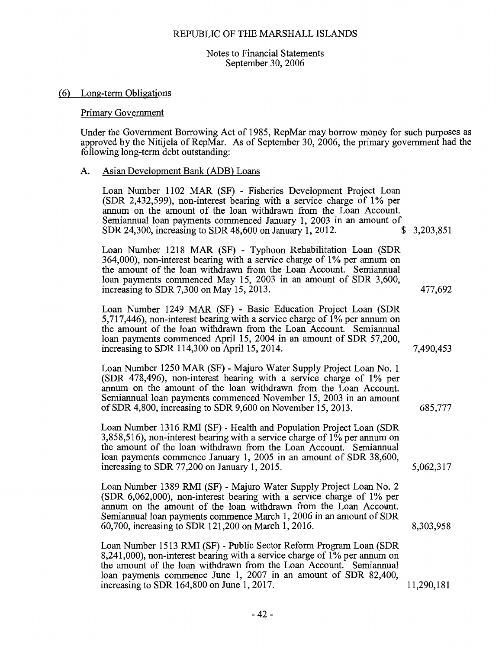Notes to Financial Statements September 30, 2006

#### (6) Long-term Obligations

#### **Primary Government**

Under the Government Borrowing Act of 1985, RepMar may borrow money for such purposes as approved by the Nitijela of RepMar. As of September 30, 2006, the primary government had the following long-term debt outstanding:

#### Asian Development Bank (ADB) Loans A.

| Loan Number 1102 MAR (SF) - Fisheries Development Project Loan<br>(SDR 2,432,599), non-interest bearing with a service charge of 1% per<br>annum on the amount of the loan withdrawn from the Loan Account.<br>Semiannual loan payments commenced January 1, 2003 in an amount of<br>SDR 24,300, increasing to SDR 48,600 on January 1, 2012.     | \$<br>3,203,851 |
|---------------------------------------------------------------------------------------------------------------------------------------------------------------------------------------------------------------------------------------------------------------------------------------------------------------------------------------------------|-----------------|
| Loan Number 1218 MAR (SF) - Typhoon Rehabilitation Loan (SDR<br>364,000), non-interest bearing with a service charge of 1% per annum on<br>the amount of the loan withdrawn from the Loan Account. Semiannual<br>loan payments commenced May 15, 2003 in an amount of SDR 3,600,<br>increasing to SDR 7,300 on May 15, 2013.                      | 477,692         |
| Loan Number 1249 MAR (SF) - Basic Education Project Loan (SDR<br>5,717,446), non-interest bearing with a service charge of $1\%$ per annum on<br>the amount of the loan withdrawn from the Loan Account. Semiannual<br>loan payments commenced April 15, 2004 in an amount of SDR 57,200,<br>increasing to SDR 114,300 on April 15, 2014.         | 7,490,453       |
| Loan Number 1250 MAR (SF) - Majuro Water Supply Project Loan No. 1<br>(SDR 478,496), non-interest bearing with a service charge of 1% per<br>annum on the amount of the loan withdrawn from the Loan Account.<br>Semiannual loan payments commenced November 15, 2003 in an amount<br>of SDR 4,800, increasing to SDR 9,600 on November 15, 2013. | 685,777         |
| Loan Number 1316 RMI (SF) - Health and Population Project Loan (SDR<br>3,858,516), non-interest bearing with a service charge of $1\%$ per annum on<br>the amount of the loan withdrawn from the Loan Account. Semiannual<br>loan payments commence January 1, 2005 in an amount of SDR 38,600,<br>increasing to SDR 77,200 on January 1, 2015.   | 5,062,317       |
| Loan Number 1389 RMI (SF) - Majuro Water Supply Project Loan No. 2<br>(SDR 6,062,000), non-interest bearing with a service charge of 1% per<br>annum on the amount of the loan withdrawn from the Loan Account.<br>Semiannual loan payments commence March 1, 2006 in an amount of SDR<br>60,700, increasing to SDR 121,200 on March 1, 2016.     | 8,303,958       |
| Loan Number 1513 RMI (SF) - Public Sector Reform Program Loan (SDR<br>8,241,000), non-interest bearing with a service charge of $1\%$ per annum on<br>the amount of the loan withdrawn from the Loan Account. Semiannual<br>loan payments commence June 1, 2007 in an amount of SDR 82,400,<br>increasing to SDR 164,800 on June 1, 2017.         | 11,290,181      |
|                                                                                                                                                                                                                                                                                                                                                   |                 |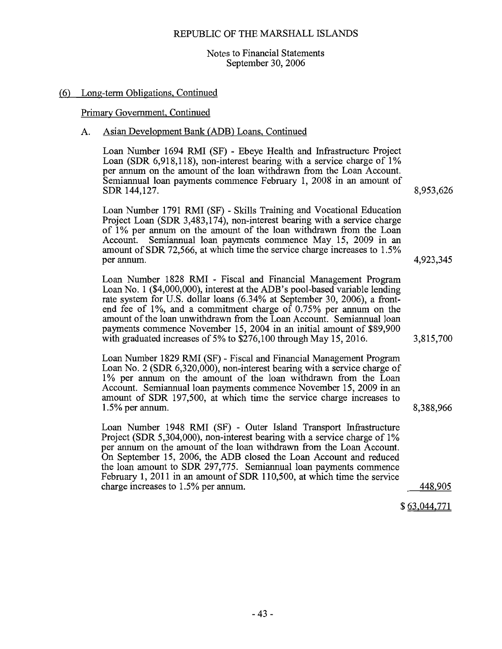#### Notes to Financial Statements September 30, 2006

#### (6) Long-term Obligations, Continued

#### Primary Government, Continued

#### Asian Development Bank (ADB) Loans, Continued A.

Loan Number 1694 RMI (SF) - Ebeye Health and Infrastructure Project Loan (SDR 6,918,118), non-interest bearing with a service charge of 1% per annum on the amount of the loan withdrawn from the Loan Account. Semiannual loan payments commence February 1, 2008 in an amount of SDR 144,127.

Loan Number 1791 RMI (SF) - Skills Training and Vocational Education Project Loan (SDR 3,483,174), non-interest bearing with a service charge of 1% per annum on the amount of the loan withdrawn from the Loan Account. Semiannual loan payments commence May 15, 2009 in an amount of SDR 72,566, at which time the service charge increases to 1.5% per annum.

Loan Number 1828 RMI - Fiscal and Financial Management Program Loan No. 1 (\$4,000,000), interest at the ADB's pool-based variable lending rate system for U.S. dollar loans (6.34% at September 30, 2006), a frontend fee of 1%, and a commitment charge of  $0.75\%$  per annum on the amount of the loan unwithdrawn from the Loan Account. Semiannual loan payments commence November 15, 2004 in an initial amount of \$89,900 with graduated increases of 5% to  $$276,100$  through May 15, 2016.

Loan Number 1829 RMI (SF) - Fiscal and Financial Management Program Loan No. 2 (SDR 6,320,000), non-interest bearing with a service charge of 1% per annum on the amount of the loan withdrawn from the Loan Account. Semiannual loan payments commence November 15, 2009 in an amount of SDR 197,500, at which time the service charge increases to  $1.5\%$  per annum.

Loan Number 1948 RMI (SF) - Outer Island Transport Infrastructure Project (SDR 5,304,000), non-interest bearing with a service charge of 1% per annum on the amount of the loan withdrawn from the Loan Account. On September 15, 2006, the ADB closed the Loan Account and reduced the loan amount to SDR 297,775. Semiannual loan payments commence February 1, 2011 in an amount of SDR 110,500, at which time the service charge increases to 1.5% per annum.

8.953,626

4,923,345

8,388,966

3,815,700

448,905

 $$63,044,771$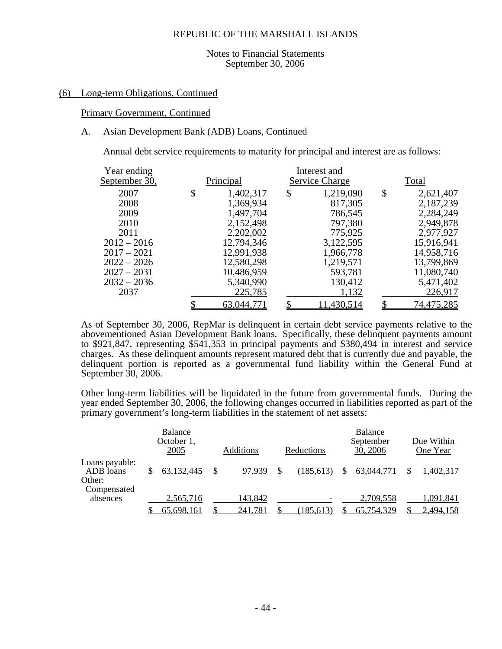#### Notes to Financial Statements September 30, 2006

#### (6) Long-term Obligations, Continued

#### Primary Government, Continued

#### A. Asian Development Bank (ADB) Loans, Continued

Annual debt service requirements to maturity for principal and interest are as follows:

| Year ending   |                 | Interest and    |                 |
|---------------|-----------------|-----------------|-----------------|
| September 30, | Principal       | Service Charge  | Total           |
| 2007          | \$<br>1,402,317 | \$<br>1,219,090 | \$<br>2,621,407 |
| 2008          | 1,369,934       | 817,305         | 2,187,239       |
| 2009          | 1,497,704       | 786,545         | 2,284,249       |
| 2010          | 2,152,498       | 797,380         | 2,949,878       |
| 2011          | 2,202,002       | 775,925         | 2,977,927       |
| $2012 - 2016$ | 12,794,346      | 3,122,595       | 15,916,941      |
| $2017 - 2021$ | 12,991,938      | 1,966,778       | 14,958,716      |
| $2022 - 2026$ | 12,580,298      | 1,219,571       | 13,799,869      |
| $2027 - 2031$ | 10,486,959      | 593,781         | 11,080,740      |
| $2032 - 2036$ | 5,340,990       | 130,412         | 5,471,402       |
| 2037          | 225,785         | 1,132           | 226,917         |
|               | 63,044,771      | 11,430,514      | 74,475,285      |

As of September 30, 2006, RepMar is delinquent in certain debt service payments relative to the abovementioned Asian Development Bank loans. Specifically, these delinquent payments amount to \$921,847, representing \$541,353 in principal payments and \$380,494 in interest and service charges. As these delinquent amounts represent matured debt that is currently due and payable, the delinquent portion is reported as a governmental fund liability within the General Fund at September 30, 2006.

Other long-term liabilities will be liquidated in the future from governmental funds. During the year ended September 30, 2006, the following changes occurred in liabilities reported as part of the primary government's long-term liabilities in the statement of net assets:

|                                       | <b>Balance</b><br>October 1,<br>2005 | Additions | Reductions |               | <b>Balance</b><br>September<br>30, 2006 | Due Within<br>One Year |
|---------------------------------------|--------------------------------------|-----------|------------|---------------|-----------------------------------------|------------------------|
| Loans payable:<br>ADB loans<br>Other: | 63,132,445                           | 97,939    | (185, 613) | <sup>\$</sup> | 63,044,771                              | 1,402,317              |
| Compensated<br>absences               | 2,565,716                            | 143,842   |            |               | 2,709,558                               | 1,091,841              |
|                                       | 65,698,161                           | 241,781   | (185, 613) |               | 65,754,329                              | 2,494,158              |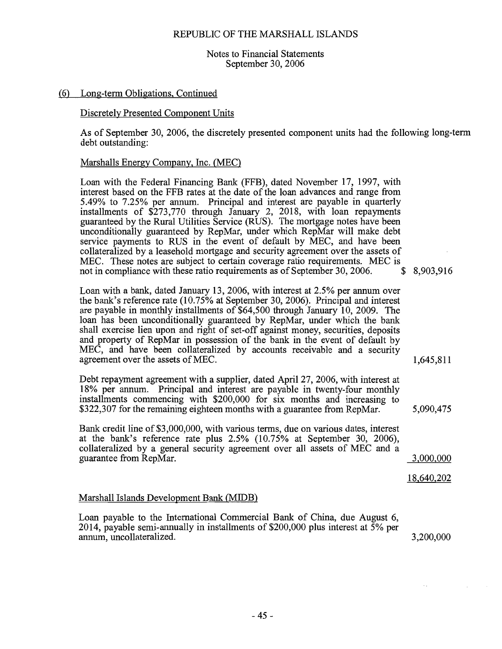#### Notes to Financial Statements September 30, 2006

#### (6) Long-term Obligations, Continued

#### Discretely Presented Component Units

As of September 30, 2006, the discretely presented component units had the following long-term debt outstanding:

#### Marshalls Energy Company, Inc. (MEC)

Loan with the Federal Financing Bank (FFB), dated November 17, 1997, with interest based on the FFB rates at the date of the loan advances and range from 5.49% to 7.25% per annum. Principal and interest are payable in quarterly installments of \$273,770 through January 2, 2018, with loan repayments guaranteed by the Rural Utilities Service (RUS). The mortgage notes have been unconditionally guaranteed by RepMar, under which RepMar will make debt service payments to RUS in the event of default by MEC, and have been collateralized by a leasehold mortgage and security agreement over the assets of MEC. These notes are subject to certain coverage ratio requirements. MEC is not in compliance with these ratio requirements as of September 30, 2006. \$ 8,903,916

Loan with a bank, dated January 13, 2006, with interest at 2.5% per annum over the bank's reference rate  $(10.75\%$  at September 30, 2006). Principal and interest are payable in monthly installments of \$64,500 through January 10, 2009. The loan has been unconditionally guaranteed by RepMar, under which the bank shall exercise lien upon and right of set-off against money, securities, deposits and property of RepMar in possession of the bank in the event of default by MEC, and have been collateralized by accounts receivable and a security agreement over the assets of MEC.

Debt repayment agreement with a supplier, dated April 27, 2006, with interest at 18% per annum. Principal and interest are payable in twenty-four monthly installments commencing with \$200,000 for six months and increasing to \$322,307 for the remaining eighteen months with a guarantee from RepMar.

Bank credit line of \$3,000,000, with various terms, due on various dates, interest at the bank's reference rate plus  $2.5\%$  (10.75% at September 30, 2006). collateralized by a general security agreement over all assets of MEC and a guarantee from RepMar.

18,640,202

3,000,000

1,645,811

5,090,475

#### Marshall Islands Development Bank (MIDB)

Loan payable to the International Commercial Bank of China, due August 6, 2014, payable semi-annually in installments of  $$200,000$  plus interest at  $\overline{5}\%$  per annum, uncollateralized. 3,200,000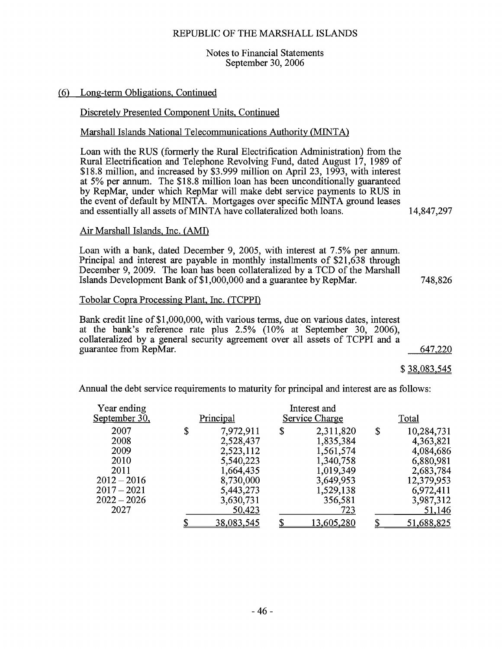#### Notes to Financial Statements September 30, 2006

#### (6) Long-term Obligations, Continued

#### Discretely Presented Component Units, Continued

#### Marshall Islands National Telecommunications Authority (MINTA)

Loan with the RUS (formerly the Rural Electrification Administration) from the Rural Electrification and Telephone Revolving Fund, dated August 17, 1989 of \$18.8 million, and increased by \$3.999 million on April 23, 1993, with interest at 5% per annum. The \$18.8 million loan has been unconditionally guaranteed by RepMar, under which RepMar will make debt service payments to RUS in the event of default by MINTA. Mortgages over specific MINTA ground leases and essentially all assets of MINTA have collateralized both loans.

14,847,297

748,826

#### Air Marshall Islands, Inc. (AMI)

Loan with a bank, dated December 9, 2005, with interest at 7.5% per annum. Principal and interest are payable in monthly installments of \$21,638 through December 9, 2009. The loan has been collateralized by a TCD of the Marshall Islands Development Bank of \$1,000,000 and a guarantee by RepMar.

#### Tobolar Copra Processing Plant, Inc. (TCPPI)

Bank credit line of \$1,000,000, with various terms, due on various dates, interest at the bank's reference rate plus 2.5% (10% at September 30, 2006), collateralized by a general security agreement over all assets of TCPPI and a guarantee from RepMar. 647,220

\$38,083,545

Annual the debt service requirements to maturity for principal and interest are as follows:

| Year ending   |                   | Interest and    |                  |
|---------------|-------------------|-----------------|------------------|
| September 30, | Principal         | Service Charge  | Total            |
| 2007          | \$<br>7,972,911   | \$<br>2,311,820 | \$<br>10,284,731 |
| 2008          | 2,528,437         | 1,835,384       | 4,363,821        |
| 2009          | 2,523,112         | 1,561,574       | 4,084,686        |
| 2010          | 5,540,223         | 1,340,758       | 6,880,981        |
| 2011          | 1,664,435         | 1,019,349       | 2,683,784        |
| $2012 - 2016$ | 8,730,000         | 3,649,953       | 12,379,953       |
| $2017 - 2021$ | 5,443,273         | 1,529,138       | 6,972,411        |
| $2022 - 2026$ | 3,630,731         | 356,581         | 3,987,312        |
| 2027          | 50,423            | 723             | 51,146           |
|               | <u>38,083,545</u> | 13,605,280      | 51,688,825       |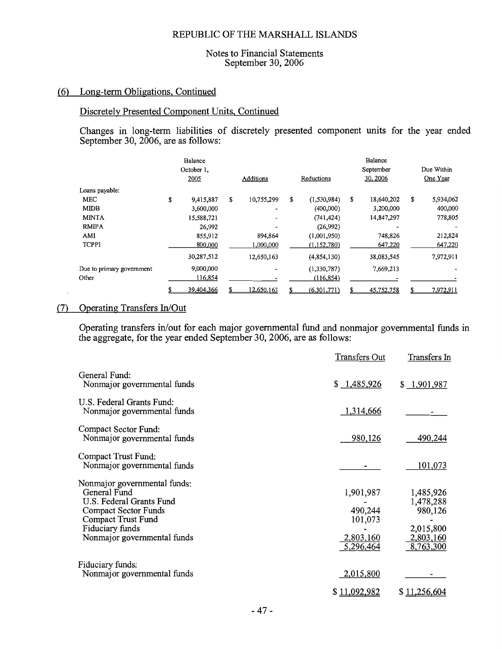#### Notes to Financial Statements September 30, 2006

#### (6) Long-term Obligations, Continued

#### Discretely Presented Component Units, Continued

Changes in long-term liabilities of discretely presented component units for the year ended September 30, 2006, are as follows:

|                           |    | Balance<br>October 1,<br>2005 |   | Additions  | Reductions        | Balance<br>September<br>30, 2006 | Due Within<br>One Year |
|---------------------------|----|-------------------------------|---|------------|-------------------|----------------------------------|------------------------|
| Loans payable:            |    |                               |   |            |                   |                                  |                        |
| MEC                       | \$ | 9,415,887                     | S | 10,755,299 | \$<br>(1,530,984) | \$<br>18,640,202                 | \$<br>5,934,062        |
| <b>MIDB</b>               |    | 3,600,000                     |   | -          | (400,000)         | 3,200,000                        | 400,000                |
| <b>MINTA</b>              |    | 15,588,721                    |   |            | (741, 424)        | 14,847,297                       | 778,805                |
| <b>RMIPA</b>              |    | 26,992                        |   |            | (26,992)          |                                  |                        |
| AMI                       |    | 855,912                       |   | 894,864    | (1,001,950)       | 748,826                          | 212,824                |
| <b>TCPPI</b>              |    | 800,000                       |   | 1,000,000  | (1,152,780)       | 647,220                          | 647,220                |
|                           |    | 30,287,512                    |   | 12,650,163 | (4,854,130)       | 38,083,545                       | 7,972,911              |
| Due to primary government |    | 9,000,000                     |   |            | (1,330,787)       | 7,669,213                        |                        |
| Other                     |    | 116,854                       |   |            | (116, 854)        |                                  |                        |
|                           | S  | 39,404,366                    |   | 12,650,163 | (6,301,771)       | 45,752,758                       | 7,972,911              |

#### (7) Operating Transfers In/Out

Operating transfers in/out for each major governmental fund and nonmajor governmental funds in the aggregate, for the year ended September 30, 2006, are as follows:

|                                                                                                                                                                                        | <b>Transfers Out</b>                                      | Transfers In                                                             |
|----------------------------------------------------------------------------------------------------------------------------------------------------------------------------------------|-----------------------------------------------------------|--------------------------------------------------------------------------|
| General Fund:<br>Nonmajor governmental funds                                                                                                                                           | \$1,485,926                                               | \$1,901,987                                                              |
| U.S. Federal Grants Fund:<br>Nonmajor governmental funds                                                                                                                               | 1,314,666                                                 |                                                                          |
| Compact Sector Fund:<br>Nonmajor governmental funds                                                                                                                                    | 980,126                                                   | 490,244                                                                  |
| Compact Trust Fund:<br>Nonmajor governmental funds                                                                                                                                     |                                                           | 101,073                                                                  |
| Nonmajor governmental funds:<br>General Fund<br>U.S. Federal Grants Fund<br><b>Compact Sector Funds</b><br><b>Compact Trust Fund</b><br>Fiduciary funds<br>Nonmajor governmental funds | 1,901,987<br>490,244<br>101,073<br>2,803,160<br>5,296,464 | 1,485,926<br>1,478,288<br>980,126<br>2,015,800<br>2,803,160<br>8,763,300 |
| Fiduciary funds:<br>Nonmajor governmental funds                                                                                                                                        | 2,015,800<br>\$11,092,982                                 | \$11,256,604                                                             |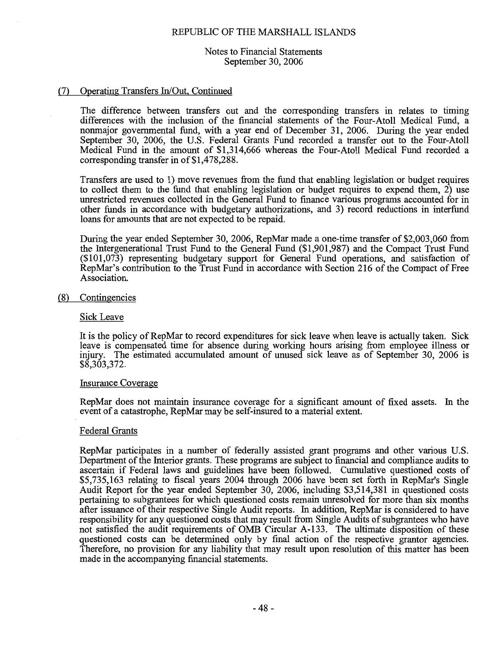Notes to Financial Statements September 30, 2006

#### (7) Operating Transfers In/Out, Continued

The difference between transfers out and the corresponding transfers in relates to timing differences with the inclusion of the financial statements of the Four-Atoll Medical Fund, a nonmajor governmental fund, with a year end of December 31, 2006. During the year ended September 30, 2006, the U.S. Federal Grants Fund recorded a transfer out to the Four-Atoll Medical Fund in the amount of \$1,314,666 whereas the Four-Atoll Medical Fund recorded a corresponding transfer in of \$1,478,288.

Transfers are used to 1) move revenues from the fund that enabling legislation or budget requires to collect them to the fund that enabling legislation or budget requires to expend them, 2) use unrestricted revenues collected in the General Fund to finance various programs accounted for in other funds in accordance with budgetary authorizations, and 3) record reductions in interfund loans for amounts that are not expected to be repaid.

During the year ended September 30, 2006, RepMar made a one-time transfer of \$2,003,060 from the Intergenerational Trust Fund to the General Fund (\$1,901,987) and the Compact Trust Fund (\$101,073) representing budgetary support for General Fund operations, and satisfaction of RepMar's contribution to the Trust Fund in accordance with Section 216 of the Compact of Free Association.

#### (8) Contingencies

#### Sick Leave

It is the policy of RepMar to record expenditures for sick leave when leave is actually taken. Sick leave is compensated time for absence during working hours arising from employee illness or injury. The estimated accumulated amount of unused sick leave as of September 30, 2006 is \$8,303,372.

#### **Insurance Coverage**

RepMar does not maintain insurance coverage for a significant amount of fixed assets. In the event of a catastrophe, RepMar may be self-insured to a material extent.

#### **Federal Grants**

RepMar participates in a number of federally assisted grant programs and other various U.S. Department of the Interior grants. These programs are subject to financial and compliance audits to ascertain if Federal laws and guidelines have been followed. Cumulative questioned costs of \$5,735,163 relating to fiscal years 2004 through 2006 have been set forth in RepMar's Single Audit Report for the year ended September 30, 2006, including \$3,514,381 in questioned costs pertaining to subgrantees for which questioned costs remain unresolved for more than six months after issuance of their respective Single Audit reports. In addition, RepMar is considered to have responsibility for any questioned costs that may result from Single Audits of subgrantees who have not satisfied the audit requirements of OMB Circular A-133. The ultimate disposition of these questioned costs can be determined only by final action of the respective grantor agencies. Therefore, no provision for any liability that may result upon resolution of this matter has been made in the accompanying financial statements.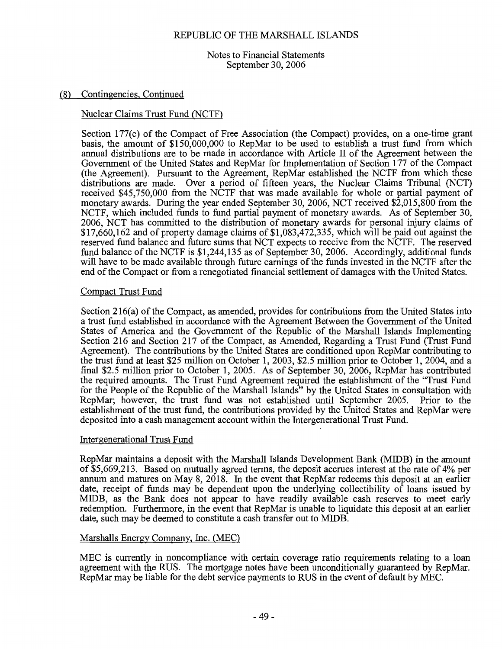Notes to Financial Statements September 30, 2006

#### (8) Contingencies, Continued

#### Nuclear Claims Trust Fund (NCTF)

Section 177(c) of the Compact of Free Association (the Compact) provides, on a one-time grant basis, the amount of \$150,000,000 to RepMar to be used to establish a trust fund from which annual distributions are to be made in accordance with Article II of the Agreement between the Government of the United States and RepMar for Implementation of Section 177 of the Compact (the Agreement). Pursuant to the Agreement, RepMar established the NCTF from which these distributions are made. Over a period of fifteen years, the Nuclear Claims Tribunal (NCT) received \$45,750,000 from the NCTF that was made available for whole or partial payment of monetary awards. During the year ended September 30, 2006, NCT received \$2,015,800 from the NCTF, which included funds to fund partial payment of monetary awards. As of September 30, 2006, NCT has committed to the distribution of monetary awards for personal injury claims of \$17,660,162 and of property damage claims of \$1,083,472,335, which will be paid out against the reserved fund balance and future sums that NCT expects to receive from the NCTF. The reserved fund balance of the NCTF is \$1,244,135 as of September 30, 2006. Accordingly, additional funds will have to be made available through future earnings of the funds invested in the NCTF after the end of the Compact or from a renegotiated financial settlement of damages with the United States.

#### **Compact Trust Fund**

Section 216(a) of the Compact, as amended, provides for contributions from the United States into a trust fund established in accordance with the Agreement Between the Government of the United States of America and the Government of the Republic of the Marshall Islands Implementing Section 216 and Section 217 of the Compact, as Amended, Regarding a Trust Fund (Trust Fund Agreement). The contributions by the United States are conditioned upon RepMar contributing to the trust fund at least \$25 million on October 1, 2003, \$2.5 million prior to October 1, 2004, and a final \$2.5 million prior to October 1, 2005. As of September 30, 2006, RepMar has contributed the required amounts. The Trust Fund Agreement required the establishment of the "Trust Fund for the People of the Republic of the Marshall Islands" by the United States in consultation with RepMar; however, the trust fund was not established until September 2005. Prior to the establishment of the trust fund, the contributions provided by the United States and RepMar were deposited into a cash management account within the Intergenerational Trust Fund.

#### **Intergenerational Trust Fund**

RepMar maintains a deposit with the Marshall Islands Development Bank (MIDB) in the amount of \$5,669,213. Based on mutually agreed terms, the deposit accrues interest at the rate of 4% per annum and matures on May 8, 2018. In the event that RepMar redeems this deposit at an earlier date, receipt of funds may be dependent upon the underlying collectibility of loans issued by MIDB, as the Bank does not appear to have readily available cash reserves to meet early redemption. Furthermore, in the event that RepMar is unable to liquidate this deposit at an earlier date, such may be deemed to constitute a cash transfer out to MIDB.

#### Marshalls Energy Company, Inc. (MEC)

MEC is currently in noncompliance with certain coverage ratio requirements relating to a loan agreement with the RUS. The mortgage notes have been unconditionally guaranteed by RepMar. RepMar may be liable for the debt service payments to RUS in the event of default by MEC.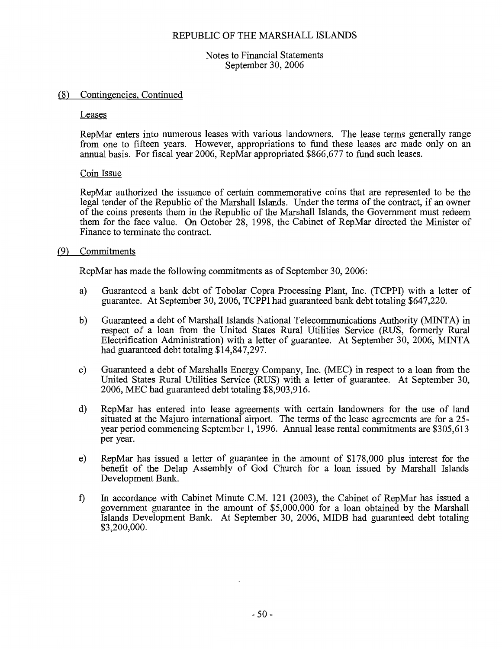Notes to Financial Statements September 30, 2006

#### (8) Contingencies, Continued

Leases

RepMar enters into numerous leases with various landowners. The lease terms generally range from one to fifteen years. However, appropriations to fund these leases are made only on an annual basis. For fiscal year 2006, RepMar appropriated \$866,677 to fund such leases.

#### Coin Issue

RepMar authorized the issuance of certain commemorative coins that are represented to be the legal tender of the Republic of the Marshall Islands. Under the terms of the contract, if an owner of the coins presents them in the Republic of the Marshall Islands, the Government must redeem them for the face value. On October 28, 1998, the Cabinet of RepMar directed the Minister of Finance to terminate the contract

#### (9) Commitments

RepMar has made the following commitments as of September 30, 2006:

- Guaranteed a bank debt of Tobolar Copra Processing Plant, Inc. (TCPPI) with a letter of a) guarantee. At September 30, 2006, TCPPI had guaranteed bank debt totaling \$647,220.
- $b)$ Guaranteed a debt of Marshall Islands National Telecommunications Authority (MINTA) in respect of a loan from the United States Rural Utilities Service (RUS, formerly Rural Electrification Administration) with a letter of guarantee. At September 30, 2006, MINTA had guaranteed debt totaling \$14,847,297.
- Guaranteed a debt of Marshalls Energy Company, Inc. (MEC) in respect to a loan from the  $c)$ United States Rural Utilities Service (RUS) with a letter of guarantee. At September 30, 2006, MEC had guaranteed debt totaling \$8,903,916.
- d) RepMar has entered into lease agreements with certain landowners for the use of land situated at the Majuro international airport. The terms of the lease agreements are for a 25year period commencing September 1, 1996. Annual lease rental commitments are \$305,613 per year.
- $e)$ RepMar has issued a letter of guarantee in the amount of \$178,000 plus interest for the benefit of the Delap Assembly of God Church for a loan issued by Marshall Islands Development Bank.
- $\mathbf{f}$ In accordance with Cabinet Minute C.M. 121 (2003), the Cabinet of RepMar has issued a government guarantee in the amount of \$5,000,000 for a loan obtained by the Marshall Islands Development Bank. At September 30, 2006, MIDB had guaranteed debt totaling \$3,200,000.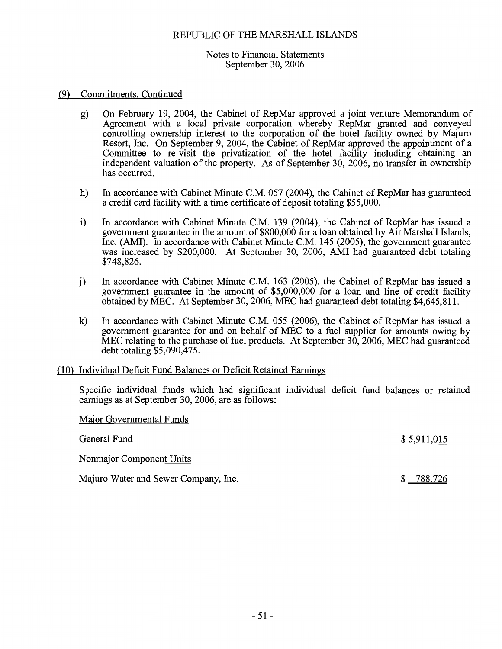#### Notes to Financial Statements September 30, 2006

#### (9) Commitments, Continued

- g) On February 19, 2004, the Cabinet of RepMar approved a joint venture Memorandum of Agreement with a local private corporation whereby RepMar granted and conveyed controlling ownership interest to the corporation of the hotel facility owned by Majuro Resort, Inc. On September 9, 2004, the Cabinet of RepMar approved the appointment of a Committee to re-visit the privatization of the hotel facility including obtaining an independent valuation of the property. As of September 30, 2006, no transfer in ownership has occurred.
- h) In accordance with Cabinet Minute C.M. 057 (2004), the Cabinet of RepMar has guaranteed a credit card facility with a time certificate of deposit totaling \$55,000.
- $\mathbf{i}$ In accordance with Cabinet Minute C.M. 139 (2004), the Cabinet of RepMar has issued a government guarantee in the amount of \$800,000 for a loan obtained by Air Marshall Islands, Inc. (AMI). In accordance with Cabinet Minute C.M. 145 (2005), the government guarantee was increased by \$200,000. At September 30, 2006, AMI had guaranteed debt totaling \$748,826.
- In accordance with Cabinet Minute C.M. 163 (2005), the Cabinet of RepMar has issued a  $j)$ government guarantee in the amount of \$5,000,000 for a loan and line of credit facility obtained by MEC. At September 30, 2006, MEC had guaranteed debt totaling \$4,645,811.
- $\bf k)$ In accordance with Cabinet Minute C.M. 055 (2006), the Cabinet of RepMar has issued a government guarantee for and on behalf of MEC to a fuel supplier for amounts owing by MEC relating to the purchase of fuel products. At September  $30,2006$ , MEC had guaranteed debt totaling  $$5,090,475$ .

#### (10) Individual Deficit Fund Balances or Deficit Retained Earnings

Specific individual funds which had significant individual deficit fund balances or retained earnings as at September 30, 2006, are as follows:

| Major Governmental Funds             |             |
|--------------------------------------|-------------|
| General Fund                         | \$5,911,015 |
| Nonmajor Component Units             |             |
| Majuro Water and Sewer Company, Inc. | 788,726     |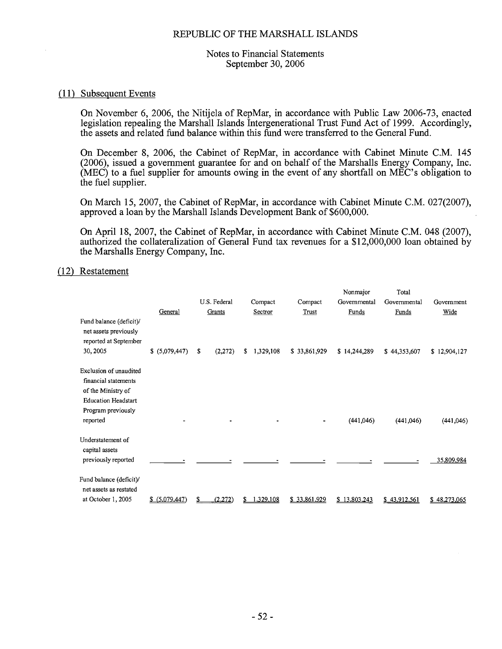#### Notes to Financial Statements September 30, 2006

#### (11) Subsequent Events

On November 6, 2006, the Nitijela of RepMar, in accordance with Public Law 2006-73, enacted legislation repealing the Marshall Islands Intergenerational Trust Fund Act of 1999. Accordingly, the assets and related fund balance within this fund were transferred to the General Fund.

On December 8, 2006, the Cabinet of RepMar, in accordance with Cabinet Minute C.M. 145 (2006), issued a government guarantee for and on behalf of the Marshalls Energy Company, Inc.  $(MEC)$  to a fuel supplier for amounts owing in the event of any shortfall on  $MEC$ 's obligation to the fuel supplier.

On March 15, 2007, the Cabinet of RepMar, in accordance with Cabinet Minute C.M. 027(2007), approved a loan by the Marshall Islands Development Bank of \$600,000.

On April 18, 2007, the Cabinet of RepMar, in accordance with Cabinet Minute C.M. 048 (2007). authorized the collateralization of General Fund tax revenues for a \$12,000,000 loan obtained by the Marshalls Energy Company, Inc.

#### (12) Restatement

|                                                                                                                          |                |              |                 |              | Nonmajor     | Total        |              |
|--------------------------------------------------------------------------------------------------------------------------|----------------|--------------|-----------------|--------------|--------------|--------------|--------------|
|                                                                                                                          |                | U.S. Federal | Compact         | Compact      | Governmental | Governmental | Government   |
|                                                                                                                          | General        | Grants       | Sectror         | Trust        | Funds        | Funds        | Wide         |
| Fund balance (deficit)/<br>net assets previously<br>reported at September<br>30, 2005                                    | \$ (5,079,447) | (2,272)<br>S | 1,329,108<br>S. | \$33,861,929 | \$14,244,289 | \$44,353,607 | \$12,904,127 |
|                                                                                                                          |                |              |                 |              |              |              |              |
| Exclusion of unaudited<br>financial statements<br>of the Ministry of<br><b>Education Headstart</b><br>Program previously |                |              |                 |              |              |              |              |
| reported                                                                                                                 |                |              |                 |              | (441, 046)   | (441,046)    | (441, 046)   |
| Understatement of<br>capital assets<br>previously reported                                                               |                |              |                 |              |              |              | 35,809,984   |
| Fund balance (deficit)/<br>net assets as restated                                                                        |                |              |                 |              |              |              |              |
| at October 1, 2005                                                                                                       | \$ (5,079,447) | (2,272)      | 1.329,108       | \$33,861,929 | 13,803,243   | \$43,912,561 | \$48,273,065 |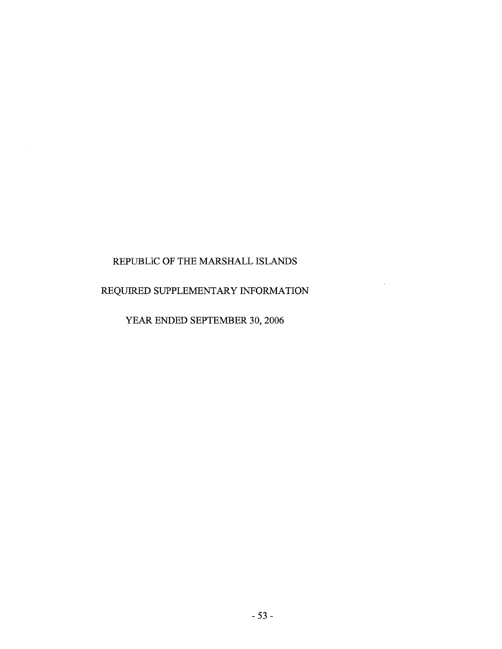$\sim$ 

 $\mathcal{L}_{\mathcal{A}}$ 

#### REQUIRED SUPPLEMENTARY INFORMATION

 $\sim$ 

 $\sim$ 

YEAR ENDED SEPTEMBER 30, 2006

 $-53-$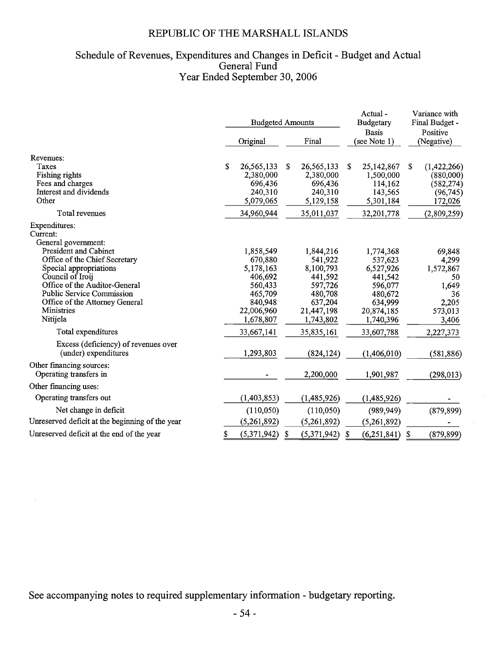## Schedule of Revenues, Expenditures and Changes in Deficit - Budget and Actual<br>General Fund<br>Year Ended September 30, 2006

|                                                                                                                                                                                                                                                                                                  | <b>Budgeted Amounts</b> |                                                                                                          |    |                                                                                                          |                              | Actual-<br><b>Budgetary</b>                                                                              | Variance with<br>Final Budget - |                                                                                |  |
|--------------------------------------------------------------------------------------------------------------------------------------------------------------------------------------------------------------------------------------------------------------------------------------------------|-------------------------|----------------------------------------------------------------------------------------------------------|----|----------------------------------------------------------------------------------------------------------|------------------------------|----------------------------------------------------------------------------------------------------------|---------------------------------|--------------------------------------------------------------------------------|--|
|                                                                                                                                                                                                                                                                                                  |                         | Original                                                                                                 |    | Final                                                                                                    | <b>Basis</b><br>(see Note 1) |                                                                                                          |                                 | Positive<br>(Negative)                                                         |  |
| Revenues:<br><b>Taxes</b><br>Fishing rights<br>Fees and charges<br>Interest and dividends<br>Other                                                                                                                                                                                               |                         | 26,565,133<br>2,380,000<br>696,436<br>240,310<br>5,079,065                                               | S  | 26, 565, 133<br>2,380,000<br>696,436<br>240,310<br>5,129,158                                             | \$                           | 25,142,867<br>1,500,000<br>114,162<br>143,565<br>5,301,184                                               | S                               | (1,422,266)<br>(880,000)<br>(582, 274)<br>(96, 745)<br>172,026                 |  |
| Total revenues                                                                                                                                                                                                                                                                                   |                         | 34,960,944                                                                                               |    | 35,011,037                                                                                               |                              | 32,201,778                                                                                               |                                 | (2,809,259)                                                                    |  |
| Expenditures:<br>Current:<br>General government:<br><b>President and Cabinet</b><br>Office of the Chief Secretary<br>Special appropriations<br>Council of Iroij<br>Office of the Auditor-General<br><b>Public Service Commission</b><br>Office of the Attorney General<br>Ministries<br>Nitijela |                         | 1,858,549<br>670,880<br>5,178,163<br>406,692<br>560,433<br>465,709<br>840,948<br>22,006,960<br>1,678,807 |    | 1,844,216<br>541,922<br>8,100,793<br>441,592<br>597,726<br>480,708<br>637,204<br>21,447,198<br>1,743,802 |                              | 1,774,368<br>537,623<br>6,527,926<br>441,542<br>596,077<br>480,672<br>634,999<br>20,874,185<br>1,740,396 |                                 | 69,848<br>4,299<br>1,572,867<br>50<br>1,649<br>36<br>2,205<br>573,013<br>3,406 |  |
| Total expenditures                                                                                                                                                                                                                                                                               |                         | 33,667,141                                                                                               |    | 35,835,161                                                                                               |                              | 33,607,788                                                                                               |                                 | 2,227,373                                                                      |  |
| Excess (deficiency) of revenues over<br>(under) expenditures                                                                                                                                                                                                                                     |                         | 1,293,803                                                                                                |    | (824, 124)                                                                                               |                              | (1,406,010)                                                                                              |                                 | (581, 886)                                                                     |  |
| Other financing sources:<br>Operating transfers in                                                                                                                                                                                                                                               |                         |                                                                                                          |    | 2,200,000                                                                                                |                              | 1,901,987                                                                                                |                                 | (298, 013)                                                                     |  |
| Other financing uses:                                                                                                                                                                                                                                                                            |                         |                                                                                                          |    |                                                                                                          |                              |                                                                                                          |                                 |                                                                                |  |
| Operating transfers out                                                                                                                                                                                                                                                                          |                         | (1, 403, 853)                                                                                            |    | (1,485,926)                                                                                              |                              | (1,485,926)                                                                                              |                                 |                                                                                |  |
| Net change in deficit                                                                                                                                                                                                                                                                            |                         | (110,050)                                                                                                |    | (110,050)                                                                                                |                              | (989, 949)                                                                                               |                                 | (879, 899)                                                                     |  |
| Unreserved deficit at the beginning of the year                                                                                                                                                                                                                                                  |                         | (5,261,892)                                                                                              |    | (5,261,892)                                                                                              |                              | (5,261,892)                                                                                              |                                 |                                                                                |  |
| Unreserved deficit at the end of the year                                                                                                                                                                                                                                                        | \$                      | (5,371,942)                                                                                              | \$ | (5,371,942)                                                                                              | \$                           | (6, 251, 841)                                                                                            | \$                              | (879, 899)                                                                     |  |

See accompanying notes to required supplementary information - budgetary reporting.

l,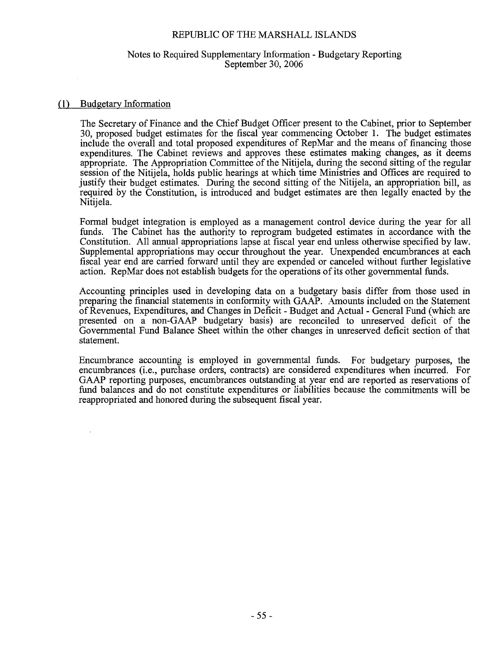#### Notes to Required Supplementary Information - Budgetary Reporting September 30, 2006

#### (1) Budgetary Information

The Secretary of Finance and the Chief Budget Officer present to the Cabinet, prior to September 30, proposed budget estimates for the fiscal year commencing October 1. The budget estimates include the overall and total proposed expenditures of RepMar and the means of financing those expenditures. The Cabinet reviews and approves these estimates making changes, as it deems appropriate. The Appropriation Committee of the Nitijela, during the second sitting of the regular session of the Nitijela, holds public hearings at which time Ministries and Offices are required to justify their budget estimates. During the second sitting of the Nitijela, an appropriation bill, as required by the Constitution, is introduced and budget estimates are then legally enacted by the Nitijela.

Formal budget integration is employed as a management control device during the year for all funds. The Cabinet has the authority to reprogram budgeted estimates in accordance with the Constitution. All annual appropriations lapse at fiscal year end unless otherwise specified by law. Supplemental appropriations may occur throughout the year. Unexpended encumbrances at each fiscal year end are carried forward until they are expended or canceled without further legislative action. RepMar does not establish budgets for the operations of its other governmental funds.

Accounting principles used in developing data on a budgetary basis differ from those used in preparing the financial statements in conformity with GAAP. Amounts included on the Statement of Revenues, Expenditures, and Changes in Deficit - Budget and Actual - General Fund (which are presented on a non-GAAP budgetary basis) are reconciled to unreserved deficit of the Governmental Fund Balance Sheet within the other changes in unreserved deficit section of that statement.

Encumbrance accounting is employed in governmental funds. For budgetary purposes, the encumbrances (i.e., purchase orders, contracts) are considered expenditures when incurred. For GAAP reporting purposes, encumbrances outstanding at year end are reported as reservations of fund balances and do not constitute expenditures or liabilities because the commitments will be reappropriated and honored during the subsequent fiscal year.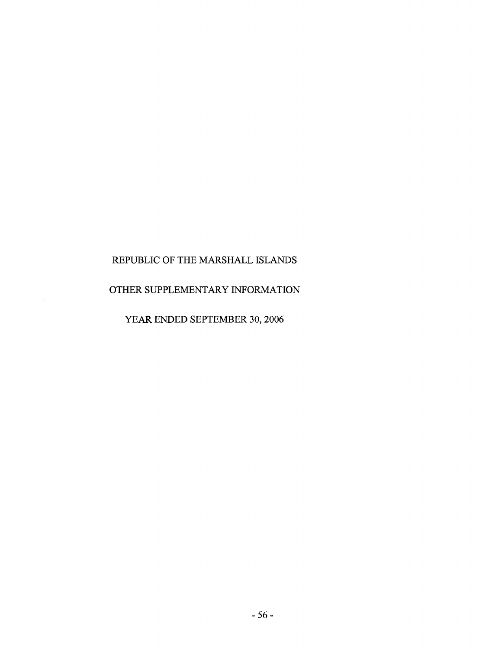$\sim 10^6$ 

#### OTHER SUPPLEMENTARY INFORMATION

YEAR ENDED SEPTEMBER 30, 2006

 $-56-$ 

 $\sim 10^{-1}$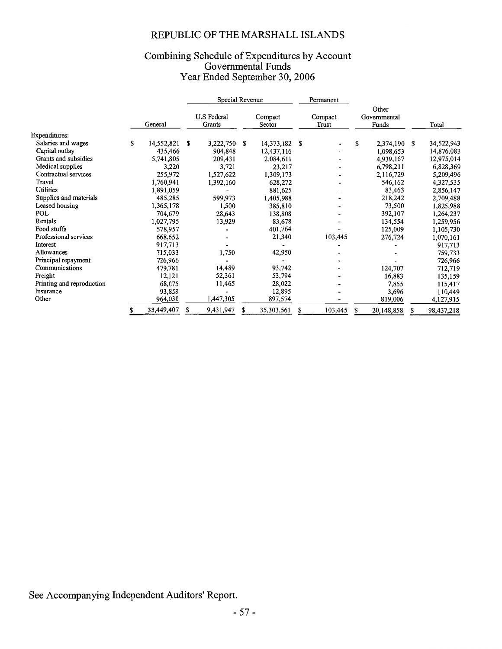### Combining Schedule of Expenditures by Account<br>Governmental Funds<br>Year Ended September 30, 2006

|                           |    |            |                       | Special Revenue |                   |               |                  | Permanent |                                |            |   |            |
|---------------------------|----|------------|-----------------------|-----------------|-------------------|---------------|------------------|-----------|--------------------------------|------------|---|------------|
|                           |    | General    | U.S Federal<br>Grants |                 | Compact<br>Sector |               | Compact<br>Trust |           | Other<br>Governmental<br>Funds |            |   | Total      |
| Expenditures:             |    |            |                       |                 |                   |               |                  |           |                                |            |   |            |
| Salaries and wages        | S  | 14,552,821 | S                     | 3,222,750       | S                 | 14,373,182 \$ |                  |           | S                              | 2,374,190  | S | 34,522,943 |
| Capital outlay            |    | 435,466    |                       | 904,848         |                   | 12,437,116    |                  |           |                                | 1,098,653  |   | 14,876,083 |
| Grants and subsidies      |    | 5,741,805  |                       | 209,431         |                   | 2,084,611     |                  |           |                                | 4,939,167  |   | 12,975,014 |
| Medical supplies          |    | 3,220      |                       | 3,721           |                   | 23,217        |                  |           |                                | 6,798,211  |   | 6,828,369  |
| Contractual services      |    | 255,972    |                       | 1,527,622       |                   | 1,309,173     |                  |           |                                | 2,116,729  |   | 5,209,496  |
| Travel                    |    | 1,760,941  |                       | 1,392,160       |                   | 628,272       |                  |           |                                | 546,162    |   | 4,327,535  |
| Utilities                 |    | 1,891,059  |                       |                 |                   | 881,625       |                  |           |                                | 83,463     |   | 2,856,147  |
| Supplies and materials    |    | 485,285    |                       | 599,973         |                   | 1,405,988     |                  |           |                                | 218,242    |   | 2,709,488  |
| Leased housing            |    | 1,365,178  |                       | 1,500           |                   | 385,810       |                  |           |                                | 73,500     |   | 1,825,988  |
| POL                       |    | 704,679    |                       | 28,643          |                   | 138,808       |                  |           |                                | 392,107    |   | 1,264,237  |
| Rentals                   |    | 1,027,795  |                       | 13,929          |                   | 83,678        |                  |           |                                | 134,554    |   | 1,259,956  |
| Food stuffs               |    | 578,957    |                       |                 |                   | 401,764       |                  |           |                                | 125,009    |   | 1,105,730  |
| Professional services     |    | 668,652    |                       |                 |                   | 21,340        |                  | 103,445   |                                | 276,724    |   | 1,070,161  |
| Interest                  |    | 917,713    |                       |                 |                   |               |                  |           |                                |            |   | 917,713    |
| Allowances                |    | 715,033    |                       | 1,750           |                   | 42,950        |                  |           |                                |            |   | 759,733    |
| Principal repayment       |    | 726,966    |                       |                 |                   |               |                  |           |                                |            |   | 726,966    |
| Communications            |    | 479,781    |                       | 14,489          |                   | 93,742        |                  |           |                                | 124,707    |   | 712,719    |
| Freight                   |    | 12,121     |                       | 52,361          |                   | 53,794        |                  |           |                                | 16,883     |   | 135,159    |
| Printing and reproduction |    | 68,075     |                       | 11,465          |                   | 28,022        |                  |           |                                | 7,855      |   | 115,417    |
| Insurance                 |    | 93,858     |                       |                 |                   | 12,895        |                  |           |                                | 3,696      |   | 110,449    |
| Other                     |    | 964,030    |                       | 1,447,305       |                   | 897,574       |                  |           |                                | 819,006    |   | 4,127,915  |
|                           | \$ | 33,449,407 | S                     | 9,431,947       | \$                | 35,303,561    | S                | 103,445   | S                              | 20,148,858 | S | 98,437,218 |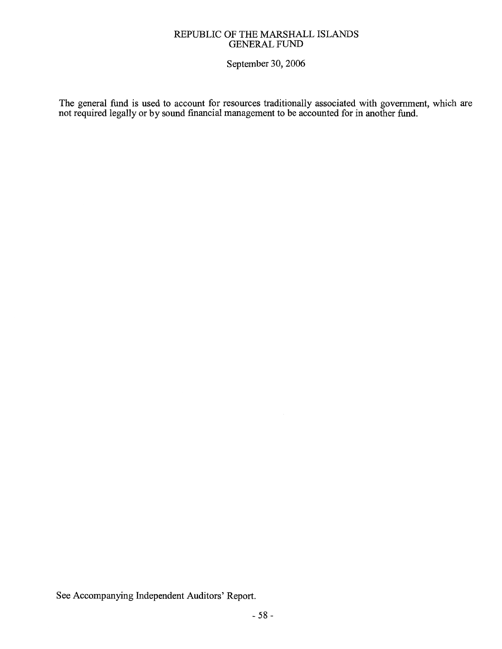#### REPUBLIC OF THE MARSHALL ISLANDS **GENERAL FUND**

September 30, 2006

The general fund is used to account for resources traditionally associated with government, which are not required legally or by sound financial management to be accounted for in another fund.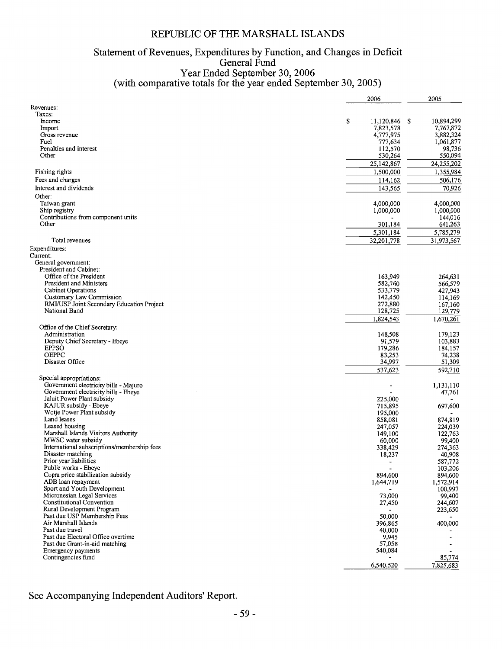# Statement of Revenues, Expenditures by Function, and Changes in Deficit<br>General Fund<br>Year Ended September 30, 2006<br>(with comparative totals for the year ended September 30, 2005)

|                                                           | 2006                | 2005                |
|-----------------------------------------------------------|---------------------|---------------------|
| Revenues:                                                 |                     |                     |
| Taxes:                                                    |                     |                     |
| Income                                                    | \$<br>11,120,846 \$ | 10,894,299          |
| Import                                                    | 7,823,578           | 7,767,872           |
| Gross revenue                                             | 4,777,975           | 3,882,324           |
| Fuel<br>Penalties and interest                            | 777,634<br>112,570  | 1,061,877<br>98,736 |
| Other                                                     | 530,264             | 550,094             |
|                                                           | 25,142,867          | 24,255,202          |
|                                                           | 1,500,000           | 1,355,984           |
| Fishing rights                                            |                     |                     |
| Fees and charges                                          | 114,162             | 506,176             |
| Interest and dividends                                    | 143,565             | 70,926              |
| Other:                                                    |                     |                     |
| Taiwan grant                                              | 4,000,000           | 4,000,000           |
| Ship registry                                             | 1,000,000           | 1,000,000           |
| Contributions from component units<br>Other               | 301,184             | 144,016<br>641,263  |
|                                                           |                     |                     |
|                                                           | 5,301,184           | 5,785,279           |
| Total revenues                                            | 32,201,778          | 31,973,567          |
| Expenditures:                                             |                     |                     |
| Current:                                                  |                     |                     |
| General government:<br>President and Cabinet:             |                     |                     |
| Office of the President                                   | 163,949             | 264,631             |
| President and Ministers                                   | 582,760             | 566,579             |
| <b>Cabinet Operations</b>                                 | 533,779             | 427,943             |
| Customary Law Commission                                  | 142,450             | 114,169             |
| RMI/USP Joint Secondary Education Project                 | 272,880             | 167,160             |
| National Band                                             | 128,725             | 129,779             |
|                                                           | 1,824,543           | 1,670,261           |
| Office of the Chief Secretary:                            |                     |                     |
| Administration                                            | 148,508             | 179,123             |
| Deputy Chief Secretary - Ebeye                            | 91,579              | 103,883             |
| <b>EPPSO</b>                                              | 179,286             | 184,157             |
| <b>OEPPC</b>                                              | 83,253              | 74,238              |
| Disaster Office                                           | 34,997              | 51,309              |
|                                                           | 537,623             | 592,710             |
| Special appropriations:                                   |                     |                     |
| Government electricity bills - Majuro                     | ٠                   | 1,131,110           |
| Government electricity bills - Ebeye                      |                     | 47,761              |
| Jaluit Power Plant subsidy                                | 225,000             |                     |
| KAJUR subsidy - Ebeye                                     | 715,895             | 697,600             |
| Wotje Power Plant subsidy<br>Land leases                  | 195,000             |                     |
| Leased housing                                            | 858,081<br>247,057  | 874,819<br>224,039  |
| Marshall Islands Visitors Authority                       | 149,100             | 122,763             |
| MWSC water subsidy                                        | 60,000              | 99,400              |
| International subscriptions/membership fees               | 338,429             | 274,363             |
| Disaster matching                                         | 18,237              | 40,908              |
| Prior year liabilities                                    |                     | 587,772             |
| Public works - Ebeye                                      |                     | 103,206             |
| Copra price stabilization subsidy                         | 894,600             | 894,600             |
| ADB loan repayment                                        | 1,644,719           | 1,572,914           |
| Sport and Youth Development                               |                     | 100,997             |
| Micronesian Legal Services                                | 73,000              | 99,400              |
| Constitutional Convention                                 | 27,450              | 244,607             |
| Rural Development Program<br>Past due USP Membership Fees |                     | 223,650             |
| Air Marshall Islands                                      | 50,000<br>396,865   | 400,000             |
| Past due travel                                           | 40,000              |                     |
| Past due Electoral Office overtime                        | 9,945               |                     |
| Past due Grant-in-aid matching                            | 57,058              |                     |
| Emergency payments                                        | 540,084             |                     |
| Contingencies fund                                        |                     | 85,774              |
|                                                           | 6,540,520           | 7,825,683           |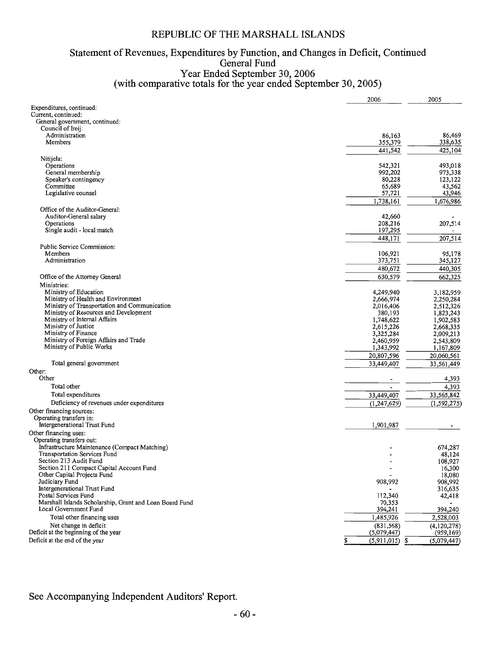# Statement of Revenues, Expenditures by Function, and Changes in Deficit, Continued<br>General Fund<br>Year Ended September 30, 2006<br>(with comparative totals for the year ended September 30, 2005)

|                                                                   | 2006                     | 2005              |
|-------------------------------------------------------------------|--------------------------|-------------------|
| Expenditures, continued:                                          |                          |                   |
| Current, continued:                                               |                          |                   |
| General government, continued:                                    |                          |                   |
| Council of Iroij:<br>Administration                               | 86,163                   | 86,469            |
| Members                                                           | 355,379                  | 338,635           |
|                                                                   | 441,542                  | 425,104           |
| Nitijela:                                                         |                          |                   |
| Operations                                                        | 542,321                  | 493,018           |
| General membership                                                | 992,202                  | 973,338           |
| Speaker's contingency                                             | 80,228                   | 123,122           |
| Committee                                                         | 65,689                   | 43,562            |
| Legislative counsel                                               | 57,721                   | 43,946            |
|                                                                   | 1,738,161                | 1,676,986         |
| Office of the Auditor-General:                                    |                          |                   |
| Auditor-General salary                                            | 42,660                   |                   |
| Operations<br>Single audit - local match                          | 208,216<br>197,295       | 207,514           |
|                                                                   | 448,171                  | 207,514           |
| Public Service Commission:                                        |                          |                   |
| Members                                                           | 106,921                  | 95,178            |
| Administration                                                    | 373,751                  | 345,127           |
|                                                                   | 480,672                  | 440,305           |
| Office of the Attorney General                                    | 630,579                  | 662,325           |
| Ministries:                                                       |                          |                   |
| Ministry of Education                                             | 4,249,940                | 3,182,959         |
| Ministry of Health and Environment                                | 2,666,974                | 2,250,284         |
| Ministry of Transportation and Communication                      | 2,016,406                | 2,512,326         |
| Ministry of Resources and Development                             | 380,193                  | 1,823,243         |
| Ministry of Internal Affairs                                      | 1,748,622                | 1,902,583         |
| Ministry of Justice                                               | 2,615,226                | 2,668,335         |
| Ministry of Finance                                               | 3,325,284                | 2,009,213         |
| Ministry of Foreign Affairs and Trade<br>Ministry of Public Works | 2,460,959                | 2,543,809         |
|                                                                   | 1,343,992                | 1,167,809         |
| Total general government                                          | 20,807,596<br>33,449,407 | 20,060,561        |
| Other:                                                            |                          | 33,561,449        |
| Other                                                             |                          |                   |
| Total other                                                       |                          | 4,393<br>4,393    |
| Total expenditures                                                | 33,449,407               | 33,565,842        |
| Deficiency of revenues under expenditures                         |                          |                   |
| Other financing sources:                                          | (1,247,629)              | (1, 592, 275)     |
| Operating transfers in:                                           |                          |                   |
| Intergenerational Trust Fund                                      | 1,901,987                |                   |
| Other financing uses:                                             |                          |                   |
| Operating transfers out:                                          |                          |                   |
| Infrastructure Maintenance (Compact Matching)                     |                          | 674,287           |
| Transportation Services Fund                                      |                          | 48,124            |
| Section 213 Audit Fund                                            |                          | 108,927           |
| Section 211 Compact Capital Account Fund                          |                          | 16,300            |
| Other Capital Projects Fund                                       |                          | 18,080            |
| Judiciary Fund<br>Intergenerational Trust Fund                    | 908,992                  | 908,992           |
| Postal Services Fund                                              | 112,340                  | 316,635<br>42,418 |
| Marshall Islands Scholarship, Grant and Loan Board Fund           | 70,353                   |                   |
| Local Government Fund                                             | 394,241                  | 394,240           |
| Total other financing uses                                        | 1,485,926                | 2,528,003         |
| Net change in deficit                                             | (831, 568)               | (4,120,278)       |
| Deficit at the beginning of the year                              | (5,079,447)              | (959, 169)        |
| Deficit at the end of the year                                    | \$<br>$(5,911,015)$ \$   | (5,079,447)       |
|                                                                   |                          |                   |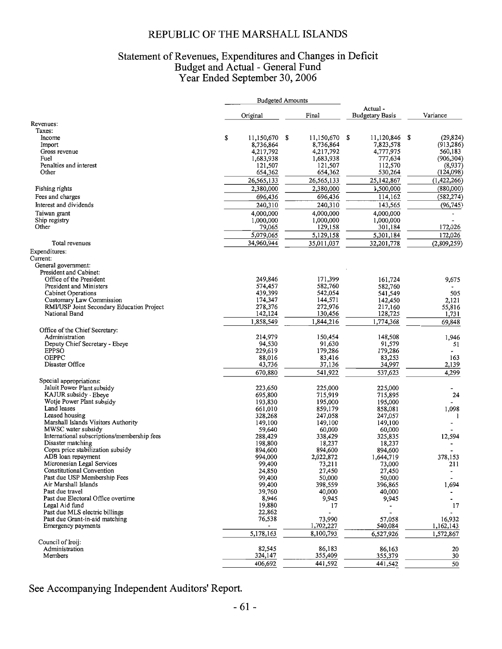### Statement of Revenues, Expenditures and Changes in Deficit<br>Budget and Actual - General Fund<br>Year Ended September 30, 2006

|                                                      |                        | <b>Budgeted Amounts</b> |                         |                                   |                          |
|------------------------------------------------------|------------------------|-------------------------|-------------------------|-----------------------------------|--------------------------|
|                                                      | Original               |                         | Final                   | Actual-<br><b>Budgetary Basis</b> | Variance                 |
| Revenues:                                            |                        |                         |                         |                                   |                          |
| Taxes:                                               |                        |                         |                         |                                   |                          |
| Income                                               | \$<br>11,150,670       | \$                      | 11,150,670<br>8,736,864 | S<br>11,120,846 \$<br>7,823,578   | (29, 824)<br>(913, 286)  |
| Import<br>Gross revenue                              | 8,736,864<br>4,217,792 |                         | 4,217,792               | 4,777,975                         | 560,183                  |
| Fuel                                                 | 1,683,938              |                         | 1,683,938               | 777,634                           | (906, 304)               |
| Penalties and interest                               | 121,507                |                         | 121,507                 | 112,570                           | (8,937)                  |
| Other                                                | 654,362                |                         | 654,362                 | 530,264                           | (124, 098)               |
|                                                      | 26,565,133             |                         | 26,565,133              | 25,142,867                        | (1,422,266)              |
| Fishing rights                                       | 2,380,000              |                         | 2,380,000               | 1,500,000                         | (880,000)                |
| Fees and charges                                     | 696,436                |                         | 696,436                 | 114,162                           | (582, 274)               |
|                                                      | 240,310                |                         | 240,310                 | 143,565                           |                          |
| Interest and dividends                               |                        |                         |                         |                                   | (96, 745)                |
| Taiwan grant                                         | 4,000,000              |                         | 4,000,000               | 4,000,000                         |                          |
| Ship registry                                        | 1,000,000              |                         | 1,000,000               | 1,000,000                         | 172,026                  |
| Other                                                | 79,065                 |                         | 129,158                 | 301,184                           |                          |
|                                                      | 5,079,065              |                         | 5,129,158               | 5,301,184                         | 172,026                  |
| Total revenues                                       | 34,960,944             |                         | 35,011,037              | 32,201,778                        | (2,809,259)              |
| Expenditures:                                        |                        |                         |                         |                                   |                          |
| Current:                                             |                        |                         |                         |                                   |                          |
| General government:                                  |                        |                         |                         |                                   |                          |
| President and Cabinet:                               |                        |                         |                         |                                   |                          |
| Office of the President                              | 249,846                |                         | 171,399                 | 161,724                           | 9,675                    |
| President and Ministers                              | 574,457<br>439,399     |                         | 582,760<br>542,054      | 582,760<br>541,549                | 505                      |
| Cabinet Operations<br>Customary Law Commission       | 174,347                |                         | 144,571                 | 142,450                           | 2,121                    |
| RMI/USP Joint Secondary Education Project            | 278,376                |                         | 272,976                 | 217,160                           | 55,816                   |
| National Band                                        | 142,124                |                         | 130,456                 | 128,725                           | 1,731                    |
|                                                      | 1,858,549              |                         | 1,844,216               | 1,774,368                         | 69,848                   |
|                                                      |                        |                         |                         |                                   |                          |
| Office of the Chief Secretary:<br>Administration     | 214,979                |                         | 150,454                 | 148,508                           | 1,946                    |
| Deputy Chief Secretary - Ebeye                       | 94,530                 |                         | 91,630                  | 91,579                            | 51                       |
| <b>EPPSO</b>                                         | 229,619                |                         | 179,286                 | 179,286                           | $\overline{\phantom{a}}$ |
| <b>OEPPC</b>                                         | 88,016                 |                         | 83,416                  | 83,253                            | 163                      |
| Disaster Office                                      | 43,736                 |                         | 37,136                  | 34,997                            | 2,139                    |
|                                                      | 670,880                |                         | 541,922                 | 537,623                           | 4,299                    |
| Special appropriations:                              |                        |                         |                         |                                   |                          |
| Jaluit Power Plant subsidy                           | 223,650                |                         | 225,000                 | 225,000                           |                          |
| KAJUR subsidy - Ebeye                                | 695,800                |                         | 715,919                 | 715,895                           | 24                       |
| Wotje Power Plant subsidy                            | 193,830                |                         | 195,000                 | 195,000                           |                          |
| Land leases                                          | 661,010                |                         | 859,179                 | 858,081                           | 1,098                    |
| Leased housing                                       | 328,268                |                         | 247,058                 | 247,057                           | 1                        |
| Marshall Islands Visitors Authority                  | 149,100                |                         | 149,100                 | 149,100                           | $\overline{\phantom{a}}$ |
| MWSC water subsidy                                   | 59,640                 |                         | 60,000                  | 60,000                            |                          |
| International subscriptions/membership fees          | 288,429                |                         | 338,429                 | 325,835                           | 12,594                   |
| Disaster matching                                    | 198,800                |                         | 18,237                  | 18,237                            |                          |
| Copra price stabilization subsidy                    | 894,600                |                         | 894,600                 | 894,600                           |                          |
| ADB loan repayment                                   | 994,000                |                         | 2,022,872               | 1,644,719                         | 378,153                  |
| Micronesian Legal Services                           | 99,400                 |                         | 73,211                  | 73,000                            | 211                      |
| Constitutional Convention                            | 24,850                 |                         | 27,450                  | 27,450                            |                          |
| Past due USP Membership Fees<br>Air Marshall Islands | 99,400<br>99,400       |                         | 50,000<br>398,559       | 50,000<br>396,865                 | 1,694                    |
| Past due travel                                      | 39,760                 |                         | 40,000                  | 40,000                            |                          |
| Past due Electoral Office overtime                   | 8,946                  |                         | 9,945                   | 9,945                             | $\overline{\phantom{a}}$ |
| Legal Aid fund                                       | 19,880                 |                         | 17                      |                                   | 17                       |
| Past due MLS electric billings                       | 22,862                 |                         |                         |                                   |                          |
| Past due Grant-in-aid matching                       | 76,538                 |                         | 73,990                  | 57,058                            | 16,932                   |
| Emergency payments                                   |                        |                         | 1,702,227               | 540,084                           | 1,162,143                |
|                                                      | 5,178,163              |                         | 8,100,793               | 6,527,926                         | 1,572,867                |
| Council of Iroij:                                    |                        |                         |                         |                                   |                          |
| Administration                                       | 82,545                 |                         | 86,183                  | 86,163                            | 20                       |
| <b>Members</b>                                       | 324,147                |                         | 355,409                 | 355,379                           | 30                       |
|                                                      | 406,692                |                         | 441,592                 | 441,542                           | $\overline{50}$          |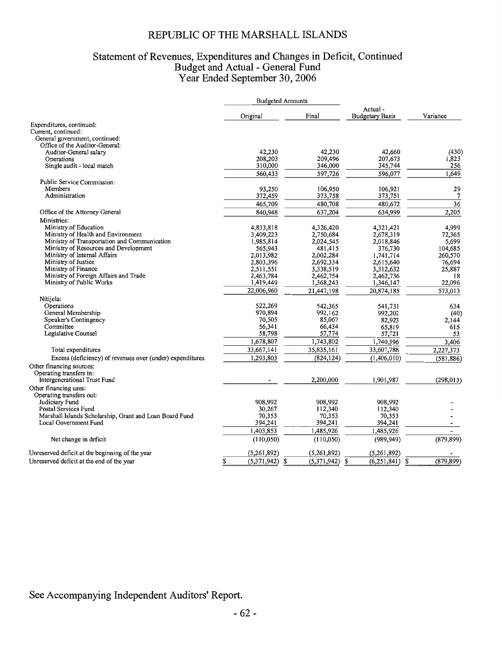## Statement of Revenues, Expenditures and Changes in Deficit, Continued<br>Budget and Actual - General Fund<br>Year Ended September 30, 2006

|                                                                   | <b>Budgeted Amounts</b> |                        |                                   |                |
|-------------------------------------------------------------------|-------------------------|------------------------|-----------------------------------|----------------|
|                                                                   | Original                | Final                  | Actual-<br><b>Budgetary Basis</b> | Variance       |
| Expenditures, continued:                                          |                         |                        |                                   |                |
| Current, continued:                                               |                         |                        |                                   |                |
| General government, continued:                                    |                         |                        |                                   |                |
| Office of the Auditor-General:                                    |                         |                        |                                   |                |
| Auditor-General salary                                            | 42,230                  | 42,230                 | 42,660                            | (430)          |
| Operations                                                        | 208,203                 | 209,496                | 207,673                           | 1,823          |
| Single audit - local match                                        | 310,000                 | 346,000                | 345,744                           | 256            |
|                                                                   | 560,433                 | 597,726                | 596.077                           | 1.649          |
| Public Service Commission:                                        |                         |                        |                                   |                |
| Members                                                           | 93,250                  | 106,950                | 106,921                           | 29             |
| Administration                                                    | 372,459                 | 373,758                | 373,751                           | $\overline{7}$ |
|                                                                   | 465,709                 | 480,708                | 480,672                           | 36             |
| Office of the Attorney General                                    | 840,948                 | 637,204                | 634,999                           | 2,205          |
| Ministries:                                                       |                         |                        |                                   |                |
| Ministry of Education                                             | 4,833,818               | 4,326,420              | 4,321,421                         | 4,999          |
| Ministry of Health and Environment                                | 3,409,223               | 2,750,684              | 2,678,319                         | 72,365         |
| Ministry of Transportation and Communication                      | 1,985,814               | 2,024,545              | 2,018,846                         | 5,699          |
| Ministry of Resources and Development                             | 565,943                 | 481,415                | 376,730                           | 104,685        |
| Ministry of Internal Affairs                                      | 2,013,982               | 2,002,284              | 1,741,714                         | 260,570        |
| Ministry of Justice                                               | 2,803,396               | 2,692,334              | 2,615,640                         | 76.694         |
| Ministry of Finance                                               | 2,511,551               | 3,338,519              | 3,312,632                         | 25.887         |
| Ministry of Foreign Affairs and Trade<br>Ministry of Public Works | 2,463,784<br>1,419,449  | 2,462,754<br>1,368,243 | 2,462,736<br>1,346,147            | 18<br>22,096   |
|                                                                   |                         |                        |                                   |                |
|                                                                   | 22,006,960              | 21,447,198             | 20,874,185                        | 573,013        |
| Nitijela:                                                         |                         |                        |                                   |                |
| Operations                                                        | 522,269<br>970,894      | 542,365                | 541,731                           | 634            |
| General Membership<br>Speaker's Contingency                       | 70,505                  | 992,162<br>85,067      | 992,202<br>82,923                 | (40)<br>2,144  |
| Committee                                                         | 56,341                  | 66,434                 | 65,819                            | 615            |
| Legislative Counsel                                               | 58,798                  | 57,774                 | 57,721                            | 53             |
|                                                                   | 1,678,807               | 1,743,802              | 1,740,396                         | 3,406          |
|                                                                   | 33,667,141              | 35,835,161             | 33,607,788                        | 2,227,373      |
| Total expenditures                                                |                         |                        |                                   |                |
| Excess (deficiency) of revenues over (under) expenditures         | 1,293,803               | (824, 124)             | (1,406,010)                       | (581, 886)     |
| Other financing sources:                                          |                         |                        |                                   |                |
| Operating transfers in:                                           |                         |                        |                                   |                |
| Intergenerational Trust Fund                                      |                         | 2,200,000              | 1.901,987                         | (298, 013)     |
| Other financing uses:                                             |                         |                        |                                   |                |
| Operating transfers out:<br>Judiciary Fund                        |                         |                        |                                   |                |
| Postal Services Fund                                              | 908,992<br>30,267       | 908,992<br>112,340     | 908,992<br>112,340                |                |
| Marshall Islands Scholarship, Grant and Loan Board Fund           | 70,353                  | 70,353                 | 70,353                            |                |
| Local Government Fund                                             | 394,241                 | 394,241                | 394,241                           |                |
|                                                                   | 1,403,853               | 1,485,926              | 1,485,926                         |                |
|                                                                   |                         |                        |                                   |                |
| Net change in deficit                                             | (110, 050)              | (110, 050)             | (989, 949)                        | (879, 899)     |
| Unreserved deficit at the beginning of the year                   | (5,261,892)             | (5,261,892)            | (5,261,892)                       |                |
| Unreserved deficit at the end of the year                         |                         |                        |                                   | (879, 899)     |
|                                                                   | $(5,371,942)$ \$<br>\$  | (5,371,942)            | \$<br>(6,251,841)                 | S              |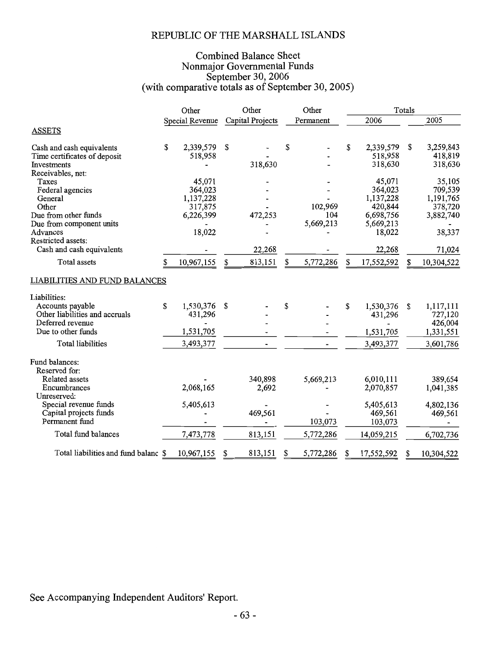### **Combined Balance Sheet** Nonmajor Governmental Funds<br>September 30, 2006<br>(with comparative totals as of September 30, 2005)

|                                             | Other           | Other            |    | Other     |                  | Totals |            |  |  |
|---------------------------------------------|-----------------|------------------|----|-----------|------------------|--------|------------|--|--|
|                                             | Special Revenue | Capital Projects |    | Permanent | 2006             |        | 2005       |  |  |
| <b>ASSETS</b>                               |                 |                  |    |           |                  |        |            |  |  |
|                                             |                 |                  |    |           |                  |        |            |  |  |
| Cash and cash equivalents                   | \$<br>2,339,579 | \$               | \$ |           | \$<br>2,339,579  | \$     | 3,259,843  |  |  |
| Time certificates of deposit<br>Investments | 518,958         |                  |    |           | 518,958          |        | 418,819    |  |  |
| Receivables, net:                           |                 | 318,630          |    |           | 318,630          |        | 318,630    |  |  |
| Taxes                                       | 45,071          |                  |    |           | 45,071           |        | 35,105     |  |  |
| Federal agencies                            | 364,023         |                  |    |           | 364,023          |        | 709,539    |  |  |
| General                                     | 1,137,228       |                  |    |           | 1,137,228        |        | 1,191,765  |  |  |
| Other                                       | 317,875         |                  |    | 102,969   | 420,844          |        | 378,720    |  |  |
| Due from other funds                        | 6,226,399       | 472,253          |    | 104       | 6,698,756        |        | 3,882,740  |  |  |
| Due from component units                    |                 |                  |    | 5,669,213 | 5,669,213        |        |            |  |  |
| Advances                                    | 18,022          |                  |    |           | 18,022           |        | 38,337     |  |  |
| Restricted assets:                          |                 |                  |    |           |                  |        |            |  |  |
| Cash and cash equivalents                   |                 | 22,268           |    |           | 22,268           |        | 71,024     |  |  |
| Total assets                                | 10,967,155      | \$<br>813,151    | \$ | 5,772,286 | \$<br>17,552,592 | S      | 10,304,522 |  |  |
| <b>LIABILITIES AND FUND BALANCES</b>        |                 |                  |    |           |                  |        |            |  |  |
| Liabilities:                                |                 |                  |    |           |                  |        |            |  |  |
| Accounts payable                            | \$<br>1,530,376 | \$               | \$ |           | \$<br>1,530,376  | \$     | 1,117,111  |  |  |
| Other liabilities and accruals              | 431,296         |                  |    |           | 431,296          |        | 727,120    |  |  |
| Deferred revenue                            |                 |                  |    |           |                  |        | 426,004    |  |  |
| Due to other funds                          | 1,531,705       |                  |    |           | 1,531,705        |        | 1,331,551  |  |  |
| <b>Total liabilities</b>                    | 3,493,377       |                  |    |           | 3,493,377        |        | 3,601,786  |  |  |
| Fund balances:                              |                 |                  |    |           |                  |        |            |  |  |
| Reserved for:                               |                 |                  |    |           |                  |        |            |  |  |
| Related assets                              |                 | 340,898          |    | 5,669,213 | 6,010,111        |        | 389,654    |  |  |
| Encumbrances                                | 2,068,165       | 2,692            |    |           | 2,070,857        |        | 1,041,385  |  |  |
| Unreserved:                                 |                 |                  |    |           |                  |        |            |  |  |
| Special revenue funds                       | 5,405,613       |                  |    |           | 5,405,613        |        | 4,802,136  |  |  |
| Capital projects funds                      |                 | 469,561          |    |           | 469,561          |        | 469,561    |  |  |
| Permanent fund                              |                 |                  |    | 103,073   | 103,073          |        |            |  |  |
| Total fund balances                         | 7,473,778       | 813,151          |    | 5,772,286 | 14,059,215       |        | 6,702,736  |  |  |
| Total liabilities and fund balanc \$        | 10,967,155      | \$<br>813,151    | S  | 5,772,286 | \$<br>17,552,592 | S      | 10,304,522 |  |  |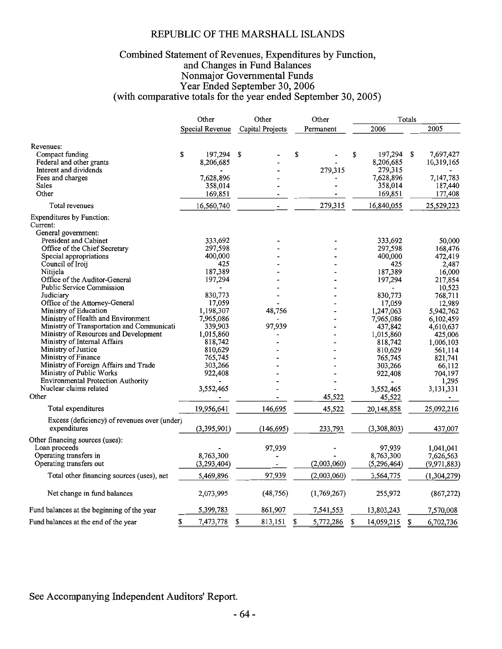### Combined Statement of Revenues, Expenditures by Function, Complied Statement of Revenues, Expenditures by Function,<br>and Changes in Fund Balances<br>Nonmajor Governmental Funds<br>Year Ended September 30, 2006<br>(with comparative totals for the year ended September 30, 2005)

|                                              | Other |                 | Other |                  |    | Other       |    |               | Totals |             |  |
|----------------------------------------------|-------|-----------------|-------|------------------|----|-------------|----|---------------|--------|-------------|--|
|                                              |       | Special Revenue |       | Capital Projects |    | Permanent   |    | 2006          |        | 2005        |  |
| Revenues:                                    |       |                 |       |                  |    |             |    |               |        |             |  |
| Compact funding                              | \$    | 197,294         | S     |                  | \$ |             | S  | 197,294       | S      | 7,697,427   |  |
| Federal and other grants                     |       | 8,206,685       |       |                  |    |             |    | 8,206,685     |        | 10,319,165  |  |
| Interest and dividends                       |       |                 |       |                  |    | 279,315     |    | 279,315       |        |             |  |
| Fees and charges                             |       | 7,628,896       |       |                  |    |             |    | 7,628,896     |        | 7,147,783   |  |
| Sales                                        |       | 358,014         |       |                  |    |             |    | 358,014       |        | 187,440     |  |
| Other                                        |       | 169,851         |       |                  |    |             |    | 169,851       |        | 177,408     |  |
| Total revenues                               |       | 16,560,740      |       |                  |    | 279,315     |    | 16,840,055    |        | 25,529,223  |  |
| Expenditures by Function:<br>Current:        |       |                 |       |                  |    |             |    |               |        |             |  |
| General government:                          |       |                 |       |                  |    |             |    |               |        |             |  |
| President and Cabinet                        |       | 333,692         |       |                  |    |             |    | 333,692       |        | 50,000      |  |
| Office of the Chief Secretary                |       | 297,598         |       |                  |    |             |    | 297,598       |        | 168,476     |  |
| Special appropriations                       |       | 400,000         |       |                  |    |             |    | 400,000       |        | 472,419     |  |
| Council of Iroij                             |       | 425             |       |                  |    |             |    | 425           |        | 2,487       |  |
| Nitijela                                     |       | 187,389         |       |                  |    |             |    | 187,389       |        | 16,000      |  |
| Office of the Auditor-General                |       | 197,294         |       |                  |    |             |    | 197,294       |        | 217,854     |  |
| <b>Public Service Commission</b>             |       |                 |       |                  |    |             |    |               |        | 10,523      |  |
| Judiciary                                    |       | 830,773         |       |                  |    |             |    | 830,773       |        | 768,711     |  |
| Office of the Attorney-General               |       | 17,059          |       |                  |    |             |    | 17,059        |        | 12,989      |  |
| Ministry of Education                        |       | 1,198,307       |       | 48,756           |    |             |    | 1,247,063     |        | 5,942,762   |  |
| Ministry of Health and Environment           |       | 7,965,086       |       |                  |    |             |    | 7,965,086     |        | 6,102,459   |  |
| Ministry of Transportation and Communicati   |       | 339,903         |       | 97,939           |    |             |    | 437,842       |        | 4,610,637   |  |
| Ministry of Resources and Development        |       | 1,015,860       |       |                  |    |             |    | 1,015,860     |        | 425,006     |  |
| Ministry of Internal Affairs                 |       | 818,742         |       |                  |    |             |    | 818,742       |        | 1,006,103   |  |
| Ministry of Justice                          |       | 810,629         |       |                  |    |             |    | 810,629       |        | 561,114     |  |
| Ministry of Finance                          |       | 765,745         |       |                  |    |             |    | 765,745       |        | 821,741     |  |
| Ministry of Foreign Affairs and Trade        |       | 303,266         |       |                  |    |             |    | 303,266       |        | 66,112      |  |
| Ministry of Public Works                     |       | 922,408         |       |                  |    |             |    | 922,408       |        | 704,197     |  |
| <b>Environmental Protection Authority</b>    |       |                 |       |                  |    |             |    |               |        | 1,295       |  |
| Nuclear claims related                       |       | 3,552,465       |       |                  |    |             |    | 3,552,465     |        | 3,131,331   |  |
| Other                                        |       |                 |       |                  |    | 45,522      |    | 45,522        |        |             |  |
| Total expenditures                           |       | 19,956,641      |       | 146,695          |    | 45,522      |    | 20,148,858    |        | 25,092,216  |  |
| Excess (deficiency) of revenues over (under) |       |                 |       |                  |    |             |    |               |        |             |  |
| expenditures                                 |       | (3,395,901)     |       | (146, 695)       |    | 233,793     |    | (3,308,803)   |        | 437,007     |  |
| Other financing sources (uses):              |       |                 |       |                  |    |             |    |               |        |             |  |
| Loan proceeds                                |       |                 |       | 97,939           |    |             |    | 97,939        |        | 1,041,041   |  |
| Operating transfers in                       |       | 8,763,300       |       |                  |    |             |    | 8,763,300     |        | 7,626,563   |  |
| Operating transfers out                      |       | (3, 293, 404)   |       |                  |    | (2,003,060) |    | (5, 296, 464) |        | (9,971,883) |  |
| Total other financing sources (uses), net    |       | 5,469,896       |       | 97,939           |    | (2,003,060) |    | 3,564,775     |        | (1,304,279) |  |
|                                              |       |                 |       |                  |    |             |    |               |        |             |  |
| Net change in fund balances                  |       | 2,073,995       |       | (48, 756)        |    | (1,769,267) |    | 255,972       |        | (867, 272)  |  |
| Fund balances at the beginning of the year   |       | 5,399,783       |       | 861,907          |    | 7,541,553   |    | 13,803,243    |        | 7,570,008   |  |
| Fund balances at the end of the year         | S     | 7,473,778       | \$    | 813,151          | S  | 5,772,286   | \$ | 14,059,215    | \$     | 6,702,736   |  |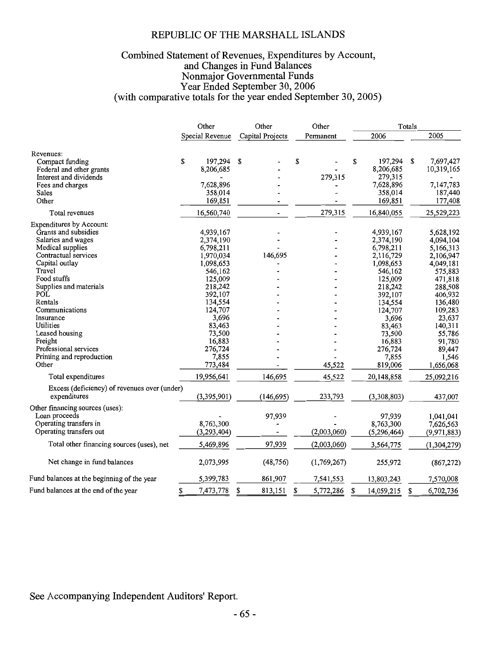#### Combined Statement of Revenues, Expenditures by Account,<br>and Changes in Fund Balances Nonmajor Governmental Funds Year Ended September 30, 2006 (with comparative totals for the year ended September 30, 2005)

|                                              | Other |                 | Other |                  | Other |             |   |               | Totals |               |  |
|----------------------------------------------|-------|-----------------|-------|------------------|-------|-------------|---|---------------|--------|---------------|--|
|                                              |       | Special Revenue |       | Capital Projects |       | Permanent   |   | 2006          |        | 2005          |  |
| Revenues:                                    |       |                 |       |                  |       |             |   |               |        |               |  |
| Compact funding                              | \$    | 197,294         | S     |                  | \$    |             | S | 197,294       | S      | 7,697,427     |  |
| Federal and other grants                     |       | 8,206,685       |       |                  |       |             |   | 8,206,685     |        | 10,319,165    |  |
| Interest and dividends                       |       |                 |       |                  |       | 279,315     |   | 279,315       |        |               |  |
| Fees and charges                             |       | 7,628,896       |       |                  |       |             |   | 7,628,896     |        | 7,147,783     |  |
| Sales                                        |       | 358,014         |       |                  |       |             |   | 358,014       |        | 187,440       |  |
| Other                                        |       | 169,851         |       |                  |       |             |   | 169,851       |        | 177,408       |  |
| Total revenues                               |       | 16,560,740      |       |                  |       | 279,315     |   | 16,840,055    |        | 25,529,223    |  |
| Expenditures by Account:                     |       |                 |       |                  |       |             |   |               |        |               |  |
| Grants and subsidies                         |       | 4,939,167       |       |                  |       |             |   | 4,939,167     |        | 5,628,192     |  |
| Salaries and wages                           |       | 2,374,190       |       |                  |       |             |   | 2,374,190     |        | 4,094,104     |  |
| Medical supplies                             |       | 6,798,211       |       |                  |       |             |   | 6,798,211     |        | 5,166,313     |  |
| Contractual services                         |       | 1,970,034       |       | 146,695          |       |             |   | 2,116,729     |        | 2,106,947     |  |
| Capital outlay                               |       | 1,098,653       |       |                  |       |             |   | 1,098,653     |        | 4,049,181     |  |
| Travel                                       |       | 546,162         |       |                  |       |             |   | 546,162       |        | 575,883       |  |
| Food stuffs                                  |       | 125,009         |       |                  |       |             |   | 125,009       |        | 471,818       |  |
| Supplies and materials                       |       | 218,242         |       |                  |       |             |   | 218,242       |        | 288,508       |  |
| POL                                          |       | 392,107         |       |                  |       |             |   | 392,107       |        | 406,932       |  |
| Rentals                                      |       | 134,554         |       |                  |       |             |   | 134,554       |        | 136,480       |  |
| Communications                               |       | 124,707         |       |                  |       |             |   | 124,707       |        | 109,283       |  |
| Insurance                                    |       | 3,696           |       |                  |       |             |   | 3,696         |        | 23,637        |  |
| Utilities                                    |       | 83,463          |       |                  |       |             |   | 83,463        |        | 140,311       |  |
| Leased housing                               |       | 73,500          |       |                  |       |             |   | 73,500        |        |               |  |
| Freight                                      |       | 16,883          |       |                  |       |             |   |               |        | 55,786        |  |
| Professional services                        |       |                 |       |                  |       |             |   | 16,883        |        | 91,780        |  |
| Printing and reproduction                    |       | 276,724         |       |                  |       |             |   | 276,724       |        | 89,447        |  |
| Other                                        |       | 7,855           |       |                  |       |             |   | 7,855         |        | 1,546         |  |
|                                              |       | 773,484         |       |                  |       | 45,522      |   | 819,006       |        | 1,656,068     |  |
| Total expenditures                           |       | 19,956,641      |       | 146,695          |       | 45,522      |   | 20,148,858    |        | 25,092,216    |  |
| Excess (deficiency) of revenues over (under) |       |                 |       |                  |       |             |   |               |        |               |  |
| expenditures                                 |       | (3,395,901)     |       | (146, 695)       |       | 233,793     |   | (3,308,803)   |        | 437,007       |  |
| Other financing sources (uses):              |       |                 |       |                  |       |             |   |               |        |               |  |
| Loan proceeds                                |       |                 |       | 97,939           |       |             |   | 97,939        |        | 1,041,041     |  |
| Operating transfers in                       |       | 8,763,300       |       |                  |       |             |   | 8,763,300     |        | 7,626,563     |  |
| Operating transfers out                      |       | (3, 293, 404)   |       |                  |       | (2,003,060) |   | (5, 296, 464) |        | (9,971,883)   |  |
|                                              |       |                 |       |                  |       |             |   |               |        |               |  |
| Total other financing sources (uses), net    |       | 5,469,896       |       | 97,939           |       | (2,003,060) |   | 3,564,775     |        | (1, 304, 279) |  |
| Net change in fund balances                  |       | 2,073,995       |       | (48, 756)        |       | (1,769,267) |   | 255,972       |        | (867, 272)    |  |
| Fund balances at the beginning of the year   |       | 5,399,783       |       | 861,907          |       | 7,541,553   |   | 13,803,243    |        | 7,570,008     |  |
| Fund balances at the end of the year         | \$    | 7,473,778       | \$    | 813,151          | \$    | 5,772,286   | S | 14,059,215    | \$     | 6,702,736     |  |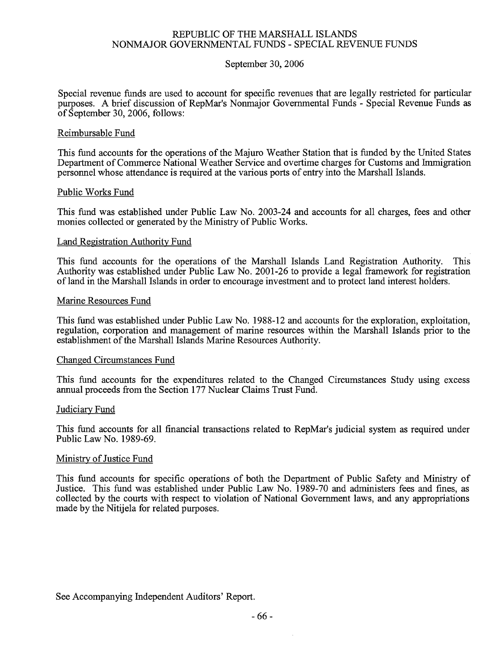#### September 30, 2006

Special revenue funds are used to account for specific revenues that are legally restricted for particular purposes. A brief discussion of RepMar's Nonmajor Governmental Funds - Special Revenue Funds as of September 30, 2006, follows:

#### Reimbursable Fund

This fund accounts for the operations of the Majuro Weather Station that is funded by the United States Department of Commerce National Weather Service and overtime charges for Customs and Immigration personnel whose attendance is required at the various ports of entry into the Marshall Islands.

#### Public Works Fund

This fund was established under Public Law No. 2003-24 and accounts for all charges, fees and other monies collected or generated by the Ministry of Public Works.

#### Land Registration Authority Fund

This This fund accounts for the operations of the Marshall Islands Land Registration Authority. Authority was established under Public Law No. 2001-26 to provide a legal framework for registration of land in the Marshall Islands in order to encourage investment and to protect land interest holders.

#### Marine Resources Fund

This fund was established under Public Law No. 1988-12 and accounts for the exploration, exploitation, regulation, corporation and management of marine resources within the Marshall Islands prior to the establishment of the Marshall Islands Marine Resources Authority.

#### **Changed Circumstances Fund**

This fund accounts for the expenditures related to the Changed Circumstances Study using excess annual proceeds from the Section 177 Nuclear Claims Trust Fund.

#### Judiciary Fund

This fund accounts for all financial transactions related to RepMar's judicial system as required under Public Law No. 1989-69.

#### Ministry of Justice Fund

This fund accounts for specific operations of both the Department of Public Safety and Ministry of Justice. This fund was established under Public Law No. 1989-70 and administers fees and fines, as collected by the courts with respect to violation of National Government laws, and any appropriations made by the Nitijela for related purposes.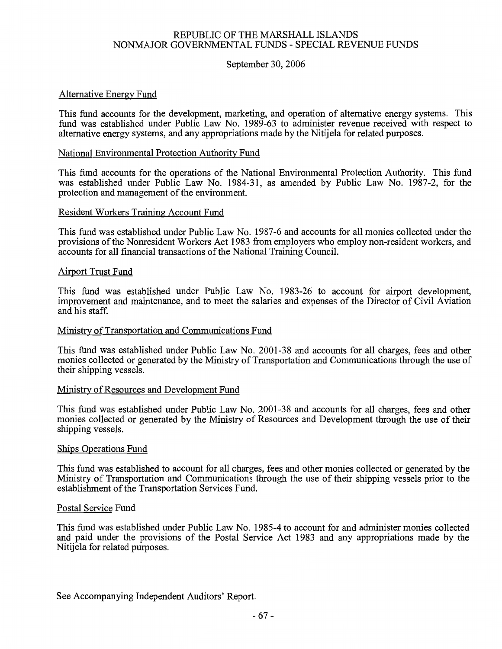#### September 30, 2006

#### Alternative Energy Fund

This fund accounts for the development, marketing, and operation of alternative energy systems. This fund was established under Public Law No. 1989-63 to administer revenue received with respect to alternative energy systems, and any appropriations made by the Nitijela for related purposes.

#### National Environmental Protection Authority Fund

This fund accounts for the operations of the National Environmental Protection Authority. This fund was established under Public Law No. 1984-31, as amended by Public Law No. 1987-2, for the protection and management of the environment.

#### Resident Workers Training Account Fund

This fund was established under Public Law No. 1987-6 and accounts for all monies collected under the provisions of the Nonresident Workers Act 1983 from employers who employ non-resident workers, and accounts for all financial transactions of the National Training Council.

#### **Airport Trust Fund**

This fund was established under Public Law No. 1983-26 to account for airport development, improvement and maintenance, and to meet the salaries and expenses of the Director of Civil Aviation and his staff.

#### Ministry of Transportation and Communications Fund

This fund was established under Public Law No. 2001-38 and accounts for all charges, fees and other monies collected or generated by the Ministry of Transportation and Communications through the use of their shipping vessels.

#### Ministry of Resources and Development Fund

This fund was established under Public Law No. 2001-38 and accounts for all charges, fees and other monies collected or generated by the Ministry of Resources and Development through the use of their shipping vessels.

#### Ships Operations Fund

This fund was established to account for all charges, fees and other monies collected or generated by the Ministry of Transportation and Communications through the use of their shipping vessels prior to the establishment of the Transportation Services Fund.

#### Postal Service Fund

This fund was established under Public Law No. 1985-4 to account for and administer monies collected and paid under the provisions of the Postal Service Act 1983 and any appropriations made by the Nitijela for related purposes.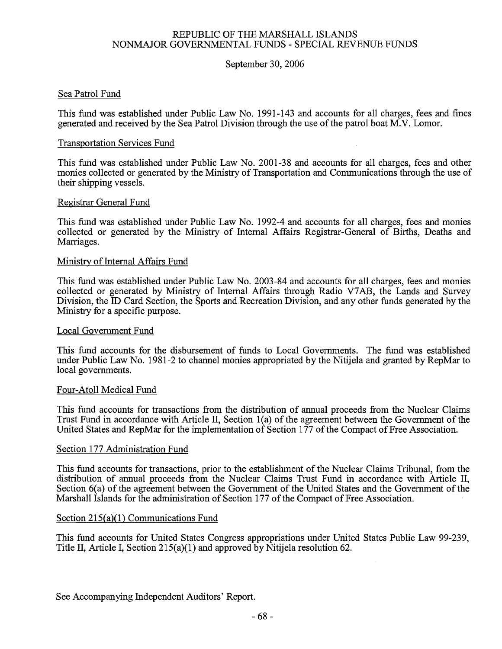#### September 30, 2006

#### Sea Patrol Fund

This fund was established under Public Law No. 1991-143 and accounts for all charges, fees and fines generated and received by the Sea Patrol Division through the use of the patrol boat M.V. Lomor.

#### **Transportation Services Fund**

This fund was established under Public Law No. 2001-38 and accounts for all charges, fees and other monies collected or generated by the Ministry of Transportation and Communications through the use of their shipping vessels.

#### Registrar General Fund

This fund was established under Public Law No. 1992-4 and accounts for all charges, fees and monies collected or generated by the Ministry of Internal Affairs Registrar-General of Births, Deaths and Marriages.

#### Ministry of Internal Affairs Fund

This fund was established under Public Law No. 2003-84 and accounts for all charges, fees and monies collected or generated by Ministry of Internal Affairs through Radio V7AB, the Lands and Survey Division, the ID Card Section, the Sports and Recreation Division, and any other funds generated by the Ministry for a specific purpose.

#### Local Government Fund

This fund accounts for the disbursement of funds to Local Governments. The fund was established under Public Law No. 1981-2 to channel monies appropriated by the Nitijela and granted by RepMar to local governments.

#### Four-Atoll Medical Fund

This fund accounts for transactions from the distribution of annual proceeds from the Nuclear Claims Trust Fund in accordance with Article II, Section 1(a) of the agreement between the Government of the United States and RepMar for the implementation of Section 177 of the Compact of Free Association.

#### Section 177 Administration Fund

This fund accounts for transactions, prior to the establishment of the Nuclear Claims Tribunal, from the distribution of annual proceeds from the Nuclear Claims Trust Fund in accordance with Article II, Section 6(a) of the agreement between the Government of the United States and the Government of the Marshall Islands for the administration of Section 177 of the Compact of Free Association.

#### Section  $215(a)(1)$  Communications Fund

This fund accounts for United States Congress appropriations under United States Public Law 99-239, Title II, Article I, Section 215(a)(1) and approved by Nitijela resolution 62.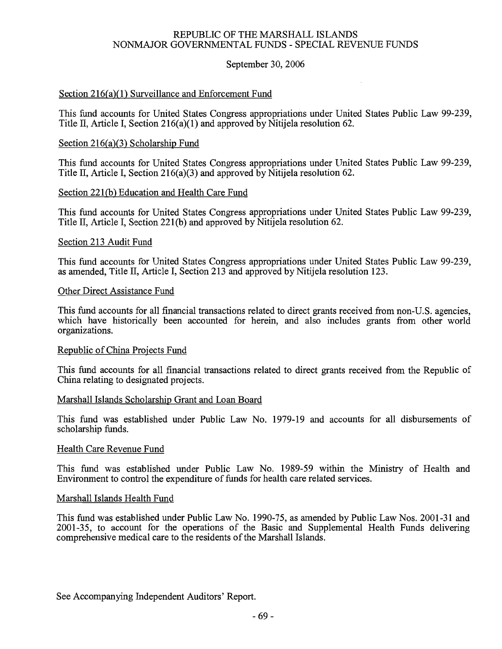#### September 30, 2006

#### Section 216(a)(1) Surveillance and Enforcement Fund

This fund accounts for United States Congress appropriations under United States Public Law 99-239, Title II. Article I. Section 216(a)(1) and approved by Nitilela resolution 62.

#### Section  $216(a)(3)$  Scholarship Fund

This fund accounts for United States Congress appropriations under United States Public Law 99-239, Title II, Article I, Section 216(a)(3) and approved by Nitilela resolution 62.

#### Section 221(b) Education and Health Care Fund

This fund accounts for United States Congress appropriations under United States Public Law 99-239, Title II, Article I, Section 221(b) and approved by Nititlela resolution 62.

#### Section 213 Audit Fund

This fund accounts for United States Congress appropriations under United States Public Law 99-239, as amended, Title II, Article I, Section 213 and approved by Nitijela resolution 123.

#### Other Direct Assistance Fund

This fund accounts for all financial transactions related to direct grants received from non-U.S. agencies, which have historically been accounted for herein, and also includes grants from other world organizations.

#### Republic of China Projects Fund

This fund accounts for all financial transactions related to direct grants received from the Republic of China relating to designated projects.

#### Marshall Islands Scholarship Grant and Loan Board

This fund was established under Public Law No. 1979-19 and accounts for all disbursements of scholarship funds.

#### Health Care Revenue Fund

This fund was established under Public Law No. 1989-59 within the Ministry of Health and Environment to control the expenditure of funds for health care related services.

#### Marshall Islands Health Fund

This fund was established under Public Law No. 1990-75, as amended by Public Law Nos. 2001-31 and 2001-35, to account for the operations of the Basic and Supplemental Health Funds delivering comprehensive medical care to the residents of the Marshall Islands.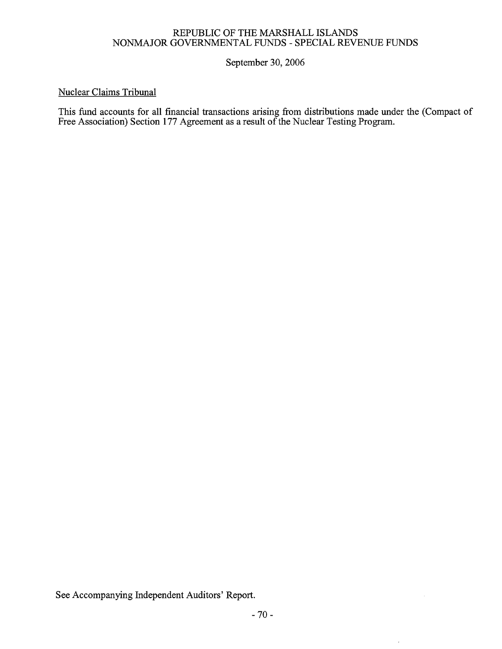September 30, 2006

### **Nuclear Claims Tribunal**

This fund accounts for all financial transactions arising from distributions made under the (Compact of Free Association) Section 177 Agreement as a result of the Nuclear Testing Program.

See Accompanying Independent Auditors' Report.

 $\bar{z}$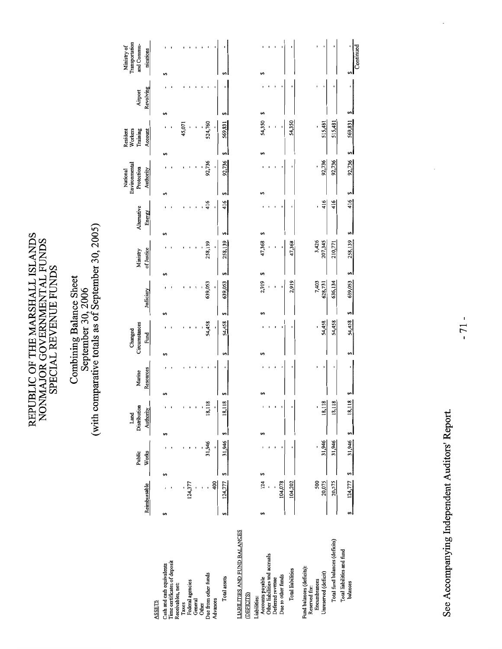## Combining Balance Sheet<br>September 30, 2006<br>(with comparative totals as of September 30, 2005)

|                                                    |    |              |        |           |                      |                |           |    |                          |               |    |            |             |           | National                    |           | Resident            |           |    | Ministry of                  |  |
|----------------------------------------------------|----|--------------|--------|-----------|----------------------|----------------|-----------|----|--------------------------|---------------|----|------------|-------------|-----------|-----------------------------|-----------|---------------------|-----------|----|------------------------------|--|
|                                                    |    |              | Public |           | Distribution<br>Land |                | Marine    |    | Circumstances<br>Changed |               |    | Ministry   | Alternative |           | Environmental<br>Protection |           | Training<br>Workers | Airport   |    | Transportation<br>and Commu- |  |
|                                                    |    | Reimbursable | Works  |           | Authority            |                | Resources |    | Fund                     | Judiciary     |    | of Justice | Energy      |           | Authority                   |           | Account             | Revolving |    | nications                    |  |
| <b>ASSETS</b>                                      |    |              |        |           |                      |                |           |    |                          |               |    |            |             |           |                             |           |                     |           |    |                              |  |
| Cash and cash equivalents                          | မာ |              | 69     | မာ        |                      | မာ             |           | 69 |                          |               | 69 |            |             | မာ        |                             |           |                     | မာ        | S  |                              |  |
| Time certificates of deposit<br>Receivables, net:  |    |              |        |           |                      |                |           |    |                          |               |    |            |             |           |                             |           |                     |           |    |                              |  |
| Taxes                                              |    |              |        |           |                      |                |           |    |                          |               |    |            |             |           |                             |           | 45,071              |           |    |                              |  |
| Federal agencies                                   |    | 124,377      |        |           |                      |                |           |    |                          |               |    |            |             |           |                             |           |                     |           |    |                              |  |
| General                                            |    |              |        |           |                      |                |           |    |                          |               |    |            |             |           |                             |           |                     |           |    |                              |  |
| Due from other funds<br>Other                      |    |              | 31,946 |           | 18,118               |                |           |    | 54,458                   | 639,053       |    | 258,139    |             | 416       | 92,736                      |           | 524,760             |           |    |                              |  |
| Advances                                           |    | 400          | ı      |           | ,                    |                |           |    | ı                        | ı             |    | ı          |             |           |                             | t         | t                   |           |    |                              |  |
| Total assets                                       | 69 | 124,777      | 31,946 | မာ        | 18,                  | $\frac{18}{1}$ |           | 69 | 54,458                   | 639,053<br>မာ | 69 | 258,139    | 69          | 69<br>416 | 92,736                      | Đθ        | 569,831             |           | 69 |                              |  |
| <b>LIABILITIES AND FUND BALANCES</b>               |    |              |        |           |                      |                |           |    |                          |               |    |            |             |           |                             |           |                     |           |    |                              |  |
| (DEFICITS)                                         |    |              |        |           |                      |                |           |    |                          |               |    |            |             |           |                             |           |                     |           |    |                              |  |
| Liabilities:                                       |    |              |        |           |                      |                |           |    |                          |               |    |            |             |           |                             |           |                     |           |    |                              |  |
| Accounts payable                                   | မာ | 124          |        | မာ        |                      |                |           |    |                          | 2,919         | Ø  | 47,368     |             | S         |                             | 69        | 54,350              | မာ        | 69 |                              |  |
| Other liabilities and accruals<br>Deferred revenue |    |              |        |           |                      |                |           |    |                          |               |    |            |             |           |                             |           |                     |           |    |                              |  |
| Due to other funds                                 |    | 104,078      |        |           |                      |                |           |    |                          |               |    |            |             |           |                             |           |                     |           |    |                              |  |
| <b>Total liabilities</b>                           |    | 104,202      |        |           |                      |                |           |    |                          | 2,919         |    | 47,368     |             |           |                             |           | 54,350              |           |    |                              |  |
| Fund balances (deficits):<br>Reserved for:         |    |              |        |           |                      |                |           |    |                          |               |    |            |             |           |                             |           |                     |           |    |                              |  |
| Encumbrances                                       |    | 500          |        |           |                      |                |           |    |                          | 7,403         |    | 3,426      |             |           |                             |           |                     |           |    |                              |  |
| Unreserved (deficit)                               |    | 20,075       | 31,946 |           | 18,118               |                |           |    | 54,458                   | 628,731       |    | 207,345    |             | 416       | 92,736                      |           | 515,481             |           |    |                              |  |
| Total fund balances (deficits)                     |    | 20,575       | 31,946 |           | 18,118               |                |           |    | 54,458                   | 636,134       |    | 210,771    |             | 416       | 92,736                      |           | 515,481             |           |    |                              |  |
| Total liabilities and fund                         |    |              |        |           |                      |                |           |    |                          |               |    |            |             |           |                             |           |                     |           |    |                              |  |
| balances                                           | မာ | 124,777      | 69     | 31,946 \$ | 18,118               |                |           |    | 54,458                   | 639,053<br>Ç, | S  | 258,139 \$ |             | S<br>416  |                             | 92,736 \$ | 569,831             | S         |    |                              |  |

See Accompanying Independent Auditors' Report.

S<br>Continued

92,736 \$ 569,831 \$

 $rac{16}{416}$ 

 $3 - 54,458$   $3 - 639,053$   $3 - 258,139$   $3 - 258,139$ 

 $\cdot$ 

 $\frac{124,777}{8}$   $\frac{31,946}{8}$   $\frac{8}{8}$  18,118 \$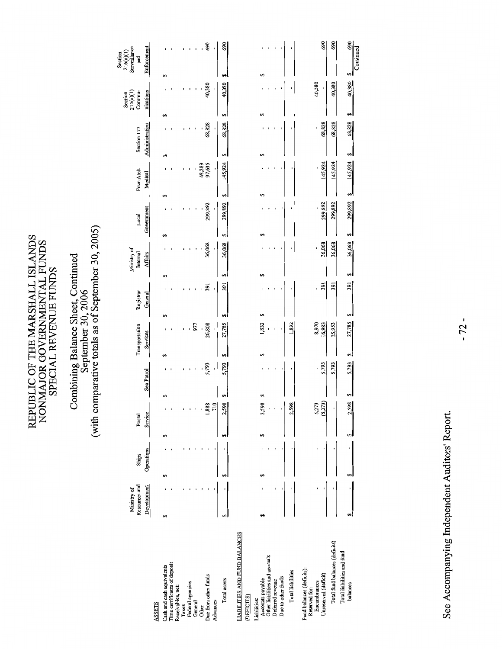## Combining Balance Sheet, Continued<br>September 30, 2006<br>(with comparative totals as of September 30, 2005)

|                                                   | Ministry of                  |                     |   |                   |    |            |    |                            |                      |     | Ministry of         |        |                     |         |                       |    |                               |    | Section<br>$215(a)(1)$ | Section<br>$216(a)(1)$<br>Surveillance |          |
|---------------------------------------------------|------------------------------|---------------------|---|-------------------|----|------------|----|----------------------------|----------------------|-----|---------------------|--------|---------------------|---------|-----------------------|----|-------------------------------|----|------------------------|----------------------------------------|----------|
|                                                   | Resources and<br>Development | Operations<br>Ships |   | Service<br>Postal |    | Sea Patrol |    | Transportation<br>Services | Registrar<br>General |     | Internal<br>Affairs |        | Government<br>Local |         | Four-Atoll<br>Medical |    | Administration<br>Section 177 |    | nications<br>Commu-    | Enforcement<br>and                     |          |
| <b>ASSETS</b>                                     |                              |                     |   |                   |    |            |    |                            |                      |     |                     |        |                     |         |                       |    |                               |    |                        |                                        |          |
| Cash and cash equivalents                         |                              | 5                   | s |                   |    |            | 69 |                            | 69                   |     | ↮                   |        | 69                  | 69      |                       | ø  |                               | 69 |                        | မာ                                     |          |
| Time certificates of deposit<br>Receivables, net: |                              |                     |   |                   |    |            |    |                            |                      |     |                     |        |                     |         |                       |    |                               |    |                        |                                        |          |
| Taxes                                             |                              |                     |   |                   |    |            |    |                            |                      |     |                     |        |                     |         |                       |    |                               |    |                        |                                        |          |
| Federal agencies                                  |                              |                     |   |                   |    |            |    |                            |                      |     |                     |        |                     |         |                       |    |                               |    |                        |                                        |          |
| General                                           |                              |                     |   |                   |    |            |    | 977                        |                      |     |                     |        |                     |         |                       |    |                               |    |                        |                                        |          |
| Due from other funds<br>Other                     |                              |                     |   | 1,888             |    | 5,793      |    | 26,808<br>ï                |                      | 391 |                     | 36,068 |                     | 299,892 | 48,289<br>97,635      |    | 68,828                        |    | 40,380                 |                                        | 690<br>ï |
| Advances                                          |                              |                     |   | $\frac{1}{2}$     |    | ı          |    | ł                          |                      |     |                     | ı      |                     | 1       |                       | j  | ı                             |    | ı                      |                                        | ï        |
| Total assets                                      |                              |                     |   | 2,598             | 69 | 5,793      | 69 | 27,785                     | 69                   | 391 | 5                   | 36,068 | 69                  | 299,892 | 145,924               | မာ | 68,828                        | 69 | 40,380                 | ⊷                                      | 690      |
| <b>LIABILITIES AND FUND BALANCES</b>              |                              |                     |   |                   |    |            |    |                            |                      |     |                     |        |                     |         |                       |    |                               |    |                        |                                        |          |
| (DEFICITS)                                        |                              |                     |   |                   |    |            |    |                            |                      |     |                     |        |                     |         |                       |    |                               |    |                        |                                        |          |
| Accounts payable<br>Liabilities:                  |                              |                     |   | 2,598             | 64 |            |    | 1,832                      | 59                   |     | ۰,                  |        |                     |         |                       |    |                               | S  |                        | 5                                      |          |
| Other liabilities and accruals                    |                              |                     |   |                   |    |            |    |                            |                      |     |                     |        |                     |         |                       |    |                               |    |                        |                                        |          |
| Deferred revenue                                  |                              |                     |   |                   |    |            |    |                            |                      |     |                     |        |                     |         |                       |    |                               |    |                        |                                        |          |
| Due to other funds                                |                              |                     |   |                   |    |            |    |                            |                      |     |                     |        |                     |         |                       |    |                               |    |                        |                                        |          |
| <b>Total liabilities</b>                          |                              |                     |   | 2,598             |    |            |    | ,832                       |                      |     |                     |        |                     |         |                       |    |                               |    |                        |                                        |          |
| Fund balances (deficits):<br>Reserved for:        |                              |                     |   |                   |    |            |    |                            |                      |     |                     |        |                     |         |                       |    |                               |    |                        |                                        |          |
| Encumbrances                                      |                              |                     |   | 5,273             |    |            |    | 8,970                      |                      |     |                     |        |                     |         |                       |    |                               |    | 40,380                 |                                        | ï        |
| Unreserved (deficit)                              |                              |                     |   | (5,273)           |    | 5,793      |    |                            |                      | 391 |                     | 36,068 |                     | 299,892 | 145,924               |    | 68,828                        |    | ٠,                     |                                        | 690      |
| Total fund balances (deficits)                    |                              |                     |   |                   |    | 5,793      |    | 25,953                     |                      | 391 |                     | 36,068 |                     | 299,892 | 145,924               |    | 68,828                        |    | 40,380                 |                                        | 690      |

See Accompanying Independent Auditors' Report.

 $40,380$   $\frac{5}{\text{Continued}}$ 

ام 68,828 68,828

299,892 \$ 145,924 \$

ام

36,068 36,068

اہ  $\frac{391}{25}$  $\frac{391}{2}$ 

ام

 $\frac{1}{27,785}$ 

5,793 5,793

> ام 2,598

ام

୶୲  $\frac{1}{2}$ 

 $\cdot$ 

balances

Total fund balances (deficits) Total liabilities and fund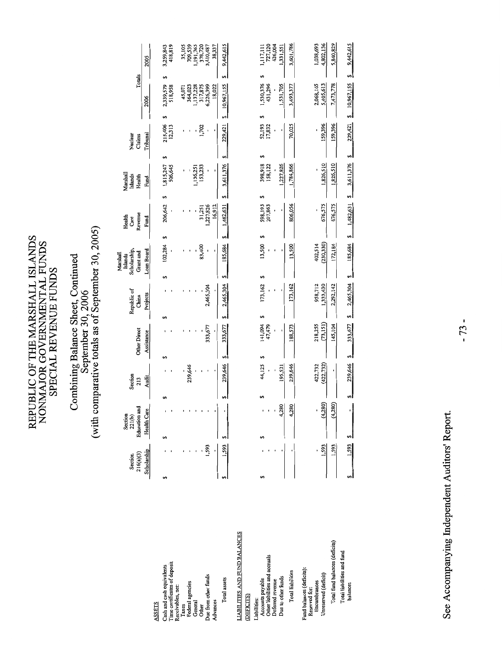## Combining Balance Sheet, Continued<br>September 30, 2006<br>(with comparative totals as of September 30, 2005)

|                                                    | Section     |       | Section<br>221(b)    |      | Section    |              | Republic of     |    | Scholarship,<br>Marshall<br>Islands | Health<br>Care           | Marshall<br>Islands        |           | Nuclear           |                            |                      |
|----------------------------------------------------|-------------|-------|----------------------|------|------------|--------------|-----------------|----|-------------------------------------|--------------------------|----------------------------|-----------|-------------------|----------------------------|----------------------|
|                                                    | 216(a)(3)   |       | <b>Education</b> and |      | 213        | Other Direct | China           |    | Grant and                           | Revenue                  | Health                     |           | Claims            | Totals                     |                      |
|                                                    | Scholarship |       | <b>Health Care</b>   |      | Audit      | Assistance   | Projects        |    | Loan Board                          | Fund                     | Fund                       |           | Tribunal          | 2006                       | 2005                 |
| SSETS                                              |             |       |                      |      |            |              |                 |    |                                     |                          |                            |           |                   |                            |                      |
| ash and cash equivalents                           |             | 69    |                      |      |            |              |                 |    | 102,284                             | 206,642<br>5             | 1,815,247<br>506,645<br>6A |           | 215,406<br>12,313 | 2,339,579<br>518,958<br>69 | 3,259,843            |
| ime certificates of deposit<br>eceivables, net:    |             |       |                      |      |            |              |                 |    |                                     |                          |                            |           |                   |                            | 418,819              |
| Taxes                                              |             |       |                      |      |            |              |                 |    |                                     |                          |                            |           |                   | 45,071                     | 35,105<br>709,539    |
| Federal agencies                                   |             |       |                      |      | 239,646    |              |                 |    |                                     |                          |                            |           |                   | 364,023                    |                      |
| General                                            |             |       |                      |      |            |              |                 |    |                                     |                          | 1,136,251                  |           |                   | ,137,228                   | 1,191,765            |
| ue from other funds<br>Other                       |             | 1,593 |                      |      |            | 333,677      | 2,465,304       |    | 83,400                              | $\frac{31,251}{227,826}$ |                            | 153,233   | 1,702             | 6,226,399<br>317,875       | 3,410,487<br>378,720 |
| dvances                                            |             |       |                      |      |            | ı            |                 |    | ı                                   | 16,912                   |                            |           |                   | 18,022                     | 38,337               |
| Total assets                                       |             | 1,593 |                      | e,   | 239,646    | 333,677      | 2,465,304       | 5  | 185,684                             | 1,482,631                | 3,611,376<br>5             | 69        | 229,421           | မာ<br>10,967,155           | 9,442,615            |
| <b>LABILITIES AND FUND BALANCES</b><br>DEFICITS)   |             |       |                      |      |            |              |                 |    |                                     |                          |                            |           |                   |                            |                      |
|                                                    |             |       |                      |      |            |              |                 |    |                                     |                          |                            |           |                   |                            |                      |
| Accounts payable<br>.iabilities:                   |             | 5     |                      |      | 44,125     | 141,094      | 173,162         |    | 13,500                              | 598,193<br>207,863       |                            | 398,918   | 52,193<br>17,832  | 1,530,376<br>431,296       | 1,117,111<br>727,120 |
| Other liabilities and accruals<br>Deferred revenue |             |       |                      |      |            | 47,479       |                 |    |                                     |                          |                            | 158,122   |                   |                            | 426,004              |
| Due to other funds                                 |             |       | 280<br>4,            |      | 195,521    | ,            |                 |    |                                     | ı.                       |                            | ,227,826  |                   | 1,531,705                  | 1,331,551            |
| Total liabilities                                  |             |       | 280<br>4             |      | 239,646    | 188,573      | 173,162         |    | 13,500                              | 806,056                  | 1,784,866                  |           | 70,025            | 3,493,377                  | 3,601,786            |
| Fund balances (deficits):<br>Reserved for:         |             |       |                      |      |            |              |                 |    |                                     |                          |                            |           |                   |                            |                      |
| Encumbrances                                       |             |       |                      |      | 422,732    | 218,255      | 958,712         |    | 402,514                             |                          |                            |           |                   | 2,068,165                  | 1,038,693            |
| Unreserved (deficit)                               |             | 1,593 | (4,280)              |      | (422, 732) | (73, 151)    | 1,333,430       |    | (230, 330)                          | 676,575                  | 1,826,510                  |           | 159,396           | 5,405,613                  | 4,802,136            |
| Total fund balances (deficits)                     |             | 1,593 | 4,                   | 280) |            | 145,104      | 2,292,142       |    | 172,184                             | 676,575                  |                            | 1,826,510 | 159,396           | 7,473,778                  | 5,840,829            |
| Total liabilities and fund<br>balances             |             | 1,593 |                      |      | 239,646    | 333,677      | 2,465,304<br>69 | 69 | 185,684                             | 1,482,631<br>s           | 3,611,376<br>69            | ↮         | 229,421           | ↮<br>\$1,967,155           | 9,442,615            |

See Accompanying Independent Auditors' Report.

 $8$  239,646 \$ 333,677 \$ 2,465,304 \$ 1,485,684 \$ 1,482,631 \$ 3,611,376 \$ 229,421 \$ 10,967,155 \$ 9,442,615

 $\cdot$ 

 $\frac{1,593}{2}$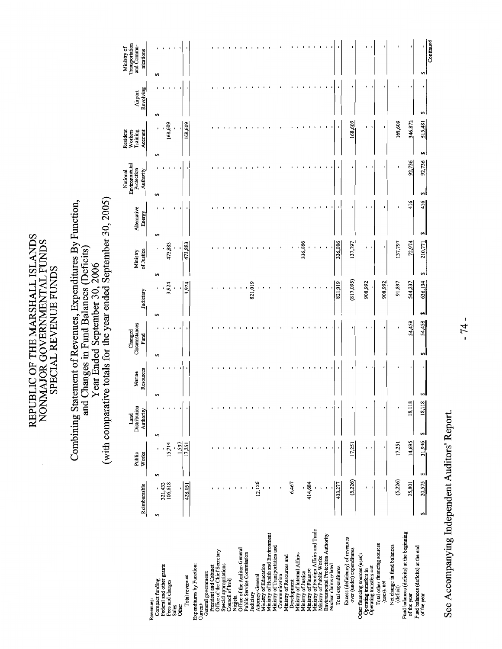# Combining Statement of Revenues, Expenditures By Function,<br>and Changes in Fund Balances (Deficits)<br>Year Ended September 30, 2006<br>(with comparative totals for the year ended September 30, 2005)

|                                                              | Reimbursable   | Public<br>Works | Distribution<br>Authority<br>Land |                | Resources<br>Marine | Circumstances<br>Changed<br>Fund | Judiciary    | of Justice<br>Ministry | Alternative<br>Energy | Environmental<br>Protection<br>National<br>Authority | Resident<br>Workers<br>Training<br>Account | Revolving<br>Airport | Transportation<br>and Commu-<br>Ministry of<br>nications |
|--------------------------------------------------------------|----------------|-----------------|-----------------------------------|----------------|---------------------|----------------------------------|--------------|------------------------|-----------------------|------------------------------------------------------|--------------------------------------------|----------------------|----------------------------------------------------------|
| Revenues:                                                    |                |                 |                                   |                |                     |                                  |              |                        |                       |                                                      |                                            |                      |                                                          |
| Compact funding                                              | 69             | 69              | S                                 | 64             |                     | 69                               | ٠<br>s       | 69                     | 69                    | 69                                                   | ٠<br>69                                    | 69                   | GĄ                                                       |
| Federal and other grants                                     | 321,433        |                 |                                   |                |                     |                                  | $\mathbf{I}$ |                        |                       |                                                      |                                            |                      |                                                          |
| Fees and charges                                             | 106,618        | 15,714          |                                   |                |                     |                                  | 3,924        | 473,883                |                       |                                                      | 168,609                                    |                      |                                                          |
| Other<br>Sales                                               |                | 1,537<br>ï      |                                   |                |                     |                                  |              |                        |                       |                                                      |                                            |                      |                                                          |
| Total revenues                                               | 428,051        | 17,251          |                                   |                |                     |                                  | 3,924        | 473,883                |                       |                                                      | 168,609                                    |                      |                                                          |
| Expenditures by Function:                                    |                |                 |                                   |                |                     |                                  |              |                        |                       |                                                      |                                            |                      |                                                          |
| Current:                                                     |                |                 |                                   |                |                     |                                  |              |                        |                       |                                                      |                                            |                      |                                                          |
| General government:                                          |                |                 |                                   |                |                     |                                  |              |                        |                       |                                                      |                                            |                      |                                                          |
| President and Cabinet                                        |                |                 |                                   |                |                     |                                  |              |                        |                       |                                                      |                                            |                      |                                                          |
| Office of the Chief Secretary                                | $\blacksquare$ |                 |                                   |                |                     |                                  |              |                        |                       |                                                      |                                            |                      |                                                          |
| Special appropriations<br>Council of Iroij                   |                |                 |                                   |                |                     |                                  |              |                        |                       |                                                      |                                            |                      |                                                          |
| Nitijela                                                     |                |                 |                                   |                |                     |                                  |              |                        |                       |                                                      |                                            |                      |                                                          |
| Office of the Auditor-General                                |                |                 |                                   |                |                     |                                  |              |                        |                       |                                                      |                                            |                      |                                                          |
| Public Service Commission                                    |                |                 |                                   |                |                     |                                  |              |                        |                       |                                                      |                                            |                      |                                                          |
| Judiciary                                                    |                |                 |                                   |                |                     |                                  | 821,019      |                        |                       |                                                      |                                            |                      |                                                          |
| Attorney-General                                             | 12,126         |                 |                                   |                |                     |                                  |              |                        |                       |                                                      |                                            |                      |                                                          |
| Ministry of Education                                        |                |                 |                                   |                |                     |                                  |              |                        |                       |                                                      |                                            |                      |                                                          |
| Ministry of Health and Environment                           |                |                 |                                   |                |                     |                                  |              |                        |                       |                                                      |                                            |                      |                                                          |
| Ministry of Transportation and<br>Communication              |                |                 |                                   |                |                     |                                  |              |                        |                       |                                                      |                                            |                      |                                                          |
| Ministry of Resources and                                    |                |                 |                                   |                |                     |                                  |              |                        |                       |                                                      |                                            |                      |                                                          |
| Development                                                  | 6,467          |                 |                                   |                |                     |                                  |              |                        |                       |                                                      |                                            |                      |                                                          |
| Ministry of Internal Affairs                                 | ı              |                 |                                   |                |                     |                                  |              |                        |                       |                                                      |                                            |                      |                                                          |
| Ministry of Justice                                          |                |                 |                                   |                |                     |                                  |              | 336,086                |                       |                                                      |                                            |                      |                                                          |
| Ministry of Foreign Affairs and Trade<br>Ministry of Finance | 414,684        |                 |                                   |                |                     |                                  |              |                        |                       |                                                      |                                            |                      |                                                          |
| Ministry of Public Works                                     |                |                 |                                   |                |                     |                                  |              |                        |                       |                                                      |                                            |                      |                                                          |
| Environmental Protection Authority                           |                |                 |                                   |                |                     |                                  |              |                        |                       |                                                      |                                            |                      |                                                          |
| Nuclear claims related                                       |                |                 |                                   |                |                     |                                  |              |                        |                       |                                                      |                                            |                      |                                                          |
| Total expenditures                                           | 433,277        |                 |                                   |                |                     |                                  | 821,019      | 336,086                |                       |                                                      |                                            |                      |                                                          |
| Excess (deficiency) of revenues<br>over (under) expenditures | (5,226)        | 17,251          |                                   |                |                     | ۱                                | (817,095)    | 137,797                |                       |                                                      | 168,609                                    | ï                    |                                                          |
| Other financing sources (uses):                              |                |                 |                                   |                |                     |                                  | 908,992      |                        |                       |                                                      |                                            |                      |                                                          |
| Operating transfers out<br>Operating transfers in            | ı              |                 |                                   |                |                     |                                  | ٠            |                        |                       |                                                      |                                            |                      |                                                          |
| Total other financing sources                                |                |                 |                                   |                |                     |                                  |              |                        |                       |                                                      |                                            |                      |                                                          |
| (uses), net                                                  |                |                 |                                   |                |                     |                                  | 908,992      |                        |                       |                                                      |                                            |                      |                                                          |
| Net change in fund balances<br>(deficit)                     | (5, 226)       | 17,251          |                                   |                |                     | ı                                | 91,897       | 137,797                |                       | ı                                                    | 168,609                                    |                      |                                                          |
| Fund balances (deficits) at the beginning<br>of the year     | 25,801         | 14,695          | 18,1                              | $\frac{8}{18}$ |                     | 54,458                           | 544,237      | 72,974                 | 416                   | 92,736                                               | 346,872                                    |                      |                                                          |
| Fund balances (deficits) at the end<br>of the year           | 20,575<br>5    | 31,946<br>64    | 18,118<br>S                       |                | $\blacksquare$      | 54,458<br>5                      | 636,134<br>4 | 210,771<br>s           | 416<br>69             | 92,736<br>se l                                       | 515,481<br>69                              |                      |                                                          |
|                                                              |                |                 |                                   |                |                     |                                  |              |                        |                       |                                                      |                                            |                      | Continued                                                |

See Accompanying Independent Auditors' Report.

 $-74-$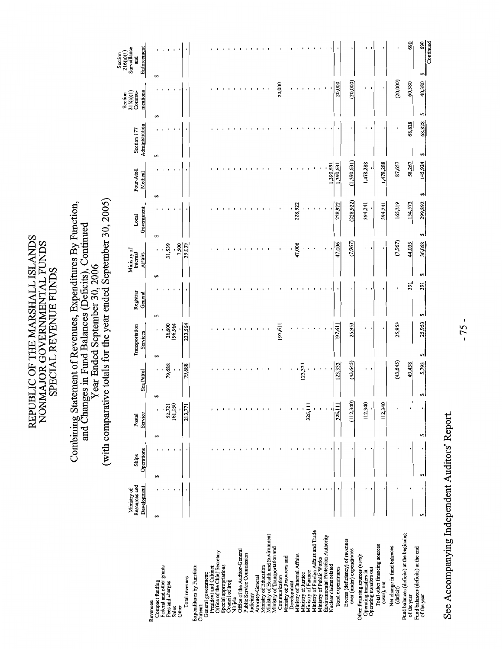### Year Ended September 30, 2006<br>(with comparative totals for the year ended September 30, 2005) Combining Statement of Revenues, Expenditures By Function,<br>and Changes in Fund Balances (Deficits), Continued

|                                                              | Resources and<br>Ministry of | Ships      | Postal    |                      | Transportation    | Registrar | Ministry of<br>Internal | Local               | Four-Atoll  | Section 177          | Section<br>$215(a)(1)$<br>Commu- | Section<br>$216(a)(1)$<br>Surveillance<br>and |
|--------------------------------------------------------------|------------------------------|------------|-----------|----------------------|-------------------|-----------|-------------------------|---------------------|-------------|----------------------|----------------------------------|-----------------------------------------------|
|                                                              | Development                  | Operations | Service   | Sea Patrol           | Services          | General   | Affairs                 | Government          | Medical     | Administration       | nications                        | Enforcement                                   |
| Compact funding<br>Revenues:                                 | s)                           | 59         | S         | $\,$<br>69           | ı<br>5            | sA        | 69                      | ۄ                   | ٠<br>5      | $\blacksquare$<br>မာ | ×<br>49                          | ı<br>5                                        |
| Federal and other grants                                     |                              |            |           |                      |                   |           |                         |                     |             |                      |                                  |                                               |
| Pees and charges                                             |                              |            | 52,721    | 79,688               | 26,600<br>196,964 |           | 31,539                  |                     |             |                      |                                  |                                               |
| Other<br>Sales                                               |                              |            | 161,050   | $\pmb{\mathfrak{r}}$ |                   |           | 7,500                   |                     |             |                      |                                  |                                               |
| Total revenues                                               |                              |            | 213,771   | 79,688               | 223,564           |           | 39,039                  |                     |             |                      |                                  |                                               |
|                                                              |                              |            |           |                      |                   |           |                         |                     |             |                      |                                  |                                               |
| Expenditures by Function:<br>Current:                        |                              |            |           |                      |                   |           |                         |                     |             |                      |                                  |                                               |
| General government:                                          |                              |            |           |                      |                   |           |                         |                     |             |                      |                                  |                                               |
| President and Cabinet                                        |                              |            |           |                      |                   |           |                         |                     |             |                      |                                  |                                               |
| Office of the Chief Secretary                                |                              |            |           |                      |                   |           |                         |                     |             |                      |                                  |                                               |
| Special appropriations                                       |                              |            |           |                      |                   |           |                         |                     |             |                      |                                  |                                               |
| Council of Iroij                                             |                              |            |           |                      |                   |           |                         |                     |             |                      |                                  |                                               |
| Office of the Auditor-General<br>Nitijela                    |                              |            |           |                      |                   |           |                         |                     |             |                      |                                  |                                               |
| Public Service Commission                                    |                              |            |           |                      |                   |           |                         |                     |             |                      |                                  |                                               |
| Judiciary                                                    |                              |            |           |                      |                   |           |                         |                     |             |                      |                                  |                                               |
| Attorney-General                                             |                              |            |           |                      |                   |           |                         |                     |             |                      |                                  |                                               |
| Ministry of Education                                        |                              |            |           |                      |                   |           |                         |                     |             |                      |                                  |                                               |
| Ministry of Health and Environment                           |                              |            |           |                      |                   |           |                         |                     |             |                      |                                  |                                               |
| Ministry of Transportation and                               |                              |            |           |                      |                   |           |                         |                     |             |                      |                                  |                                               |
| Communication                                                |                              |            |           |                      | 197,611           |           |                         |                     |             |                      | 20,000                           |                                               |
| Ministry of Resources and<br>Development                     |                              |            |           |                      |                   |           |                         |                     |             |                      |                                  |                                               |
| Ministry of Internal Affairs                                 |                              |            |           |                      |                   |           | 47,006                  | 228,922             |             |                      |                                  |                                               |
| Ministry of Justice                                          |                              |            |           | 123,333              |                   |           |                         |                     |             |                      |                                  |                                               |
| Ministry of Finance                                          |                              |            | 326,111   |                      |                   |           |                         |                     |             |                      |                                  |                                               |
| Ministry of Foreign Affairs and Trade                        |                              |            |           |                      |                   |           |                         |                     |             |                      |                                  |                                               |
| Ministry of Public Works                                     |                              |            |           |                      |                   |           |                         |                     |             |                      |                                  |                                               |
| Environmental Protection Authority<br>Nuclear claims related |                              |            |           |                      |                   |           |                         |                     | 1,390,631   |                      |                                  |                                               |
| Total expenditures                                           |                              |            | 326,111   | 123,333              | 197,611           |           | 47,006                  | 228,922             | 1,390,631   |                      | 20,000                           |                                               |
| Excess (deficiency) of revenues<br>over (under) expenditures |                              |            | (112,340) | (43, 645)            | 25,953            |           | (7,967)                 | (228, 922)          | (1,390,631) |                      | (20,000)                         |                                               |
|                                                              |                              |            |           |                      |                   |           |                         |                     |             |                      |                                  |                                               |
| Other financing sources (uses):                              |                              |            | 112,340   | ٠                    | ٠                 | ٠         | ٠                       | 394,241             | 1,478,288   |                      | ٠                                | ٠                                             |
| Operating transfers in<br>Operating transfers out            |                              |            |           |                      |                   |           |                         |                     |             |                      |                                  |                                               |
| Total other financing sources<br>(uses), net                 |                              |            | 112,340   | $\pmb{\ast}$         | ı                 |           |                         | 394,241             | 1,478,288   | ٠                    | ı                                |                                               |
|                                                              |                              |            |           |                      |                   |           |                         |                     |             |                      |                                  |                                               |
| Net change in fund balances<br>(deficit)                     |                              |            |           | (43, 645)            | 25,953            |           | (7,967)                 | 165,319             | 87,657      | J                    | (20,000)                         |                                               |
| Fund balances (deficits) at the beginning<br>of the year     |                              |            |           | 49,438               |                   | 391       | 44,035                  | 134,573             | 58,267      | 68,828               | 60,380                           | 690                                           |
| Fund balances (deficits) at the end                          |                              | မာ         |           |                      | 25,953            | 391<br>မာ | 36,068                  |                     | 145,924     | 68,828               | 40,380                           | 690                                           |
| of the year                                                  | s,                           |            | 5         | 5,793                | 5                 |           | 5                       | 299,892<br><b>ی</b> | 5           | 5                    | 5                                | Continued<br>S                                |

See Accompanying Independent Auditors' Report.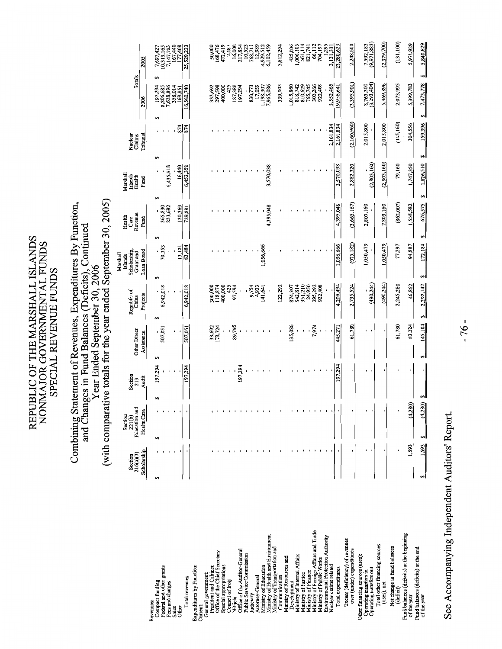# Combining Statement of Revenues, Expenditures By Function,<br>and Changes in Fund Balances (Deficits), Continued<br>Year Ended September 30, 2006<br>(with comparative totals for the year ended September 30, 2005)

|                                                              | Section                  | Section<br>221(b)            |               |                         |                                   | Republic of        | Scholarship,<br>Marshall<br>Islands | Health<br>Care  | Marshall<br>Islands | Nuclear            |                          |                          |
|--------------------------------------------------------------|--------------------------|------------------------------|---------------|-------------------------|-----------------------------------|--------------------|-------------------------------------|-----------------|---------------------|--------------------|--------------------------|--------------------------|
|                                                              | Scholarship<br>216(a)(3) | Education and<br>Health Care |               | Section<br>213<br>Audit | <b>Other Direct</b><br>Assistance | Projects<br>China  | Loan Board<br>Grant and             | Revenue<br>Fund | Health<br>Fund      | Tribunal<br>Claims | Totals<br>2006           | 2005                     |
| Compact funding<br>Revenues:                                 | 69                       | 69                           | 69            | 197,294                 | 69                                | 69                 | 5                                   | 69              | 5<br>မာ             |                    | 66<br>197,294<br>69      | 7,697,427                |
| Federal and other grants                                     |                          |                              |               |                         | 507,051                           | ,942,018<br>c      | 70,353                              | 365,830         |                     |                    | 8,206,685                | 0,319,165                |
| Fees and charges                                             |                          |                              |               |                         |                                   |                    |                                     | 233,682         | 6,435,918           |                    | 7,628,896                | 7,147,783                |
| Sales                                                        |                          |                              |               |                         |                                   |                    | 13,131                              | 130,369         | 16,440              | 874                | 358,014<br>169,851       | 187,440                  |
| Other                                                        |                          |                              |               |                         |                                   |                    |                                     |                 |                     |                    |                          | 177,408                  |
| Total revenues                                               |                          |                              |               | 197,294                 | 507,051                           | 6,942,018          | 83,484                              | 729,881         | 6,452,358           | 874                | 16,560,740               | 25,529,223               |
| Expenditures by Function:                                    |                          |                              |               |                         |                                   |                    |                                     |                 |                     |                    |                          |                          |
| Current:                                                     |                          |                              |               |                         |                                   |                    |                                     |                 |                     |                    |                          |                          |
| President and Cabinet<br>General government:                 |                          |                              |               |                         |                                   |                    |                                     |                 |                     |                    | 333,692                  | 50,000                   |
| Office of the Chief Secretary                                |                          |                              |               |                         | 33,692<br>[78,724                 | 300,000<br>118,874 |                                     |                 |                     |                    | 297,598                  | 168,476                  |
| Special appropriations                                       |                          |                              |               |                         |                                   | 400,000            |                                     |                 |                     |                    | 400,000                  | 472,419                  |
| Council of Iroij                                             |                          |                              |               |                         |                                   | 425                |                                     |                 |                     |                    | 425                      | 2,487                    |
| Nitijela                                                     |                          |                              |               |                         | 89,795                            | 97,594             |                                     |                 |                     |                    | 187,389                  | 16,000                   |
| Office of the Auditor-General                                |                          |                              |               | 197,294                 |                                   |                    |                                     |                 |                     |                    | 197,294                  | 217,854<br>10,523        |
| Public Service Commission                                    |                          |                              |               |                         |                                   |                    |                                     |                 |                     |                    |                          |                          |
| udiciary                                                     |                          |                              |               |                         |                                   | 9,754              |                                     |                 |                     |                    | 830,773                  | 768,711                  |
| Attorney-General                                             |                          |                              |               |                         |                                   | 4,933              |                                     |                 |                     |                    | 17,059                   | 12,989                   |
| Ministry of Education                                        |                          |                              |               |                         |                                   | 141,641            | 1,056,666                           |                 |                     |                    | ,198,307                 | 4,929,512<br>6,102,459   |
| Ministry of Health and Environment                           |                          |                              |               |                         |                                   |                    |                                     | 4,395,048       | 3,570,038           |                    | 7,965,086                |                          |
| Ministry of Transportation and<br>Communication              |                          |                              |               |                         |                                   | 122,292            |                                     |                 |                     |                    | 339,903                  | 3,812,294                |
| Ministry of Resources and                                    |                          |                              |               |                         |                                   |                    |                                     |                 |                     |                    |                          |                          |
| Development                                                  |                          |                              |               |                         | 135,086                           | 874,307            |                                     |                 |                     |                    | ,015,860                 | 425,006                  |
| Ministry of Internal Affairs                                 |                          |                              |               |                         |                                   | 542,814            |                                     |                 |                     |                    | 818,742                  | ,006,103                 |
| Ministry of Justice                                          |                          |                              |               |                         | ı                                 | 351,210            |                                     |                 |                     |                    | 810,629                  | 561,114                  |
| Ministry of Finance                                          |                          |                              |               |                         |                                   | 24,950             |                                     |                 |                     |                    | 765,745                  | 821,741                  |
| Ministry of Foreign Affairs and Trade                        |                          |                              |               |                         | 7,974                             | 295,292            |                                     |                 |                     |                    | 303,266                  | 66,112                   |
| Ministry of Public Works                                     |                          |                              |               |                         |                                   | 922,408            |                                     |                 |                     |                    | 922,408                  | 704,197                  |
| Environmental Protection Authority                           |                          |                              |               |                         |                                   |                    |                                     |                 |                     | 2,161,834          | 3,552,465                | 1,295<br>3,131,331       |
| Nuclear claims related<br>Total expenditures                 |                          |                              |               | 197,294                 | 445,271                           | 4,206,494          | 1,056,666                           | 4,395,048       | 3,570,038           | 2,161,834          | 19,956,641               | 23,280,623               |
|                                                              |                          |                              |               |                         |                                   |                    |                                     |                 |                     |                    |                          |                          |
| Excess (deficiency) of revenues<br>over (under) expenditures |                          |                              |               |                         | 61,780                            | 2,735,524          | (973, 182)                          | (3,665,167)     | 2,882,320           | (2,160,960)        | (3,395,901)              | 2,248,600                |
| Other financing sources (uses):                              |                          |                              |               |                         |                                   |                    |                                     |                 |                     |                    |                          |                          |
| Operating transfers in<br>Operating transfers out            |                          |                              |               |                         |                                   | (490, 244)         | 1,050,479                           | 2,803,160       | (2,803,160)         | 2,015,800          | 8,763,300<br>(3,293,404) | 7,592,183<br>(9,971,883) |
|                                                              |                          |                              |               |                         |                                   |                    |                                     |                 |                     |                    |                          |                          |
| Total other financing sources<br>(uses), net                 | ,                        |                              |               |                         | ٠                                 | (490, 244)         | 1,050,479                           | 2,803,160       | (2,803,160)         | 2,015,800          | 5,469,896                | (2,379,700)              |
| Net change in fund balances<br>(deficit)                     |                          |                              |               |                         | 61,780                            | 2,245,280          | 77,297                              | (862,007)       | 79,160              | (145, 160)         | 2,073,995                | (131, 100)               |
| Fund balances (deficits) at the beginning                    |                          |                              |               |                         |                                   |                    |                                     |                 |                     |                    |                          |                          |
| of the year                                                  | .593                     |                              | (4,280)       |                         | 83,324                            | 46,862             | 94,887                              | 1,538,582       | 1,747,350           | 304,556            | 5,399,783                | 5,971,929                |
| Fund balances (deficits) at the end<br>of the year           | 1,593<br>6               | 69                           | 69<br>(4,280) | $\mathbf{r}$            | 145,104<br>69                     | 2,292,142<br>69    | 172,184<br>69                       | 676,575<br>69   | 1,826,510<br>5      | 159,396<br>59      | 7,473,778<br>69          | 5,840,829<br>69          |
|                                                              |                          |                              |               |                         |                                   |                    |                                     |                 |                     |                    |                          |                          |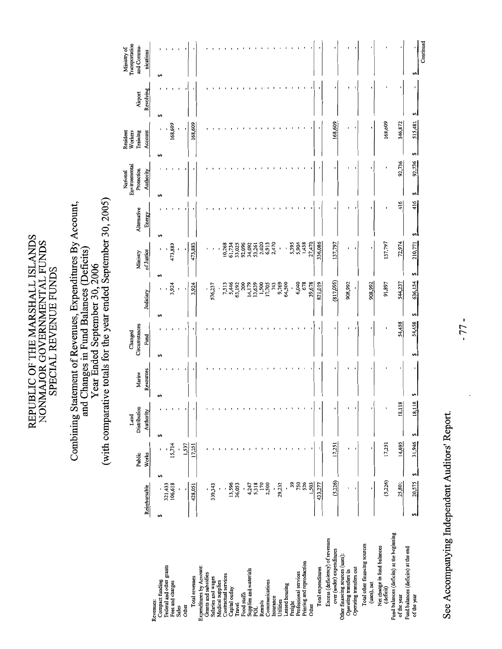# Combining Statement of Revenues, Expenditures By Account,<br>and Changes in Fund Balances (Deficits)<br>Year Ended September 30, 2006<br>(with comparative totals for the year ended September 30, 2005)

|                                                           |              | Public       | Distribution<br>Land    | Marine    | Circumstances<br>Changed |                 | Ministry     | Alternative | Environmental<br>Protection<br>National | Workers<br>Training<br>Resident | Airport   | Transportation<br>and Commu-<br>Ministry of |
|-----------------------------------------------------------|--------------|--------------|-------------------------|-----------|--------------------------|-----------------|--------------|-------------|-----------------------------------------|---------------------------------|-----------|---------------------------------------------|
|                                                           | Reimbursable | Works        | Authority               | Resources | Fund                     | Judiciary       | of Justice   | Energy      | Authority                               | Account                         | Revolving | nications                                   |
| Compact funding<br>Revenues:                              | 5<br>S       |              | 69                      | ۄ         | 5                        | 69              | 5            | 69          | 69                                      | 69                              | 69        | 5                                           |
| Federal and other grants                                  | 321,433      |              |                         |           |                          | $\blacksquare$  |              |             |                                         |                                 |           |                                             |
| Fees and charges                                          | 106,618      | 15,714       |                         |           |                          | 3,924           | 473,883      |             |                                         | 168,609                         |           |                                             |
| Sales                                                     |              |              |                         |           |                          | f,              |              |             |                                         |                                 |           |                                             |
| Other                                                     | ,            | 1,537        |                         |           |                          | ٠               |              |             |                                         | ı                               |           |                                             |
| Total revenues                                            | 428,051      | 17,251       |                         |           |                          | 3,924           | 473,883      |             |                                         | 168,609                         |           |                                             |
| Expenditures by Account:                                  |              |              |                         |           |                          |                 |              |             |                                         |                                 |           |                                             |
| Grants and subsidies                                      |              |              |                         |           |                          | ı               |              |             |                                         |                                 |           |                                             |
| Salaries and wages<br>Medical supplies                    | 339,343      |              |                         |           |                          | 576,237         |              |             |                                         |                                 |           |                                             |
| Contractual services                                      |              |              |                         |           |                          | 7,513           | 10,268<br>ı  |             |                                         |                                 |           |                                             |
| Capital outlay                                            | 13,596       |              |                         |           |                          | 5,446           | 61,734       |             |                                         |                                 |           |                                             |
| Travel                                                    | 36,053       |              |                         |           |                          | 63,192          | 33,025       |             |                                         |                                 |           |                                             |
| Food stuffs                                               |              |              |                         |           |                          | 200             | 92,096       |             |                                         |                                 |           |                                             |
| Supplies and materials                                    | 4,247        |              |                         |           |                          | 14,179          | 34,092       |             |                                         |                                 |           |                                             |
| POL                                                       | 5,318        |              |                         |           |                          | 13,639          | 53,261       |             |                                         |                                 |           |                                             |
| Rentals                                                   | 170          |              |                         |           |                          | 1,500           | 2,020        |             |                                         |                                 |           |                                             |
| Communications                                            | 2,500        |              |                         |           |                          | 17,705<br>743   | 6,913        |             |                                         |                                 |           |                                             |
| Insurance                                                 |              |              |                         |           |                          |                 | 2,470        |             |                                         |                                 |           |                                             |
| Utilities                                                 | 29,232       |              |                         |           |                          | 9,769<br>64,500 | ı            |             |                                         |                                 |           |                                             |
| Leased housing                                            | 39           |              |                         |           |                          | $\cdot$         | 5,395        |             |                                         |                                 |           |                                             |
| Professional services<br>Freight                          | 750          |              |                         |           |                          | 6,040           | 5,904        |             |                                         |                                 |           |                                             |
| Printing and reproduction                                 | 526          |              |                         |           |                          | 678             | 1,438        |             |                                         |                                 |           |                                             |
| Other                                                     | 1,503        |              |                         |           |                          | 39,678          | 27,470       |             |                                         |                                 |           |                                             |
| Total expenditures                                        | 433,277      |              |                         |           |                          | 821,019         | 336,086      |             |                                         |                                 |           |                                             |
| Excess (deficiency) of revenues                           |              |              |                         |           |                          |                 |              |             |                                         |                                 |           |                                             |
| over (under) expenditures                                 | (5,226)      | 17,251       |                         | ٠         | ٠                        | (817,095)       | 137,797      |             |                                         | 168,609                         |           |                                             |
| Other financing sources (uses):<br>Operating transfers in |              | ı            |                         |           |                          | 908,992         |              |             |                                         |                                 |           |                                             |
| Operating transfers out                                   |              | I,           |                         |           |                          |                 |              |             |                                         |                                 |           |                                             |
| Total other financing sources<br>(uses), net              |              |              |                         |           | ٠                        | 908,992         | ı            |             |                                         |                                 |           |                                             |
| Net change in fund balances                               |              |              |                         |           |                          |                 |              |             |                                         |                                 |           |                                             |
| Fund balances (deficits) at the beginning<br>(deficit)    | (5, 226)     | 17,251       |                         |           | $\blacksquare$           | 91,897          | 137,797      |             |                                         | 168,609                         |           |                                             |
| of the year                                               | 25,801       | 14,695       | $\overline{18}$<br>18,1 |           | 54,458                   | 544,237         | 72,974       | 416         | 92,736                                  | 346,872                         |           |                                             |
| Fund balances (deficits) at the end<br>of the year        | 20,575<br>s, | 31,946<br>اھ | 18,118<br>اھ            |           | 54,458<br>5              | 636,134<br>5    | 210,771<br>5 | 416<br>اھا  | 92,736<br>اوی                           | 515,481<br>s,                   | 5         |                                             |
|                                                           |              |              |                         |           |                          |                 |              |             |                                         |                                 |           | Continued                                   |

See Accompanying Independent Auditors' Report.

 $-77-$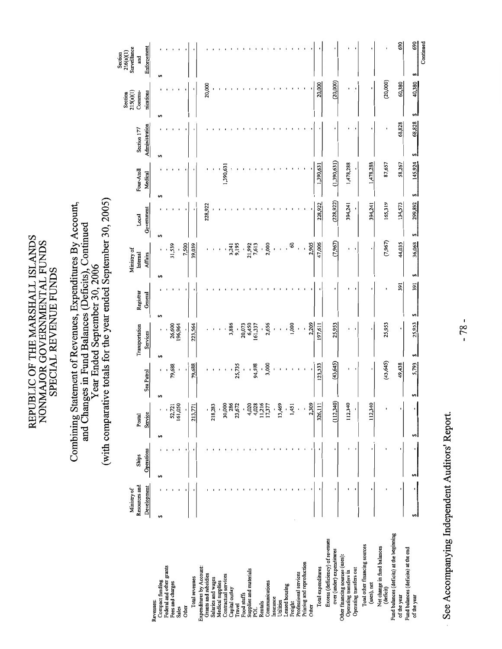# Combining Statement of Revenues, Expenditures By Account,<br>and Changes in Fund Balances (Deficits), Continued<br>Vear Ended September 30, 2006<br>(with comparative totals for the year ended September 30, 2005)

|                                                           | Resources and<br>Ministry of | Ships      | Postal                      |                      | Transportation    | Registrar | Ministry of<br>Internal | Local         | Four-Atoll   | Section 177    | Section<br>215(a)(1)<br>Commu- | Surveillance<br>216(a)(1)<br>Section<br>and |
|-----------------------------------------------------------|------------------------------|------------|-----------------------------|----------------------|-------------------|-----------|-------------------------|---------------|--------------|----------------|--------------------------------|---------------------------------------------|
|                                                           | Development                  | Operations | Service                     | Sea Patrol           | Services          | General   | <b>Affairs</b>          | Government    | Medical      | Administration | nications                      | Enforcement                                 |
| Compact funding<br>Revenues:                              | 5                            | 69         | မာ                          | 5                    | 5                 | မာ        | 5                       | 69            | 69           | 5              | 69                             | 5                                           |
| Federal and other grants                                  |                              |            |                             | $\ddot{\phantom{0}}$ |                   |           |                         |               |              |                |                                |                                             |
| Fees and charges                                          |                              |            | 52,721<br>161,050           | 79,688               | 26,600<br>196,964 |           | 31,539                  |               |              |                |                                |                                             |
| Sales                                                     |                              |            |                             |                      |                   |           |                         |               |              |                |                                |                                             |
| Other                                                     |                              |            |                             |                      | $\blacksquare$    |           | 7,500                   |               |              |                |                                |                                             |
| Total revenues                                            |                              |            | 213,771                     | 79,688               | 223,564           |           | 39,039                  |               |              |                |                                |                                             |
| Expenditures by Account:                                  |                              |            |                             |                      |                   |           |                         |               |              |                |                                |                                             |
| Grants and subsidies                                      |                              |            |                             |                      |                   |           |                         | 228,922       |              |                | 20,000                         |                                             |
| Salaries and wages                                        |                              |            | 218,283                     |                      |                   |           |                         |               |              |                |                                |                                             |
| Medical supplies                                          |                              |            |                             |                      |                   |           |                         |               |              |                |                                |                                             |
| Contractual services<br>Capital outlay                    |                              |            | 30,000                      |                      |                   |           |                         |               | 1,390,631    |                |                                |                                             |
| Travel                                                    |                              |            | 286<br>23,672               | 25,735               | 3,886             |           | 9,195<br>3,241          |               |              |                |                                |                                             |
| Food stuffs                                               |                              |            |                             | $\mathbf{I}$         | 20,073            |           |                         |               |              |                |                                |                                             |
| Supplies and materials                                    |                              |            | 4,020                       | $\blacksquare$       | 6,450<br>161,337  |           | 21,992                  |               |              |                |                                |                                             |
| POL                                                       |                              |            | $4,028$<br>11,216<br>17,377 | 94,598               |                   |           | 7,613                   |               |              |                |                                |                                             |
| Rentals                                                   |                              |            |                             | $\blacksquare$       |                   |           | ł                       |               |              |                |                                |                                             |
| Communications<br>Insurance                               |                              |            |                             | 3,000                | 2,656             |           | 2,000                   |               |              |                |                                |                                             |
| Utilities                                                 |                              |            | 13,469                      |                      |                   |           |                         |               |              |                |                                |                                             |
| Leased housing                                            |                              |            |                             |                      |                   |           |                         |               |              |                |                                |                                             |
| Freight                                                   |                              |            | 1,451                       |                      | 1,000             |           | 8                       |               |              |                |                                |                                             |
| Professional services                                     |                              |            |                             |                      |                   |           |                         |               |              |                |                                |                                             |
| Printing and reproduction                                 |                              |            |                             |                      |                   |           |                         |               |              |                |                                |                                             |
| Other                                                     |                              |            | 2,309                       |                      | 2,209             |           | 2,905                   |               |              |                |                                |                                             |
| Total expenditures                                        |                              |            | 326,111                     | 123,333              | 197,611           |           | 47,006                  | 228,922       | 1,390,631    |                | 20,000                         |                                             |
| Excess (deficiency) of revenues                           |                              |            |                             |                      |                   |           |                         |               |              |                |                                |                                             |
| over (under) expenditures                                 |                              |            | (112,340)                   | (43, 645)            | 25,953            |           | (7,967)                 | (228, 922)    | (1,390,631)  |                | (20,000)                       |                                             |
| Other financing sources (uses):<br>Operating transfers in |                              |            | 112,340                     |                      |                   |           |                         | 394,241       | 1,478,288    |                |                                |                                             |
| Operating transfers out                                   |                              |            |                             |                      |                   |           |                         |               |              |                |                                |                                             |
| Total other financing sources<br>(uses), net              |                              |            | 112,340                     |                      |                   |           |                         | 394,241       | 1,478,288    |                |                                |                                             |
| Net change in fund balances                               |                              |            |                             |                      |                   |           |                         |               |              |                |                                |                                             |
| (deficit)                                                 |                              |            |                             | (43, 645)            | 25,953            |           | (7,967)                 | 165,319       | 87,657       |                | (20,000)                       |                                             |
| Fund balances (deficits) at the beginning<br>of the year  |                              | ı          |                             | 49,438               | ŧ                 | 391       | 44,035                  | 134,573       | 58,267       | 68,828         | 60,380                         | 690                                         |
| Fund balances (deficits) at the end                       |                              |            |                             |                      |                   |           |                         |               |              |                |                                |                                             |
| of the year                                               |                              |            |                             | 5,793<br>4           | 25,953<br>اوى     | 391<br>မာ | 36,068<br>s,            | 299,892<br>69 | 145,924<br>s | 68,828<br>69   | 40,380<br>se l                 | 690<br>မာ                                   |
|                                                           |                              |            |                             |                      |                   |           |                         |               |              |                |                                | Continued                                   |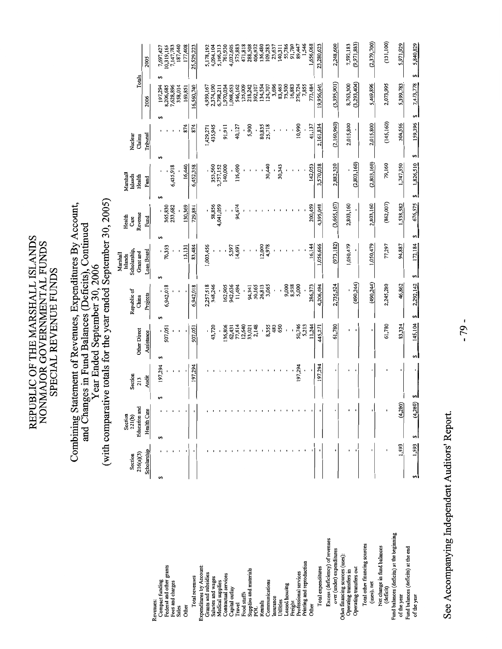# Combining Statement of Revenues, Expenditures By Account,<br>and Changes in Fund Balances (Deficits), Continued<br>Year Ended September 30, 2006<br>(with comparative totals for the year ended September 30, 2005)

|                                                          | 216(a)(3)<br>Section | Education and<br>Section<br>221(b) | Section<br>213 |         | <b>Other Direct</b>       | Republic of<br>China | Scholarship,<br>Grant and<br>Marshall<br>Islands | Revenue<br>Health<br>Care | Marshall<br>Islands<br>Health | Nuclear<br>Claims | Totals                |                      |
|----------------------------------------------------------|----------------------|------------------------------------|----------------|---------|---------------------------|----------------------|--------------------------------------------------|---------------------------|-------------------------------|-------------------|-----------------------|----------------------|
|                                                          | Scholarship          | Health Care                        | <b>Audit</b>   |         | Assistance                | Projects             | Loan Board                                       | Fund                      | Fund                          | Tribunal          | 2006                  | 2005                 |
| Revenues:                                                | မာ                   | မာ                                 |                | 197,294 | မာ                        |                      | မာ                                               | €,<br>69                  | 5                             |                   | 197,294<br>66         | 7,697,427            |
| Federal and other grants<br>Compact funding              |                      |                                    |                |         | 507,051<br>$\blacksquare$ | 6,942,018            | 70,353                                           | 365,830                   |                               |                   | 8,206,685             | 10,319,165           |
| Fees and charges                                         |                      |                                    |                |         |                           |                      |                                                  | 233,682                   | 6,435,918                     |                   | 7,628,896             | 7,147,783            |
| Sales                                                    |                      |                                    |                |         |                           |                      |                                                  |                           |                               |                   | 358,014               | 187,440              |
| Other                                                    |                      |                                    |                |         | ı                         |                      | 13,131                                           | 130,369                   | 16,440                        | 874               | 169,851               | 177,408              |
| Total revenues                                           |                      |                                    |                | 197,294 | 507,051                   | 6,942,018            | 83,484                                           | 729,881                   | 6,452,358                     | 874               | 16,560,740            | 25,529,223           |
| Expenditures by Account:                                 |                      |                                    |                |         |                           |                      |                                                  |                           |                               |                   |                       |                      |
| Grants and subsidies                                     |                      |                                    |                |         |                           | 2,257,518            | 1,003,456                                        |                           |                               | 1,429,271         | 4,939,167             | 5,178,192            |
| Salaries and wages                                       |                      |                                    |                |         | 43,720                    | 348,246              |                                                  | 58,856                    | 353,560                       | 435,945           | 2,374,190             | 4,094,104            |
| Medical supplies                                         |                      |                                    |                |         |                           | 162,905              |                                                  | 4,041,059                 | 2,757,152<br>140,000          | 91,911            | ,970,034<br>6,798,211 | 5,166,313<br>761,930 |
| Contractual services<br>Capital outlay                   |                      |                                    |                |         | 136,806<br>62,431         | 942,636              | 5,397                                            |                           |                               |                   | 1,098,653             | 4,032,605            |
| Travel                                                   |                      |                                    |                |         | 77,814                    | 11,494               | 14,691                                           | 94,674                    | 116,490                       | 40,127            | 546,162               | 575,883              |
| Food stuffs                                              |                      |                                    |                |         |                           |                      |                                                  |                           |                               |                   | 125,009               | 471,818              |
| Supplies and materials                                   |                      |                                    |                |         | 12,640<br>33,021          | 94,341               |                                                  |                           |                               | 5,900             | 218,242               | 288,508              |
| por                                                      |                      |                                    |                |         | 2,148                     | 50,165               |                                                  |                           |                               |                   | 392,107               | 406,932              |
| Rentals                                                  |                      |                                    |                |         | ,                         | 26,813               | 12,000                                           |                           |                               | 80,835            | 134,554               | 136,480              |
| Communications                                           |                      |                                    |                |         | 8,355                     | 3,065                | 4,978                                            |                           | 30,440                        | 25,718            | 124,707               | 109,283              |
| Insurance                                                |                      |                                    |                |         | 483                       |                      |                                                  |                           |                               |                   | 3,696                 | 23,637               |
| Utilities                                                |                      |                                    |                |         | 650                       |                      |                                                  |                           | 30,343                        |                   | 83,463<br>73,500      | 140,311              |
| Leased housing                                           |                      |                                    |                |         |                           | 9,000<br>8,938       |                                                  |                           |                               |                   | 16,883                | 55,786<br>91,780     |
| Professional services<br>Freight                         |                      |                                    |                | 197,294 | 50,746                    | 5,000                |                                                  |                           |                               | 10,990            | 276,724               | 89,447               |
| Printing and reproduction                                |                      |                                    |                |         | 5,213                     |                      |                                                  |                           |                               |                   | 7,855                 | 1,546                |
| Other                                                    |                      |                                    |                |         | 11,244                    | 286,373              | 16,144                                           | 200,459                   | 142,053                       | 41,137            | 773,484               | 1,656,068            |
| Total expenditures                                       |                      |                                    |                | 197,294 | 445,271                   | 4,206,494            | 1,056,666                                        | 4,395,048                 | 3,570,038                     | 2,161,834         | 19,956,641            | 23,280,623           |
| Excess (deficiency) of revenues                          |                      |                                    |                |         |                           |                      |                                                  |                           |                               |                   |                       |                      |
| over (under) expenditures                                |                      |                                    |                |         | 61,780                    | 2,735,524            | (973, 182)                                       | (3,665,167)               | 2,882,320                     | (2,160,960)       | (3,395,901)           | 2,248,600            |
| Other financing sources (uses)<br>Operating transfers in |                      |                                    |                |         |                           |                      | 1,050,479                                        | 2,803,160                 |                               | 2,015,800         | 8,763,300             | 7,592,183            |
| Operating transfers out                                  |                      |                                    |                |         |                           | (490, 244)           |                                                  |                           | (2,803,160)                   |                   | (3, 293, 404)         | (9,971,883)          |
| Total other financing sources                            |                      |                                    |                |         |                           |                      |                                                  |                           |                               |                   |                       |                      |
| (uses), net                                              |                      |                                    |                |         | ٠                         | (490,244)            | 1,050,479                                        | 2,803,160                 | (2,803,160)                   | 2,015,800         | 5,469,896             | (2,379,700)          |
| Net change in fund balances                              |                      |                                    |                |         | 61,780                    | 2,245,280            | 77,297                                           | (862,007)                 | 79,160                        | (145, 160)        | 2,073,995             | (131, 100)           |
| Fund balances (deficits) at the beginning<br>(deficit)   |                      |                                    |                |         |                           |                      |                                                  |                           |                               |                   |                       |                      |
| of the year                                              | 593                  | (4,28)                             |                |         | 83,324                    | 46,862               | 94,887                                           | 1,538,582                 | 1,747,350                     | 304,556           | 5,399,783             | 5,971,929            |
| Fund balances (deficits) at the end<br>of the year       | 1,593                | (4,280)<br>69                      |                | s,<br>٠ | 145,104                   | 2,292,142<br>اھ      | 172,184<br>s,                                    | 676,575<br>69             | 1,826,510<br>49               | 159,396<br>4      | 7,473,778<br>اھ       | 5,840,829<br>e۹      |
|                                                          |                      |                                    |                |         |                           |                      |                                                  |                           |                               |                   |                       |                      |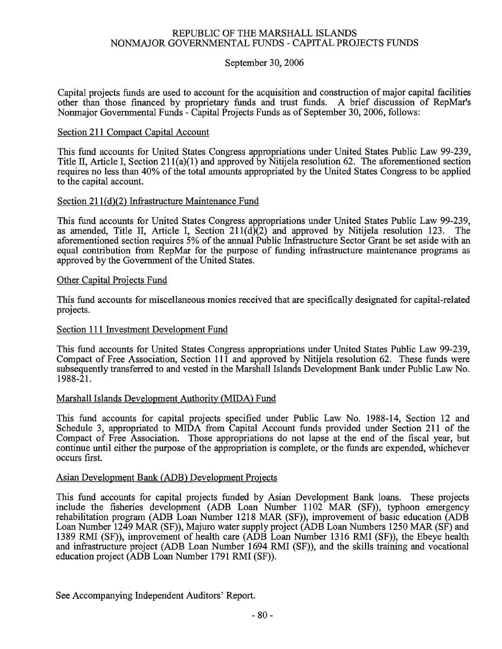### REPUBLIC OF THE MARSHALL ISLANDS NONMAJOR GOVERNMENTAL FUNDS - CAPITAL PROJECTS FUNDS

### September 30, 2006

Capital projects funds are used to account for the acquisition and construction of major capital facilities other than those financed by proprietary funds and trust funds. A brief discussion of RepMar's Nonmajor Governmental Funds - Capital Projects Funds as of September 30, 2006, follows:

### Section 211 Compact Capital Account

This fund accounts for United States Congress appropriations under United States Public Law 99-239, Title II, Article I, Section 211(a)(1) and approved by Nitijela resolution 62. The aforementioned section requires no less than 40% of the total amounts appropriated by the United States Congress to be applied to the capital account.

### Section 211(d)(2) Infrastructure Maintenance Fund

This fund accounts for United States Congress appropriations under United States Public Law 99-239, as amended, Title II, Article I, Section  $211(d)(2)$  and approved by Nitijela resolution 123. The aforementioned section requires 5% of the annual Public Infrastructure Sector Grant be set aside with an equal contribution from RepMar for the purpose of funding infrastructure maintenance programs as approved by the Government of the United States.

### Other Capital Projects Fund

This fund accounts for miscellaneous monies received that are specifically designated for capital-related projects.

### Section 111 Investment Development Fund

This fund accounts for United States Congress appropriations under United States Public Law 99-239, Compact of Free Association, Section 111 and approved by Nitijela resolution 62. These funds were subsequently transferred to and vested in the Marshall Islands Development Bank under Public Law No. 1988-21.

### Marshall Islands Development Authority (MIDA) Fund

This fund accounts for capital projects specified under Public Law No. 1988-14, Section 12 and Schedule 3, appropriated to MIDA from Capital Account funds provided under Section 211 of the Compact of Free Association. Those appropriations do not lapse at the end of the fiscal year, but continue until either the purpose of the appropriation is complete, or the funds are expended, whichever occurs first.

### Asian Development Bank (ADB) Development Projects

This fund accounts for capital projects funded by Asian Development Bank loans. These projects include the fisheries development (ADB Loan Number 1102 MAR (SF)), typhoon emergency rehabilitation program (ADB Loan Number 1218 MAR (SF)), improvement of basic education (ADB Loan Number 1249 MAR (SF)), Majuro water supply project (ADB Loan Numbers 1250 MAR (SF) and 1389 RMI (SF)), improvement of health care (ADB Loan Number 1316 RMI (SF)), the Ebeye health and infrastructure project (ADB Loan Number 1694 RMI (SF)), and the skills training and vocational education project (ADB Loan Number 1791 RMI (SF)).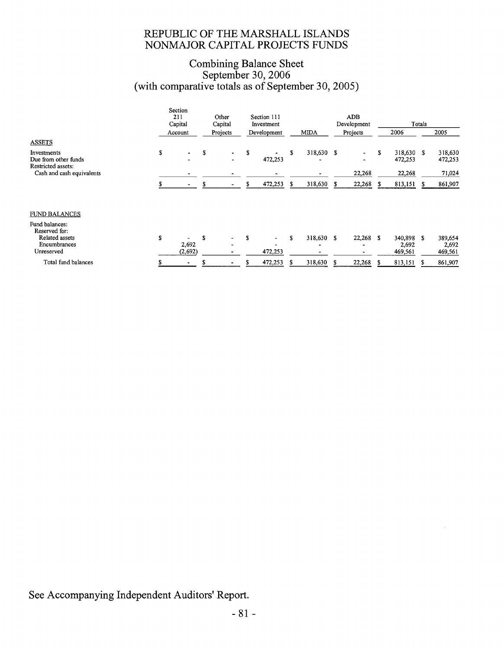### REPUBLIC OF THE MARSHALL ISLANDS NONMAJOR CAPITAL PROJECTS FUNDS

### Combining Balance Sheet<br>September 30, 2006<br>(with comparative totals as of September 30, 2005)

|                                                                                 |   | Section<br>211<br>Capital |   | Other<br>Capital |    | Section 111<br>Investment |    |              |    | <b>ADB</b><br>Development |   |                             | Totals |                             |
|---------------------------------------------------------------------------------|---|---------------------------|---|------------------|----|---------------------------|----|--------------|----|---------------------------|---|-----------------------------|--------|-----------------------------|
|                                                                                 |   | Account                   |   | Projects         |    | Development               |    | <b>MIDA</b>  |    | Projects                  |   | 2006                        |        | 2005                        |
| <b>ASSETS</b>                                                                   |   |                           |   |                  |    |                           |    |              |    |                           |   |                             |        |                             |
| Investments<br>Due from other funds<br>Restricted assets:                       | S |                           | S | $\sim$<br>Ξ.     | S  | 472,253                   | S  | 318,630      | S  |                           | S | 318,630 \$<br>472,253       |        | 318,630<br>472,253          |
| Cash and cash equivalents                                                       |   |                           |   | $\blacksquare$   |    |                           |    |              |    | 22,268                    |   | 22,268                      |        | 71,024                      |
|                                                                                 |   |                           |   |                  | \$ | 472,253                   | S  | 318,630      | S  | 22,268                    | S | 813,151                     |        | 861,907                     |
| <b>FUND BALANCES</b>                                                            |   |                           |   |                  |    |                           |    |              |    |                           |   |                             |        |                             |
| Fund balances:<br>Reserved for:<br>Related assets<br>Encumbrances<br>Unreserved | S | 2,692<br>(2,692)          | S |                  | S  | $\sim$<br>472,253         | S  | 318,630<br>۰ | -S | $22,268$ \$               |   | 340,898<br>2,692<br>469,561 | S      | 389,654<br>2,692<br>469,561 |
| Total fund balances                                                             |   |                           |   |                  |    | 472,253                   | £. | 318,630      | S  | 22,268                    |   | 813,151                     | S      | 861,907                     |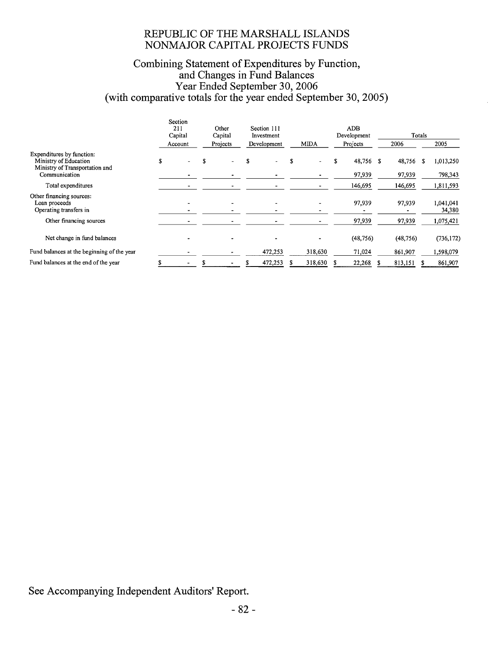### REPUBLIC OF THE MARSHALL ISLANDS NONMAJOR CAPITAL PROJECTS FUNDS

### Combining Statement of Expenditures by Function,<br>and Changes in Fund Balances<br>Year Ended September 30, 2006<br>(with comparative totals for the year ended September 30, 2005)

|                                                                                      |   | Section<br>211<br>Capital | Other<br>Capital | Section 111<br>Investment |   |             | <b>ADB</b><br>Development |   |           | Totals |                     |
|--------------------------------------------------------------------------------------|---|---------------------------|------------------|---------------------------|---|-------------|---------------------------|---|-----------|--------|---------------------|
|                                                                                      |   | Account                   | Projects         | Development               |   | <b>MIDA</b> | Projects                  |   | 2006      |        | 2005                |
| Expenditures by function:<br>Ministry of Education<br>Ministry of Transportation and | S |                           |                  |                           |   |             | 48,756                    | S | 48,756    |        | 1,013,250           |
| Communication                                                                        |   |                           |                  |                           |   |             | 97,939                    |   | 97,939    |        | 798,343             |
| Total expenditures                                                                   |   |                           |                  |                           |   | -           | 146,695                   |   | 146,695   |        | 1,811,593           |
| Other financing sources:<br>Loan proceeds<br>Operating transfers in                  |   |                           |                  |                           |   |             | 97,939                    |   | 97,939    |        | 1,041,041<br>34,380 |
| Other financing sources                                                              |   |                           |                  |                           |   |             | 97,939                    |   | 97,939    |        | 1,075,421           |
| Net change in fund balances                                                          |   |                           |                  |                           |   |             | (48, 756)                 |   | (48, 756) |        | (736, 172)          |
| Fund balances at the beginning of the year                                           |   |                           |                  | 472,253                   |   | 318,630     | 71,024                    |   | 861,907   |        | 1,598,079           |
| Fund balances at the end of the year                                                 |   |                           |                  | 472,253                   | ж | 318,630     | 22.268                    |   | 813,151   |        | 861,907             |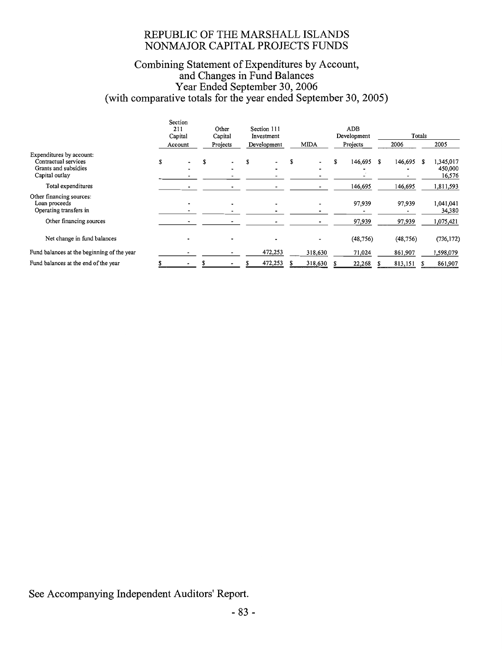### REPUBLIC OF THE MARSHALL ISLANDS NONMAJOR CAPITAL PROJECTS FUNDS

### Combining Statement of Expenditures by Account,<br>and Changes in Fund Balances<br>Year Ended September 30, 2006<br>(with comparative totals for the year ended September 30, 2005)

|                                                                                            |   | Section<br>211<br>Capital<br>Account | Other<br>Capital<br>Projects | Section 111<br>Investment<br>Development             |   | <b>MIDA</b>              | ADB<br>Development<br>Projects | 2006      | Totals | 2005                           |
|--------------------------------------------------------------------------------------------|---|--------------------------------------|------------------------------|------------------------------------------------------|---|--------------------------|--------------------------------|-----------|--------|--------------------------------|
| Expenditures by account:<br>Contractual services<br>Grants and subsidies<br>Capital outlay | S |                                      |                              | $\overline{\phantom{a}}$<br>$\overline{\phantom{a}}$ | S | -                        | 146,695 \$                     | 146,695   | S      | 1,345,017<br>450,000<br>16,576 |
| Total expenditures                                                                         |   |                                      | ٠                            |                                                      |   |                          | 146,695                        | 146,695   |        | 1,811,593                      |
| Other financing sources:<br>Loan proceeds<br>Operating transfers in                        |   |                                      | $\overline{\phantom{a}}$     | $\overline{\phantom{a}}$                             |   | $\overline{\phantom{0}}$ | 97,939                         | 97,939    |        | 1,041,041<br>34,380            |
| Other financing sources                                                                    |   |                                      |                              |                                                      |   |                          | 97,939                         | 97,939    |        | 1,075,421                      |
| Net change in fund balances                                                                |   |                                      |                              |                                                      |   | $\overline{\phantom{a}}$ | (48, 756)                      | (48, 756) |        | (736, 172)                     |
| Fund balances at the beginning of the year                                                 |   |                                      |                              | 472,253                                              |   | 318,630                  | 71,024                         | 861,907   |        | 1,598,079                      |
| Fund balances at the end of the year                                                       |   |                                      |                              | 472,253                                              |   | 318,630                  | 22,268                         | 813,151   |        | 861,907                        |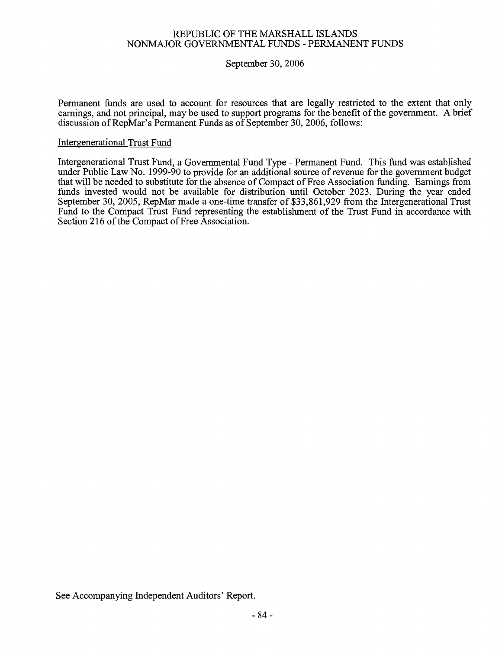### REPUBLIC OF THE MARSHALL ISLANDS NONMAJOR GOVERNMENTAL FUNDS - PERMANENT FUNDS

### September 30, 2006

Permanent funds are used to account for resources that are legally restricted to the extent that only earnings, and not principal, may be used to support programs for the benefit of the government. A brief discussion of RepMar's Permanent Funds as of September 30, 2006, follows:

### **Intergenerational Trust Fund**

Intergenerational Trust Fund, a Governmental Fund Type - Permanent Fund. This fund was established under Public Law No. 1999-90 to provide for an additional source of revenue for the government budget that will be needed to substitute for the absence of Compact of Free Association funding. Earnings from funds invested would not be available for distribution until October 2023. During the year ended September 30, 2005, RepMar made a one-time transfer of \$33,861,929 from the Intergenerational Trust Fund to the Compact Trust Fund representing the establishment of the Trust Fund in accordance with Section 216 of the Compact of Free Association.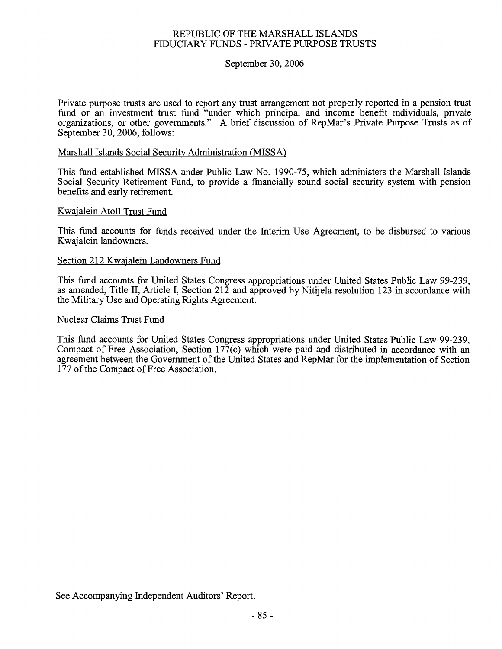### REPUBLIC OF THE MARSHALL ISLANDS FIDUCIARY FUNDS - PRIVATE PURPOSE TRUSTS

### September 30, 2006

Private purpose trusts are used to report any trust arrangement not properly reported in a pension trust fund or an investment trust fund "under which principal and income benefit individuals, private organizations, or other governments." A brief discussion of RepMar's Private Purpose Trusts as of September 30, 2006, follows:

### Marshall Islands Social Security Administration (MISSA)

This fund established MISSA under Public Law No. 1990-75, which administers the Marshall Islands Social Security Retirement Fund, to provide a financially sound social security system with pension benefits and early retirement.

### Kwajalein Atoll Trust Fund

This fund accounts for funds received under the Interim Use Agreement, to be disbursed to various Kwajalein landowners.

### Section 212 Kwajalein Landowners Fund

This fund accounts for United States Congress appropriations under United States Public Law 99-239, as amended, Title II, Article I, Section  $21\overline{2}$  and approved by Nitijela resolution 123 in accordance with the Military Use and Operating Rights Agreement.

### Nuclear Claims Trust Fund

This fund accounts for United States Congress appropriations under United States Public Law 99-239, Compact of Free Association, Section  $177(c)$  which were paid and distributed in accordance with an agreement between the Government of the United States and RepMar for the implementation of Section 177 of the Compact of Free Association.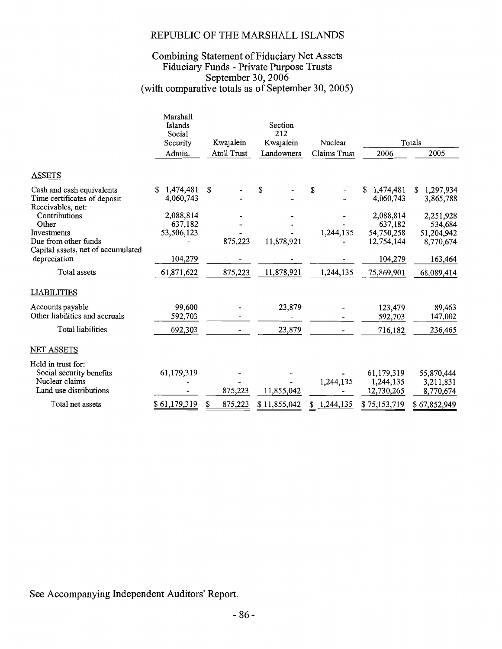### REPUBLIC OF THE MARSHALL ISLANDS

### Combining Statement of Fiduciary Net Assets<br>Fiduciary Funds - Private Purpose Trusts<br>September 30, 2006<br>(with comparative totals as of September 30, 2005)

|                                    | Marshall<br>Islands<br>Social<br>Security<br>Admin. | Kwajalein<br>Atoll Trust | Section<br>212<br>Kwajalein<br>Landowners | Nuclear<br>Claims Trust | 2006                 | Totals<br>2005       |
|------------------------------------|-----------------------------------------------------|--------------------------|-------------------------------------------|-------------------------|----------------------|----------------------|
|                                    |                                                     |                          |                                           |                         |                      |                      |
| <b>ASSETS</b>                      |                                                     |                          |                                           |                         |                      |                      |
| Cash and cash equivalents          | 1,474,481                                           | \$                       | \$                                        | \$                      | 1,474,481<br>S.      | 1,297,934<br>\$.     |
| Time certificates of deposit       | 4,060,743                                           |                          |                                           |                         | 4,060,743            | 3,865,788            |
| Receivables, net:                  |                                                     |                          |                                           |                         |                      |                      |
| Contributions<br>Other             | 2,088,814<br>637,182                                |                          |                                           |                         | 2,088,814<br>637,182 | 2,251,928<br>534,684 |
| Investments                        | 53,506,123                                          |                          |                                           | 1,244,135               | 54,750,258           | 51,204,942           |
| Due from other funds               |                                                     | 875,223                  | 11,878,921                                |                         | 12,754,144           | 8,770,674            |
| Capital assets, net of accumulated |                                                     |                          |                                           |                         |                      |                      |
| depreciation                       | 104,279                                             |                          |                                           |                         | 104,279              | 163,464              |
| Total assets                       | 61,871,622                                          | 875,223                  | 11,878,921                                | 1,244,135               | 75,869,901           | 68,089,414           |
| <b>LIABILITIES</b>                 |                                                     |                          |                                           |                         |                      |                      |
| Accounts payable                   | 99,600                                              |                          | 23,879                                    |                         | 123,479              | 89,463               |
| Other liabilities and accruals     | 592,703                                             |                          |                                           |                         | 592,703              | 147,002              |
| Total liabilities                  | 692,303                                             |                          | 23,879                                    |                         | 716,182              | 236,465              |
|                                    |                                                     |                          |                                           |                         |                      |                      |
| <b>NET ASSETS</b>                  |                                                     |                          |                                           |                         |                      |                      |
| Held in trust for:                 |                                                     |                          |                                           |                         |                      |                      |
| Social security benefits           | 61,179,319                                          |                          |                                           |                         | 61,179,319           | 55,870,444           |
| Nuclear claims                     |                                                     |                          |                                           | 1,244,135               | 1,244,135            | 3,211,831            |
| Land use distributions             |                                                     | 875,223                  | 11,855,042                                |                         | 12,730,265           | 8,770,674            |
| Total net assets                   | \$61,179,319                                        | \$<br>875,223            | \$11,855,042                              | 1,244,135<br>S          | \$75,153,719         | \$67,852,949         |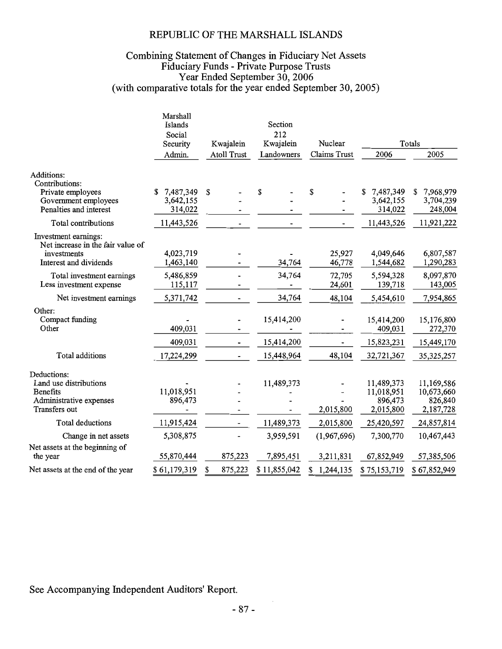### REPUBLIC OF THE MARSHALL ISLANDS

### Combining Statement of Changes in Fiduciary Net Assets<br>Fiduciary Funds - Private Purpose Trusts<br>Year Ended September 30, 2006<br>(with comparative totals for the year ended September 30, 2005)

|                                                           | Marshall<br><b>Islands</b><br>Social<br>Security<br>Admin. | Kwajalein<br><b>Atoll Trust</b> |              | Section<br>212<br>Kwajalein<br>Landowners | Nuclear<br>Claims Trust | 2006                        | Totals<br>2005              |
|-----------------------------------------------------------|------------------------------------------------------------|---------------------------------|--------------|-------------------------------------------|-------------------------|-----------------------------|-----------------------------|
| Additions:<br>Contributions:                              |                                                            |                                 |              |                                           |                         |                             |                             |
| Private employees<br>Government employees                 | 7,487,349<br>S<br>3,642,155                                | \$                              | \$           |                                           | \$                      | 7,487,349<br>S<br>3,642,155 | 7,968,979<br>S<br>3,704,239 |
| Penalties and interest                                    | 314,022                                                    |                                 |              |                                           |                         | 314,022                     | 248,004                     |
|                                                           |                                                            |                                 |              |                                           |                         |                             |                             |
| Total contributions                                       | 11,443,526                                                 |                                 |              |                                           |                         | 11,443,526                  | 11,921,222                  |
| Investment earnings:<br>Net increase in the fair value of |                                                            |                                 |              |                                           |                         |                             |                             |
| investments                                               | 4,023,719                                                  |                                 |              |                                           | 25,927                  | 4,049,646                   | 6,807,587                   |
| Interest and dividends                                    | 1,463,140                                                  |                                 |              | 34,764                                    | 46,778                  | 1,544,682                   | 1,290,283                   |
| Total investment earnings                                 | 5,486,859                                                  |                                 |              | 34,764                                    | 72,705                  | 5,594,328                   | 8,097,870                   |
| Less investment expense                                   | 115,117                                                    |                                 |              |                                           | 24,601                  | 139,718                     | 143,005                     |
| Net investment earnings                                   | 5,371,742                                                  |                                 |              | 34,764                                    | 48,104                  | 5,454,610                   | 7,954,865                   |
| Other:<br>Compact funding                                 |                                                            |                                 |              | 15,414,200                                |                         | 15,414,200                  | 15,176,800                  |
| Other                                                     | 409,031                                                    |                                 |              |                                           |                         | 409,031                     | 272,370                     |
|                                                           | 409,031                                                    |                                 |              | 15,414,200                                |                         | 15,823,231                  | 15,449,170                  |
| Total additions                                           | 17,224,299                                                 |                                 |              | 15,448,964                                | 48,104                  | 32,721,367                  | 35, 325, 257                |
| Deductions:                                               |                                                            |                                 |              |                                           |                         |                             |                             |
| Land use distributions<br><b>Benefits</b>                 | 11,018,951                                                 |                                 |              | 11,489,373                                |                         | 11,489,373<br>11,018,951    | 11,169,586<br>10,673,660    |
| Administrative expenses                                   | 896,473                                                    |                                 |              |                                           |                         | 896,473                     | 826,840                     |
| Transfers out                                             |                                                            |                                 |              |                                           | 2,015,800               | 2,015,800                   | 2,187,728                   |
| Total deductions                                          | 11,915,424                                                 |                                 |              | 11,489,373                                | 2,015,800               | 25,420,597                  | 24,857,814                  |
| Change in net assets                                      | 5,308,875                                                  |                                 |              | 3,959,591                                 | (1,967,696)             | 7,300,770                   | 10,467,443                  |
| Net assets at the beginning of<br>the year                | 55,870,444                                                 | 875,223                         |              | 7,895,451                                 | 3,211,831               | 67,852,949                  | 57,385,506                  |
| Net assets at the end of the year                         | \$61,179,319                                               | \$<br>875,223                   | \$11,855,042 |                                           | \$<br>1,244,135         | \$75,153,719                | \$67,852,949                |
|                                                           |                                                            |                                 |              |                                           |                         |                             |                             |

See Accompanying Independent Auditors' Report.

 $\sim$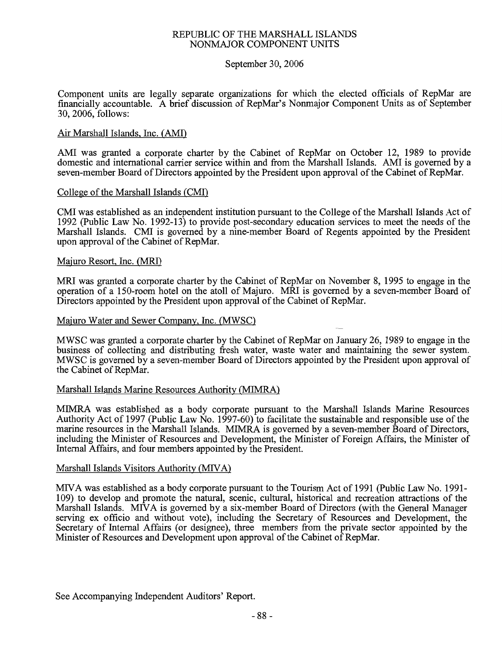### REPUBLIC OF THE MARSHALL ISLANDS NONMAJOR COMPONENT UNITS

### September 30, 2006

Component units are legally separate organizations for which the elected officials of RepMar are financially accountable. A brief discussion of RepMar's Nonmajor Component Units as of September 30, 2006, follows:

### Air Marshall Islands, Inc. (AMI)

AMI was granted a corporate charter by the Cabinet of RepMar on October 12, 1989 to provide domestic and international carrier service within and from the Marshall Islands. AMI is governed by a seven-member Board of Directors appointed by the President upon approval of the Cabinet of RepMar.

### College of the Marshall Islands (CMI)

CMI was established as an independent institution pursuant to the College of the Marshall Islands Act of 1992 (Public Law No. 1992-13) to provide post-secondary education services to meet the needs of the Marshall Islands. CMI is governed by a nine-member Board of Regents appointed by the President upon approval of the Cabinet of RepMar.

### Majuro Resort, Inc. (MRI)

MRI was granted a corporate charter by the Cabinet of RepMar on November 8, 1995 to engage in the operation of a 150-room hotel on the atoll of Majuro. MRI is governed by a seven-member Board of Directors appointed by the President upon approval of the Cabinet of RepMar.

### Majuro Water and Sewer Company, Inc. (MWSC)

MWSC was granted a corporate charter by the Cabinet of RepMar on January 26, 1989 to engage in the business of collecting and distributing fresh water, waste water and maintaining the sewer system. MWSC is governed by a seven-member Board of Directors appointed by the President upon approval of the Cabinet of RepMar.

### Marshall Islands Marine Resources Authority (MIMRA)

MIMRA was established as a body corporate pursuant to the Marshall Islands Marine Resources Authority Act of 1997 (Public Law No. 1997-60) to facilitate the sustainable and responsible use of the marine resources in the Marshall Islands. MIMRA is governed by a seven-member Board of Directors, including the Minister of Resources and Development, the Minister of Foreign Affairs, the Minister of Internal Affairs, and four members appointed by the President.

### Marshall Islands Visitors Authority (MIVA)

MIVA was established as a body corporate pursuant to the Tourism Act of 1991 (Public Law No. 1991-109) to develop and promote the natural, scenic, cultural, historical and recreation attractions of the Marshall Islands. MIVA is governed by a six-member Board of Directors (with the General Manager serving ex officio and without vote), including the Secretary of Resources and Development, the Secretary of Internal Affairs (or designee), three members from the private sector appointed by the Minister of Resources and Development upon approval of the Cabinet of RepMar.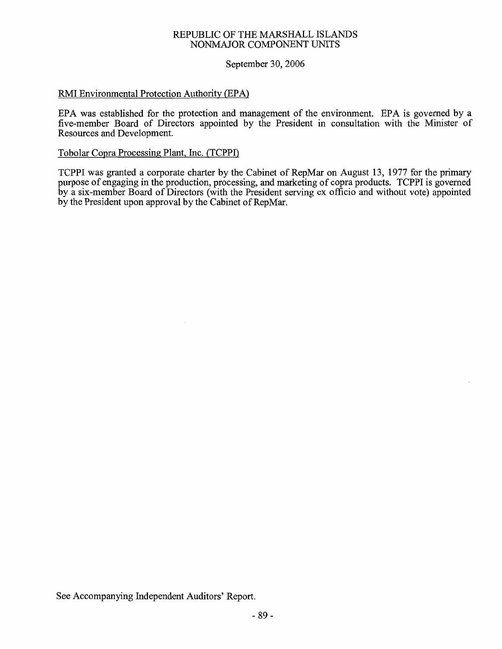### REPUBLIC OF THE MARSHALL ISLANDS NONMAJOR COMPONENT UNITS

### September 30, 2006

### RMI Environmental Protection Authority (EPA)

EPA was established for the protection and management of the environment. EPA is governed by a five-member Board of Directors appointed by the President in consultation with the Minister of Resources and Development.

### Tobolar Copra Processing Plant, Inc. (TCPPI)

TCPPI was granted a corporate charter by the Cabinet of RepMar on August 13, 1977 for the primary purpose of engaging in the production, processing, and marketing of copra products. TCPPI is governed by a six-member Board of Directors (with the President serving ex officio and without vote) appointed by the President upon approval by the Cabinet of RepMar.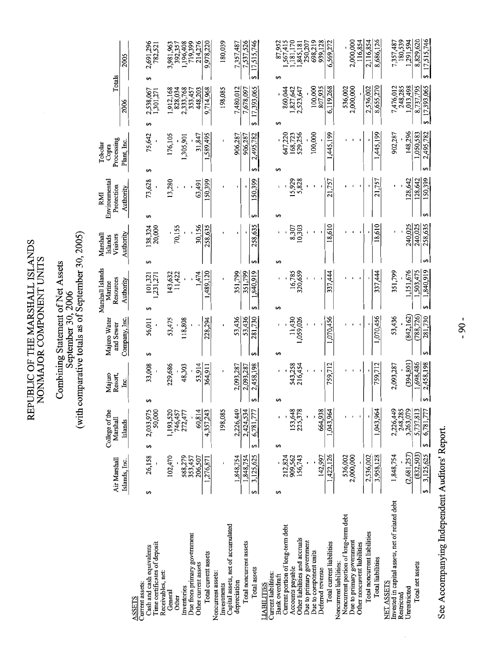REPUBLIC OF THE MARSHALL ISLANDS<br>NONMAJOR COMPONENT UNITS

## Combining Statement of Net Assets<br>September 30, 2006<br>(with comparative totals as of September 30, 2005)

|                                                                      | Air Marshall         | College of the<br>Marshall | Majuro<br>Resort,      | Majuro Water<br>and Sewer | Marshall Islands<br>Resources<br>Marine | Marshall<br>Visitors<br>Islands | Environmental<br>Protection<br>RMI | Processing<br>Tobolar<br>Copra   | Totals                       |                              |
|----------------------------------------------------------------------|----------------------|----------------------------|------------------------|---------------------------|-----------------------------------------|---------------------------------|------------------------------------|----------------------------------|------------------------------|------------------------------|
|                                                                      | Islands, Inc.        | Islands                    | ن<br>ا                 | Company, Inc.             | Authority                               | Authority                       | Authority                          | Plant, Inc.                      | 2006                         | 2005                         |
| Cash and cash equivalents<br>urrent assets:<br>SSETS                 | 26,158<br>69         | S                          | 33,008<br>↮            | 56,011<br>မာ              | မာ                                      | မာ                              | 73,628                             | 75,642<br>69                     | မာ                           | 2,691,296<br>မာ              |
| Time certificates of deposit<br>Receivables, net:                    |                      | 2,033,975<br>50,000        |                        |                           | 101,321<br>731,271                      | 138,324<br>20,000               |                                    |                                  | 2,538,067<br>1,301,271       | 782,521                      |
| General<br>Other                                                     | 102,470              | 1,193,520<br>746,457       | 229,686                | 53,475                    | 143,632<br>11,422                       | 70,155                          | 13,280                             | 176,105                          | ,912,168<br>828,034          | 3,981,963<br>392,357         |
| Inventories                                                          | 588,279<br>353,457   | 272,477                    | 48,303                 | 118,808                   |                                         |                                 |                                    | 1,305,901                        | 2,333,768<br>353,457         | 1,196,408<br>719,399         |
| Due from primary government<br>Other current assets                  | 206,507              | 60,814                     | 53,914                 |                           | 1,474                                   | 30.156                          | 63,491                             | 31,847                           | 448,203                      | 214,276                      |
| Total current assets                                                 | ,276,871             | 4,357,243                  | 364,911                | 228,294                   | ,489,120                                | 258,635                         | 150,399                            | 1,589,495                        | 9,714,968                    | 9,978,220                    |
| <b>Joncurrent</b> assets:<br>Investments                             |                      | 198,085                    |                        |                           |                                         |                                 |                                    |                                  | 198,085                      | 180,039                      |
| Capital assets, net of accumulated<br>depreciation                   | 1,848,754            | 2,226,449                  | 2,093,287              | 53,436                    | 351,799                                 |                                 |                                    | 906,287                          | 7,480,012                    | 7,357,487                    |
| Total noncurrent assets                                              | .848.754             | 2,424,534                  | 2,458,198<br>2,093,287 | 281,730<br>53,436         | 1,840,919<br>351,799                    | 258,635                         | 150,399                            | 2,495,782<br>906,287<br>$\Theta$ | 17,393,065<br>7,678,097<br>↮ | 7,537,526<br>17,515,746<br>⊷ |
| Total assets                                                         | 3,125,625<br>မ∌      | 6,781,777<br>69            |                        |                           | မာ                                      |                                 |                                    |                                  |                              |                              |
| urrent liabilities:<br><b>TABILTIES</b>                              |                      |                            |                        |                           |                                         |                                 | မာ                                 | 69                               | ↮                            | 69                           |
| Current portion of long-term debt<br>Bank overdraft                  | 212,824<br>မာ        | 5                          | မာ                     | 5                         | 69                                      | 5                               |                                    | 647,220                          | 860,044                      | 87,952<br>567,415            |
| Other liabilities and accruals<br>Accounts payable                   | 909,562<br>156,743   | 153,648<br>225,378         | 543,258<br>216,454     | 11,430<br>,059,026        | 16,785<br>320,659                       | 8,307<br>10,303                 | 5,929<br>5,828                     | 529,256<br>168,723               | 1,827,642<br>2,523,647       | ,181,170<br>,845,181         |
| Due to primary government                                            |                      |                            |                        |                           |                                         |                                 |                                    |                                  |                              | 250,207                      |
| Due to component units<br>Deferred revenue                           | 142,997              | 664,938                    |                        |                           |                                         |                                 |                                    | 100,000                          | 100,000<br>807,935           | 698,219<br>939,128           |
| Total current liabilities                                            | 1,422,126            | 1,043,964                  | 759,712                | 1,070,456                 | 337,444                                 | 18,610                          | 21,757                             | 1,445,199                        | 6,119,268                    | 6,569,272                    |
| <b>Noncurrent liabilities:</b>                                       |                      |                            |                        |                           |                                         |                                 |                                    |                                  |                              |                              |
| Noncurrent portion of long-term debt<br>Due to primary government    | 2,000,000<br>536,002 |                            |                        |                           |                                         |                                 |                                    |                                  | 536,002<br>2,000,000         | 2,000,000                    |
| Other noncurrent liabilities                                         |                      |                            |                        |                           |                                         |                                 |                                    |                                  |                              | 116,854                      |
| Total noncurrent liabilities                                         | 2,536,002            |                            |                        |                           |                                         |                                 |                                    |                                  | 2,536,002                    | 2,116,854                    |
| Total liabilities                                                    | 3,958,128            | 1,043,964                  | 759,712                | 1,070,456                 | 337,444                                 | 18,610                          | 21,757                             | 1,445,199                        | 8,655,270                    | 8,686,126                    |
| Invested in capital assets, net of related debt<br><b>NET ASSETS</b> | 1,848,754            | 2,226,449                  | 2,093,287              | 53,436                    | 351,799                                 |                                 |                                    | 902,287                          | 7,476,012                    | 7,357,487                    |
| Restricted                                                           |                      | 248,285                    |                        |                           |                                         |                                 |                                    |                                  | 248,285                      | 180,539                      |
| <b>Jurestricted</b>                                                  | (2,681,257)          | 3,263,079                  | (394, 801)             | (842, 162)                | 1,151,676                               | 240,025                         | 128,642                            | 148,296                          | 1,013,498                    | 1,291,594                    |
| Total net assets                                                     | (832, 503)           | 5.737.813                  | 1,698,486              | (788, 726)                | 1.503,475                               | 240,025                         | 128,642                            | 1,050,583                        | 8,737,795                    | 8.829,620                    |
|                                                                      | 3,125,625<br>မာ      | 6,781,777<br>မာ            | 2,458,198              | 281,730                   | 1,840,919<br>5                          | 258,635                         | 150,399                            | 2,495,782                        | \$17,393,065                 | \$17,515,746                 |

See Accompanying Independent Auditors' Report.

 $-90-$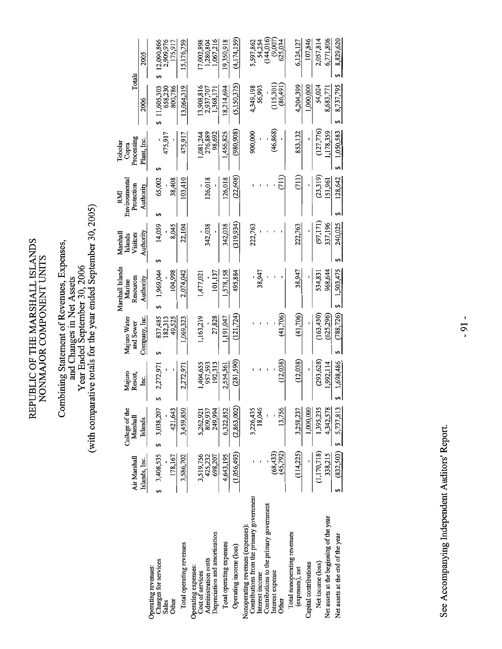REPUBLIC OF THE MARSHALL ISLANDS<br>NONMAJOR COMPONENT UNITS

## Combining Statement of Revenues, Expenses,<br>and Changes in Net Assets<br>Vear Ended September 30, 2006<br>(with comparative totals for the year ended September 30, 2005)

|                                                                                | Air Marshall           | College of the<br>Marshall | Majuro<br>Resort,   | Majuro Water<br>and Sewer | Marshall Islands<br>Resources<br>Marine | Visitors<br>Marshal<br>Islands | Environmental<br>Protection<br>RMI | Processing<br>Tobolar<br>Copra | Totals                  |                         |
|--------------------------------------------------------------------------------|------------------------|----------------------------|---------------------|---------------------------|-----------------------------------------|--------------------------------|------------------------------------|--------------------------------|-------------------------|-------------------------|
|                                                                                | Islands, Inc.          | Islands                    | Ιm.                 | Company, Inc.             | Authority                               | Authority                      | Authority                          | Plant, Inc.                    | 2006                    | 2005                    |
| Charges for services<br>Operating revenues:<br>Sales                           | $$3,408,535$ \$        | 3,038,207                  | 2,272,97            | 837,485<br>182,313        | 1,969,044                               | 14,059                         | 65,002                             | 475,917                        | 11,605,303<br>658,230   | 12,090,866<br>2,909,976 |
| Total operating revenues<br><b>Other</b>                                       | 178,167<br>3,586,702   | 421,643<br>3,459,850       | 2,272,971           | 1,069,323<br>49,525       | 104,998<br>2,074,042                    | 22,104<br>8,045                | 103,410<br>38,408                  | 475,917                        | 13,064,319<br>800,786   | 15,176,759<br>175,917   |
| Administration costs<br>Operating expenses:<br>Cost of services                | 3,519,756<br>425,232   | 809,937<br>5,262,921       | 957,593<br>,404,655 | 1,163,219                 | 1,477,02                                | 342,038                        | 126,018                            | 1,081,244<br>276,889           | 13,908,816<br>2,937,707 | 17,002,898<br>1,280,804 |
| Depreciation and amortization                                                  | 698,207                | 249,994                    | 192,313             | 27,828                    | 101, 13                                 |                                |                                    | 98,692                         | 1,368,17                | 1,067,216               |
| Total operating expenses                                                       | 4,643,195              | 6,322,852                  | 2,554,561           | 1,191,047                 | 1,578,158                               | 342,038                        | 126,018                            | 1,456,825                      | 18,214,694              | 19,350,918              |
| Operating income (loss)                                                        | (1,056,493)            | (2,863,002)                | (281, 590)          | (121, 724)                | 495,884                                 | (319, 934)                     | (22,608)                           | (980, 908)                     | (5,150,375)             | (4,174,159)             |
| Contributions from the primary government<br>Nonoperating revenues (expenses): |                        | 3,226,435                  |                     |                           |                                         | 222,763                        |                                    | 900,000                        | 4,349,198               | 5,597,862               |
| Contributions to the primary government<br>Interest income                     |                        | 18,046                     |                     |                           | 38,947                                  |                                |                                    |                                | 56,993                  | (144, 016)<br>54,254    |
| Interest expense<br>Other                                                      | (68, 433)<br>(45, 792) | 13,756                     | (12, 038)           | (41,706)                  |                                         |                                |                                    | (46, 868)                      | 115,301<br>(86,491)     | (9,007)<br>625,034      |
| Total nonoperating revenues<br>(expenses), net                                 | (114, 225)             | 3,258,237                  | (12, 038)           | (41,706)                  | 38,947                                  | 222,763                        |                                    | 853,132                        | 4,204,399               | 6,124,127               |
| Capital contributions                                                          |                        | 1,000,000                  |                     |                           |                                         |                                |                                    |                                | 1,000,000               | 107,846                 |
| Net income (loss)                                                              | (1,170,718)            | 1,395,235                  | (293, 628)          | (163, 430)                | 534,83                                  | (97, 171)                      | (23, 319)                          | (127, 776)                     | 54,024                  | 2,057,814               |
| Net assets at the beginning of the year                                        | 338,215                | 4,342,578                  | 1,992,114           | (625, 296)                | 968,644                                 | 337,196                        | 151,961                            | ,178,359                       | 8,683,77                | 6,771,806               |
| Net assets at the end of the year                                              |                        | $(832,503)$ \$ 5,737,813   | 1,698,486           | (788, 726)<br>S           | \$1,503,475                             | 240,025                        | 128,642                            | 1,050,583                      | 8,737,795               | 8,829,620               |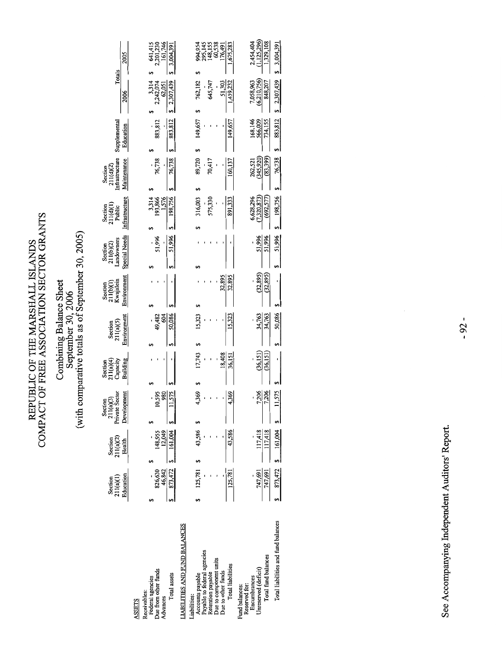REPUBLIC OF THE MARSHALL ISLANDS<br>COMPACT OF FREE ASSOCIATION SECTOR GRANTS

## Combining Balance Sheet<br>September 30, 2006<br>(with comparative totals as of September 30, 2005)

| 2005                                                  | 641,415<br>2,201,230<br>161,746<br>3,004,391                                                          | 994,954<br>295,145<br>148,155<br>60,538<br>176,491<br>1,675,283                                                                                                                                   | 2,454,404<br>(1,125,296<br>1,329,108<br>3,004,391                                                                                     |
|-------------------------------------------------------|-------------------------------------------------------------------------------------------------------|---------------------------------------------------------------------------------------------------------------------------------------------------------------------------------------------------|---------------------------------------------------------------------------------------------------------------------------------------|
| Totals<br>2006                                        | 2,307,439<br>3,314<br>2,242,074<br>62,051                                                             | 1,459,232<br>762,182<br>51,303<br>645,747                                                                                                                                                         | 7,058,963<br>(6,210,756)<br>2,307,439<br>848,207                                                                                      |
| Supplemental<br>Education                             | 883,812<br>883,812                                                                                    | 149,657<br>149,657                                                                                                                                                                                | 883,812<br>168,146<br>566,009<br>734,155                                                                                              |
| Section<br>211(d)(2)<br>Infrastructure<br>Maintenance | 76,738<br>76,738                                                                                      | 89,720<br>160,137<br>70,417                                                                                                                                                                       | (83,399)<br>262,521<br>(345,920)<br>76,738                                                                                            |
|                                                       |                                                                                                       |                                                                                                                                                                                                   |                                                                                                                                       |
| Infrastructure<br>Section<br>211(d)(1)<br>Public      | 3,314<br>193,866<br>198,756<br>1,576                                                                  | 891,333<br>316,003<br>575,330                                                                                                                                                                     | 6,628,296<br>(7,320,873)<br>(692, 577)<br>198,756                                                                                     |
|                                                       | 51,996<br>51,996                                                                                      |                                                                                                                                                                                                   | 51,996<br>51,996<br>51,996                                                                                                            |
| Special Needs<br>Section<br>211(b)(2)<br>Landowners   |                                                                                                       |                                                                                                                                                                                                   |                                                                                                                                       |
| Environment<br>Section<br>211(b)(1)<br>Kwajalein      |                                                                                                       | 32,895<br>32,895                                                                                                                                                                                  | (32, 895)<br>(32, 895)                                                                                                                |
| Environment<br>Section<br>211(a)(5)                   | 50,086<br>604<br>49,482                                                                               | 15,323<br>15,323                                                                                                                                                                                  | 50,086<br>34,763<br>34,763                                                                                                            |
|                                                       |                                                                                                       |                                                                                                                                                                                                   |                                                                                                                                       |
| Building<br>211(a)(4)<br>Capacity<br>Section          |                                                                                                       | 18,408<br>17,743<br>36,151                                                                                                                                                                        | (36, 151)<br>(36, 151)                                                                                                                |
| Section<br>211(a)(3)<br>Private Sector<br>Development | $\frac{980}{11,575}$<br>10,595                                                                        | 4,369<br>4,369                                                                                                                                                                                    | 11,575<br>7,206<br>7,206                                                                                                              |
|                                                       |                                                                                                       |                                                                                                                                                                                                   |                                                                                                                                       |
| 211(a)(2)<br>Section<br>Health                        | 12,049<br>161,004<br>148,955                                                                          | 43,586<br>43,586                                                                                                                                                                                  | 161,004<br>117,418<br>117,418                                                                                                         |
|                                                       |                                                                                                       |                                                                                                                                                                                                   |                                                                                                                                       |
| Education<br>211(a)(1)<br>Section                     | 826,630<br>46,842<br>873,472                                                                          | 125,781<br>125,781                                                                                                                                                                                | 873,472<br>747,691<br>747,691                                                                                                         |
|                                                       |                                                                                                       |                                                                                                                                                                                                   |                                                                                                                                       |
|                                                       | Federal agencies<br>Due from other funds<br>Total assets<br>Receivables:<br>Advances<br><b>ASSETS</b> | <b>LIABILITIES AND FUND BALANCES</b><br>Payable to federal agencies<br>Due to component units<br>Total liabilities<br>Due to other funds<br>Retention payable<br>Accounts payable<br>Liabilities: | Total liabilities and fund balances<br>Total fund balances<br>Unreserved (deficit)<br>Encumbrances<br>Reserved for:<br>Fund balances: |
|                                                       |                                                                                                       |                                                                                                                                                                                                   |                                                                                                                                       |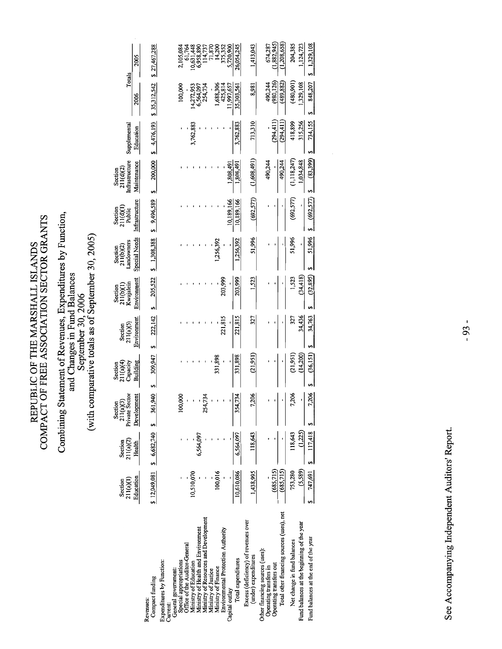REPUBLIC OF THE MARSHALL ISLANDS<br>COMPACT OF FREE ASSOCIATION SECTOR GRANTS

## Combining Statement of Revenues, Expenditures by Function,<br>and Changes in Fund Balances<br>September 30, 2006<br>(with comparative totals as of September 30, 2005)

|                                                              | Section    | Section                    | Section<br>211(a)(3)<br>rivate Sector | Section<br>211(a)(4)<br>Capacity |                      | Section<br>211(b)(1)<br>Kwajalein | Section<br>211(b)(2)<br>Landowners | $\begin{array}{c}\text{Section} \\\text{211(d)(1)}\\ \text{Public} \end{array}$ | Section<br>211(d)(2)<br>Infrastructure |              |                      |                                                                                                                            |
|--------------------------------------------------------------|------------|----------------------------|---------------------------------------|----------------------------------|----------------------|-----------------------------------|------------------------------------|---------------------------------------------------------------------------------|----------------------------------------|--------------|----------------------|----------------------------------------------------------------------------------------------------------------------------|
|                                                              | 211(a)(1)  | 211(a)(2)                  | Private                               |                                  | Section<br>211(a)(5) |                                   |                                    |                                                                                 |                                        | Supplemental | Totals               |                                                                                                                            |
|                                                              | Education  | Health                     | pment<br>Develo                       | Building                         | Environment          | Environment                       | <b>Special Needs</b>               | Infrastructure                                                                  | Maintenance                            | Education    | 2006                 | 2005                                                                                                                       |
| Compact funding<br>Revenues:                                 |            | $$12,049,081$ $$6,682,740$ | 361,940<br>s,                         | 309,947                          | 222,142              | 205,522                           | 1,308,388                          | \$9,496,589                                                                     | 200,000                                | 4,476,193    | 35,312,542           | 27,467,288                                                                                                                 |
| Expenditures by Function:<br>Current:                        |            |                            |                                       |                                  |                      |                                   |                                    |                                                                                 |                                        |              |                      |                                                                                                                            |
| General government:                                          |            |                            |                                       |                                  |                      |                                   |                                    |                                                                                 |                                        |              |                      |                                                                                                                            |
| Special appropriations                                       |            |                            | 00,000                                |                                  |                      |                                   |                                    |                                                                                 |                                        |              | 100,000              | 2,105,084<br>61,764                                                                                                        |
| Office of the Auditor-General                                |            |                            |                                       |                                  |                      |                                   |                                    |                                                                                 |                                        |              |                      |                                                                                                                            |
| Ministry of Education                                        | 10,510,070 |                            |                                       |                                  |                      |                                   |                                    |                                                                                 |                                        | 3,762,88     | 4,272,95             | $\begin{array}{c} 10,631,448\\ 6,958,880\\ 6,958,890\\ 114,737\\ 71,870\\ 14,200\\ 14,200\\ 14,200\\ 15,352\\ \end{array}$ |
| Ministry of Health and Environment                           |            | 6,564,097                  |                                       |                                  |                      |                                   |                                    |                                                                                 |                                        |              |                      |                                                                                                                            |
| Ministry of Resources and Development                        |            |                            | Ń                                     |                                  |                      |                                   |                                    |                                                                                 |                                        |              | 6,564,097<br>254,734 |                                                                                                                            |
| Ministry of Justice                                          |            |                            |                                       |                                  |                      |                                   |                                    |                                                                                 |                                        |              |                      |                                                                                                                            |
| Ministry of Finance                                          | 100,016    |                            |                                       |                                  |                      |                                   | 1,256,392                          |                                                                                 |                                        |              | ,688,30              |                                                                                                                            |
| Environmental Protection Authority                           |            |                            |                                       |                                  | 221,81               | 203,999                           |                                    |                                                                                 |                                        |              | 425,814              |                                                                                                                            |
| Capital outlay                                               |            |                            |                                       |                                  |                      |                                   |                                    | 10,189,166                                                                      | 1,808,49                               |              | 1,997,657            | 5,720,900                                                                                                                  |
| Total expenditures                                           | 10,610,086 | 6,564,097                  | 354,734                               | 331,898                          | 221,81               | 203,999                           | 1,256,392                          | 10,189,166                                                                      | 1,808,491                              | 3,762,883    | 35,303,561           | 26,054,245                                                                                                                 |
| Excess (deficiency) of revenues over<br>(under) expenditures | 1,438,995  | 118,643                    | 7,206                                 | (21,95)                          |                      |                                   | 51,996                             | (692, 577)                                                                      | (1,608,491)                            | 713,310      | 8,981                | 1,413,043                                                                                                                  |
| Other financing sources (uses):<br>Operating transfers in    |            |                            |                                       |                                  |                      |                                   |                                    |                                                                                 | 490,244                                |              | 490,244              | 674,287                                                                                                                    |
| Operating transfers out                                      | (685,715)  |                            |                                       |                                  |                      |                                   |                                    |                                                                                 |                                        | (294, 41)    | (980, 126)           | 1,882,945                                                                                                                  |
| Total other financing sources (uses), net                    | (685,715)  |                            |                                       |                                  |                      |                                   |                                    |                                                                                 | 490,244                                | (294, 41)    | (489, 882)           | 1,208,658)                                                                                                                 |
| Net change in fund balances                                  | 753,280    | 118,643                    | 7,206                                 | (21, 951)                        |                      | 1,523                             | 51,996                             | (692, 577)                                                                      | (1, 118, 247)                          | 418,899      | (480, 901)           | 204,385                                                                                                                    |
| Fund balances at the beginning of the year                   | (5,589)    | (1, 225)                   |                                       | (14, 200)                        | 34,436               | (34, 418)                         |                                    |                                                                                 | 1,034,848                              | 315,256      | ,329,108             | 1,124,723                                                                                                                  |
| Fund balances at the end of the year                         | 747,691 \$ | 117,418                    | 7,206                                 | (36, 151)                        | 34,763               | (32, 895)                         | 51,996                             | (692,577)                                                                       | (83,399)                               | 734,155      | 848,207              | 1,329,108                                                                                                                  |